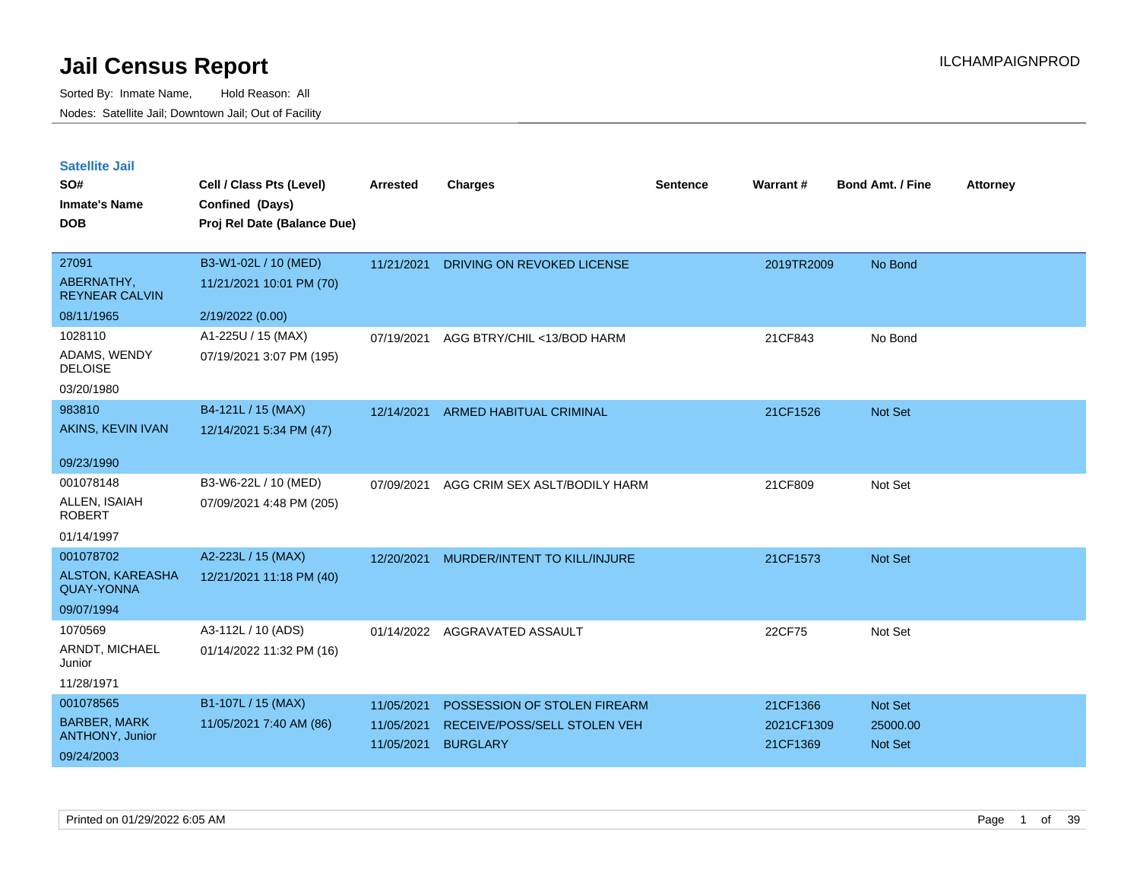| <b>Satellite Jail</b> |  |
|-----------------------|--|
|                       |  |

| SO#<br><b>Inmate's Name</b><br><b>DOB</b>    | Cell / Class Pts (Level)<br>Confined (Days)<br>Proj Rel Date (Balance Due) | Arrested   | <b>Charges</b>                 | Sentence | Warrant#   | <b>Bond Amt. / Fine</b> | <b>Attorney</b> |
|----------------------------------------------|----------------------------------------------------------------------------|------------|--------------------------------|----------|------------|-------------------------|-----------------|
|                                              |                                                                            |            |                                |          |            |                         |                 |
| 27091<br>ABERNATHY,<br><b>REYNEAR CALVIN</b> | B3-W1-02L / 10 (MED)<br>11/21/2021 10:01 PM (70)                           | 11/21/2021 | DRIVING ON REVOKED LICENSE     |          | 2019TR2009 | No Bond                 |                 |
| 08/11/1965                                   | 2/19/2022 (0.00)                                                           |            |                                |          |            |                         |                 |
| 1028110                                      | A1-225U / 15 (MAX)                                                         | 07/19/2021 | AGG BTRY/CHIL <13/BOD HARM     |          | 21CF843    | No Bond                 |                 |
| ADAMS, WENDY<br><b>DELOISE</b>               | 07/19/2021 3:07 PM (195)                                                   |            |                                |          |            |                         |                 |
| 03/20/1980                                   |                                                                            |            |                                |          |            |                         |                 |
| 983810                                       | B4-121L / 15 (MAX)                                                         | 12/14/2021 | <b>ARMED HABITUAL CRIMINAL</b> |          | 21CF1526   | Not Set                 |                 |
| AKINS, KEVIN IVAN                            | 12/14/2021 5:34 PM (47)                                                    |            |                                |          |            |                         |                 |
| 09/23/1990                                   |                                                                            |            |                                |          |            |                         |                 |
| 001078148                                    | B3-W6-22L / 10 (MED)                                                       | 07/09/2021 | AGG CRIM SEX ASLT/BODILY HARM  |          | 21CF809    | Not Set                 |                 |
| ALLEN, ISAIAH<br><b>ROBERT</b>               | 07/09/2021 4:48 PM (205)                                                   |            |                                |          |            |                         |                 |
| 01/14/1997                                   |                                                                            |            |                                |          |            |                         |                 |
| 001078702                                    | A2-223L / 15 (MAX)                                                         | 12/20/2021 | MURDER/INTENT TO KILL/INJURE   |          | 21CF1573   | <b>Not Set</b>          |                 |
| ALSTON, KAREASHA<br><b>QUAY-YONNA</b>        | 12/21/2021 11:18 PM (40)                                                   |            |                                |          |            |                         |                 |
| 09/07/1994                                   |                                                                            |            |                                |          |            |                         |                 |
| 1070569                                      | A3-112L / 10 (ADS)                                                         | 01/14/2022 | AGGRAVATED ASSAULT             |          | 22CF75     | Not Set                 |                 |
| ARNDT, MICHAEL<br>Junior                     | 01/14/2022 11:32 PM (16)                                                   |            |                                |          |            |                         |                 |
| 11/28/1971                                   |                                                                            |            |                                |          |            |                         |                 |
| 001078565                                    | B1-107L / 15 (MAX)                                                         | 11/05/2021 | POSSESSION OF STOLEN FIREARM   |          | 21CF1366   | <b>Not Set</b>          |                 |
| <b>BARBER, MARK</b>                          | 11/05/2021 7:40 AM (86)                                                    | 11/05/2021 | RECEIVE/POSS/SELL STOLEN VEH   |          | 2021CF1309 | 25000.00                |                 |
| ANTHONY, Junior<br>09/24/2003                |                                                                            | 11/05/2021 | <b>BURGLARY</b>                |          | 21CF1369   | <b>Not Set</b>          |                 |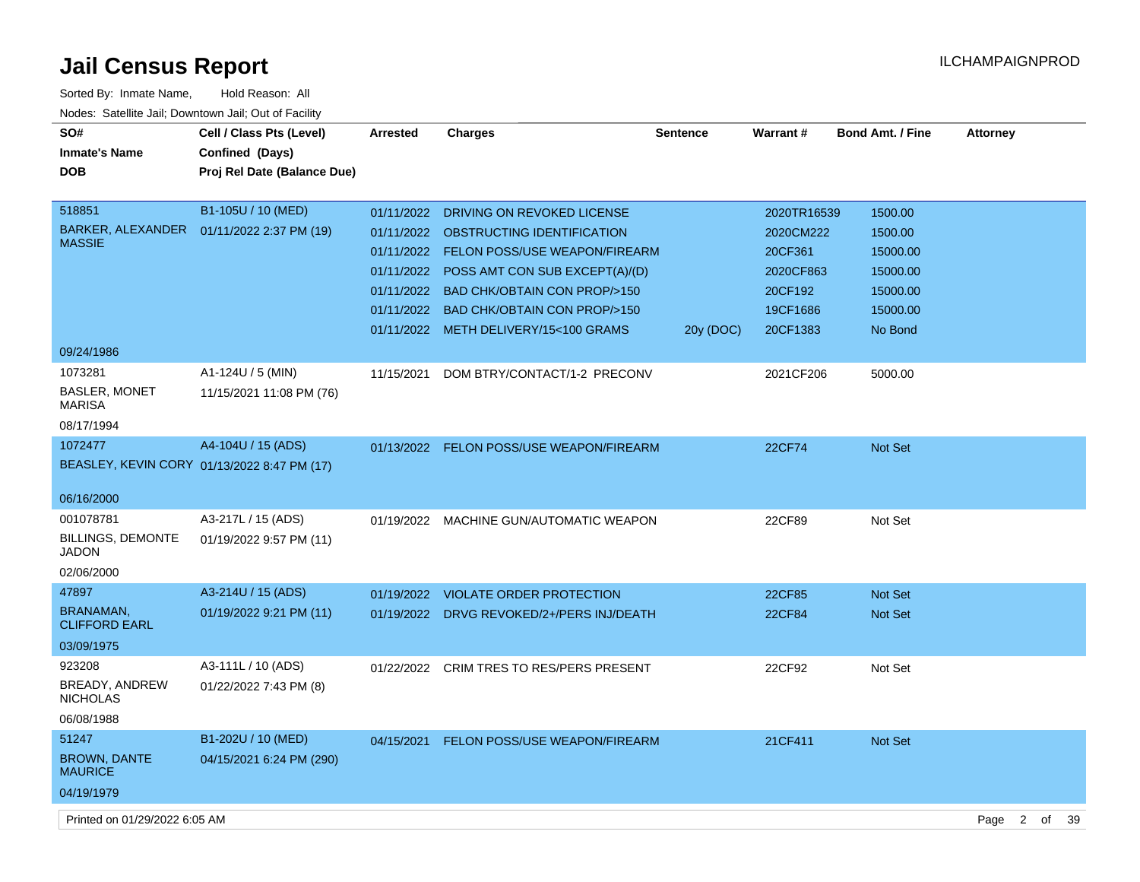| Sorted By: Inmate Name,                               | Hold Reason: All                            |                 |                                           |                 |               |                         |                 |
|-------------------------------------------------------|---------------------------------------------|-----------------|-------------------------------------------|-----------------|---------------|-------------------------|-----------------|
| Nodes: Satellite Jail; Downtown Jail; Out of Facility |                                             |                 |                                           |                 |               |                         |                 |
| SO#                                                   | Cell / Class Pts (Level)                    | <b>Arrested</b> | <b>Charges</b>                            | <b>Sentence</b> | Warrant#      | <b>Bond Amt. / Fine</b> | <b>Attorney</b> |
| <b>Inmate's Name</b>                                  | Confined (Days)                             |                 |                                           |                 |               |                         |                 |
| <b>DOB</b>                                            | Proj Rel Date (Balance Due)                 |                 |                                           |                 |               |                         |                 |
|                                                       |                                             |                 |                                           |                 |               |                         |                 |
| 518851                                                | B1-105U / 10 (MED)                          | 01/11/2022      | DRIVING ON REVOKED LICENSE                |                 | 2020TR16539   | 1500.00                 |                 |
| BARKER, ALEXANDER                                     | 01/11/2022 2:37 PM (19)                     |                 | 01/11/2022 OBSTRUCTING IDENTIFICATION     |                 | 2020CM222     | 1500.00                 |                 |
| <b>MASSIE</b>                                         |                                             |                 | 01/11/2022 FELON POSS/USE WEAPON/FIREARM  |                 | 20CF361       | 15000.00                |                 |
|                                                       |                                             | 01/11/2022      | POSS AMT CON SUB EXCEPT(A)/(D)            |                 | 2020CF863     | 15000.00                |                 |
|                                                       |                                             |                 | 01/11/2022 BAD CHK/OBTAIN CON PROP/>150   |                 | 20CF192       | 15000.00                |                 |
|                                                       |                                             |                 | 01/11/2022 BAD CHK/OBTAIN CON PROP/>150   |                 | 19CF1686      | 15000.00                |                 |
|                                                       |                                             |                 | 01/11/2022 METH DELIVERY/15<100 GRAMS     | 20y (DOC)       | 20CF1383      | No Bond                 |                 |
| 09/24/1986                                            |                                             |                 |                                           |                 |               |                         |                 |
| 1073281                                               | A1-124U / 5 (MIN)                           | 11/15/2021      | DOM BTRY/CONTACT/1-2 PRECONV              |                 | 2021CF206     | 5000.00                 |                 |
| <b>BASLER, MONET</b><br><b>MARISA</b>                 | 11/15/2021 11:08 PM (76)                    |                 |                                           |                 |               |                         |                 |
| 08/17/1994                                            |                                             |                 |                                           |                 |               |                         |                 |
| 1072477                                               | A4-104U / 15 (ADS)                          |                 | 01/13/2022 FELON POSS/USE WEAPON/FIREARM  |                 | <b>22CF74</b> | Not Set                 |                 |
|                                                       | BEASLEY, KEVIN CORY 01/13/2022 8:47 PM (17) |                 |                                           |                 |               |                         |                 |
|                                                       |                                             |                 |                                           |                 |               |                         |                 |
| 06/16/2000                                            |                                             |                 |                                           |                 |               |                         |                 |
| 001078781                                             | A3-217L / 15 (ADS)                          | 01/19/2022      | MACHINE GUN/AUTOMATIC WEAPON              |                 | 22CF89        | Not Set                 |                 |
| <b>BILLINGS, DEMONTE</b><br>JADON                     | 01/19/2022 9:57 PM (11)                     |                 |                                           |                 |               |                         |                 |
| 02/06/2000                                            |                                             |                 |                                           |                 |               |                         |                 |
| 47897                                                 | A3-214U / 15 (ADS)                          | 01/19/2022      | <b>VIOLATE ORDER PROTECTION</b>           |                 | 22CF85        | Not Set                 |                 |
| <b>BRANAMAN,</b>                                      | 01/19/2022 9:21 PM (11)                     |                 | 01/19/2022 DRVG REVOKED/2+/PERS INJ/DEATH |                 | 22CF84        | Not Set                 |                 |
| <b>CLIFFORD EARL</b>                                  |                                             |                 |                                           |                 |               |                         |                 |
| 03/09/1975                                            |                                             |                 |                                           |                 |               |                         |                 |
| 923208                                                | A3-111L / 10 (ADS)                          | 01/22/2022      | <b>CRIM TRES TO RES/PERS PRESENT</b>      |                 | 22CF92        | Not Set                 |                 |
| BREADY, ANDREW                                        | 01/22/2022 7:43 PM (8)                      |                 |                                           |                 |               |                         |                 |
| <b>NICHOLAS</b>                                       |                                             |                 |                                           |                 |               |                         |                 |
| 06/08/1988                                            |                                             |                 |                                           |                 |               |                         |                 |
| 51247<br><b>BROWN, DANTE</b>                          | B1-202U / 10 (MED)                          | 04/15/2021      | FELON POSS/USE WEAPON/FIREARM             |                 | 21CF411       | Not Set                 |                 |
| <b>MAURICE</b>                                        | 04/15/2021 6:24 PM (290)                    |                 |                                           |                 |               |                         |                 |
| 04/19/1979                                            |                                             |                 |                                           |                 |               |                         |                 |
|                                                       |                                             |                 |                                           |                 |               |                         |                 |

Printed on 01/29/2022 6:05 AM Page 2 of 39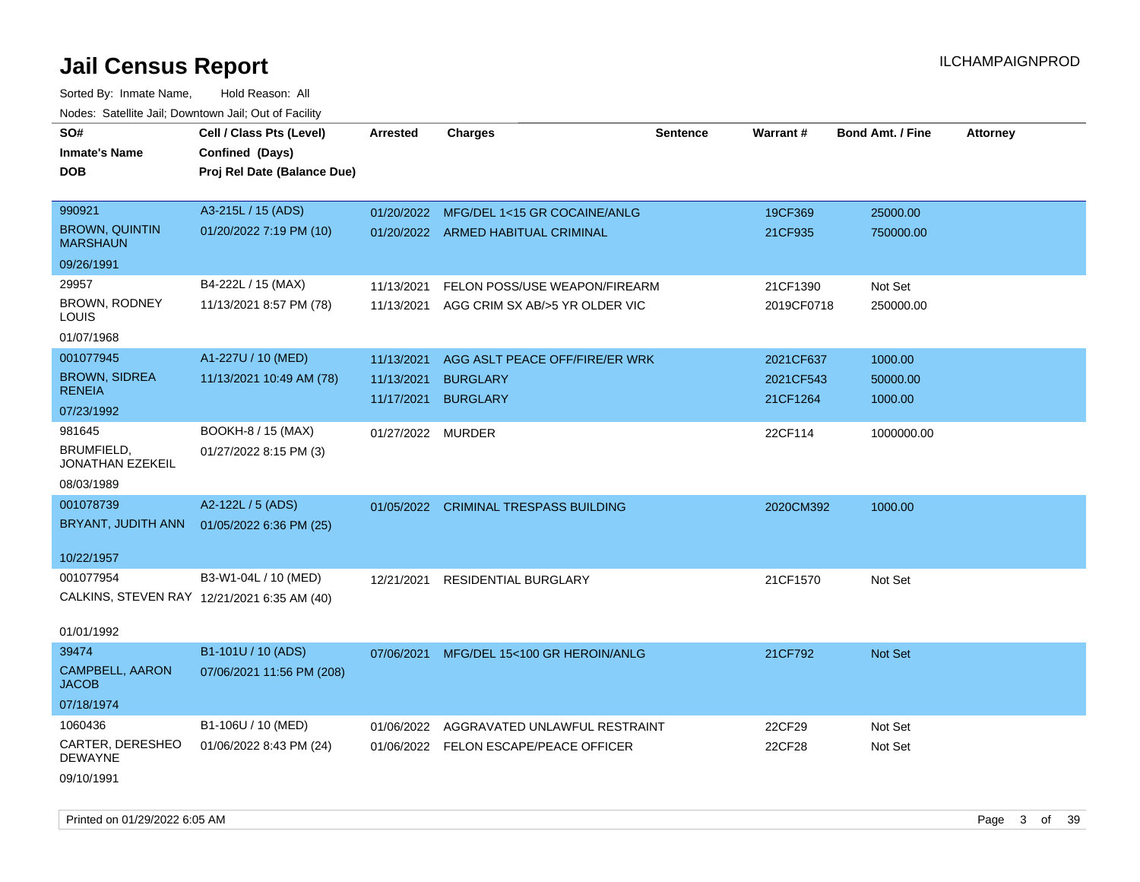Sorted By: Inmate Name, Hold Reason: All Nodes: Satellite Jail; Downtown Jail; Out of Facility

| roaco. Catolino cali, Downtown cali, Out of Facility |                                             |                   |                                         |                 |            |                         |                 |
|------------------------------------------------------|---------------------------------------------|-------------------|-----------------------------------------|-----------------|------------|-------------------------|-----------------|
| SO#                                                  | Cell / Class Pts (Level)                    | <b>Arrested</b>   | <b>Charges</b>                          | <b>Sentence</b> | Warrant#   | <b>Bond Amt. / Fine</b> | <b>Attorney</b> |
| <b>Inmate's Name</b>                                 | Confined (Days)                             |                   |                                         |                 |            |                         |                 |
| DOB                                                  | Proj Rel Date (Balance Due)                 |                   |                                         |                 |            |                         |                 |
|                                                      |                                             |                   |                                         |                 |            |                         |                 |
| 990921                                               | A3-215L / 15 (ADS)                          |                   | 01/20/2022 MFG/DEL 1<15 GR COCAINE/ANLG |                 | 19CF369    | 25000.00                |                 |
| <b>BROWN, QUINTIN</b><br><b>MARSHAUN</b>             | 01/20/2022 7:19 PM (10)                     |                   | 01/20/2022 ARMED HABITUAL CRIMINAL      |                 | 21CF935    | 750000.00               |                 |
| 09/26/1991                                           |                                             |                   |                                         |                 |            |                         |                 |
| 29957                                                | B4-222L / 15 (MAX)                          | 11/13/2021        | FELON POSS/USE WEAPON/FIREARM           |                 | 21CF1390   | Not Set                 |                 |
| BROWN, RODNEY<br>LOUIS                               | 11/13/2021 8:57 PM (78)                     | 11/13/2021        | AGG CRIM SX AB/>5 YR OLDER VIC          |                 | 2019CF0718 | 250000.00               |                 |
| 01/07/1968                                           |                                             |                   |                                         |                 |            |                         |                 |
| 001077945                                            | A1-227U / 10 (MED)                          | 11/13/2021        | AGG ASLT PEACE OFF/FIRE/ER WRK          |                 | 2021CF637  | 1000.00                 |                 |
| <b>BROWN, SIDREA</b>                                 | 11/13/2021 10:49 AM (78)                    | 11/13/2021        | <b>BURGLARY</b>                         |                 | 2021CF543  | 50000.00                |                 |
| RENEIA                                               |                                             | 11/17/2021        | <b>BURGLARY</b>                         |                 | 21CF1264   | 1000.00                 |                 |
| 07/23/1992                                           |                                             |                   |                                         |                 |            |                         |                 |
| 981645                                               | BOOKH-8 / 15 (MAX)                          | 01/27/2022 MURDER |                                         |                 | 22CF114    | 1000000.00              |                 |
| BRUMFIELD,<br>JONATHAN EZEKEIL                       | 01/27/2022 8:15 PM (3)                      |                   |                                         |                 |            |                         |                 |
| 08/03/1989                                           |                                             |                   |                                         |                 |            |                         |                 |
| 001078739                                            | A2-122L / 5 (ADS)                           |                   | 01/05/2022 CRIMINAL TRESPASS BUILDING   |                 | 2020CM392  | 1000.00                 |                 |
| BRYANT, JUDITH ANN                                   | 01/05/2022 6:36 PM (25)                     |                   |                                         |                 |            |                         |                 |
|                                                      |                                             |                   |                                         |                 |            |                         |                 |
| 10/22/1957                                           |                                             |                   |                                         |                 |            |                         |                 |
| 001077954                                            | B3-W1-04L / 10 (MED)                        | 12/21/2021        | <b>RESIDENTIAL BURGLARY</b>             |                 | 21CF1570   | Not Set                 |                 |
|                                                      | CALKINS, STEVEN RAY 12/21/2021 6:35 AM (40) |                   |                                         |                 |            |                         |                 |
| 01/01/1992                                           |                                             |                   |                                         |                 |            |                         |                 |
| 39474                                                | B1-101U / 10 (ADS)                          | 07/06/2021        | MFG/DEL 15<100 GR HEROIN/ANLG           |                 | 21CF792    | Not Set                 |                 |
| CAMPBELL, AARON<br><b>JACOB</b>                      | 07/06/2021 11:56 PM (208)                   |                   |                                         |                 |            |                         |                 |
| 07/18/1974                                           |                                             |                   |                                         |                 |            |                         |                 |
| 1060436                                              | B1-106U / 10 (MED)                          | 01/06/2022        | AGGRAVATED UNLAWFUL RESTRAINT           |                 | 22CF29     | Not Set                 |                 |
| CARTER, DERESHEO<br>DEWAYNE                          | 01/06/2022 8:43 PM (24)                     |                   | 01/06/2022 FELON ESCAPE/PEACE OFFICER   |                 | 22CF28     | Not Set                 |                 |
| 09/10/1991                                           |                                             |                   |                                         |                 |            |                         |                 |

Printed on 01/29/2022 6:05 AM **Page 3 of 39**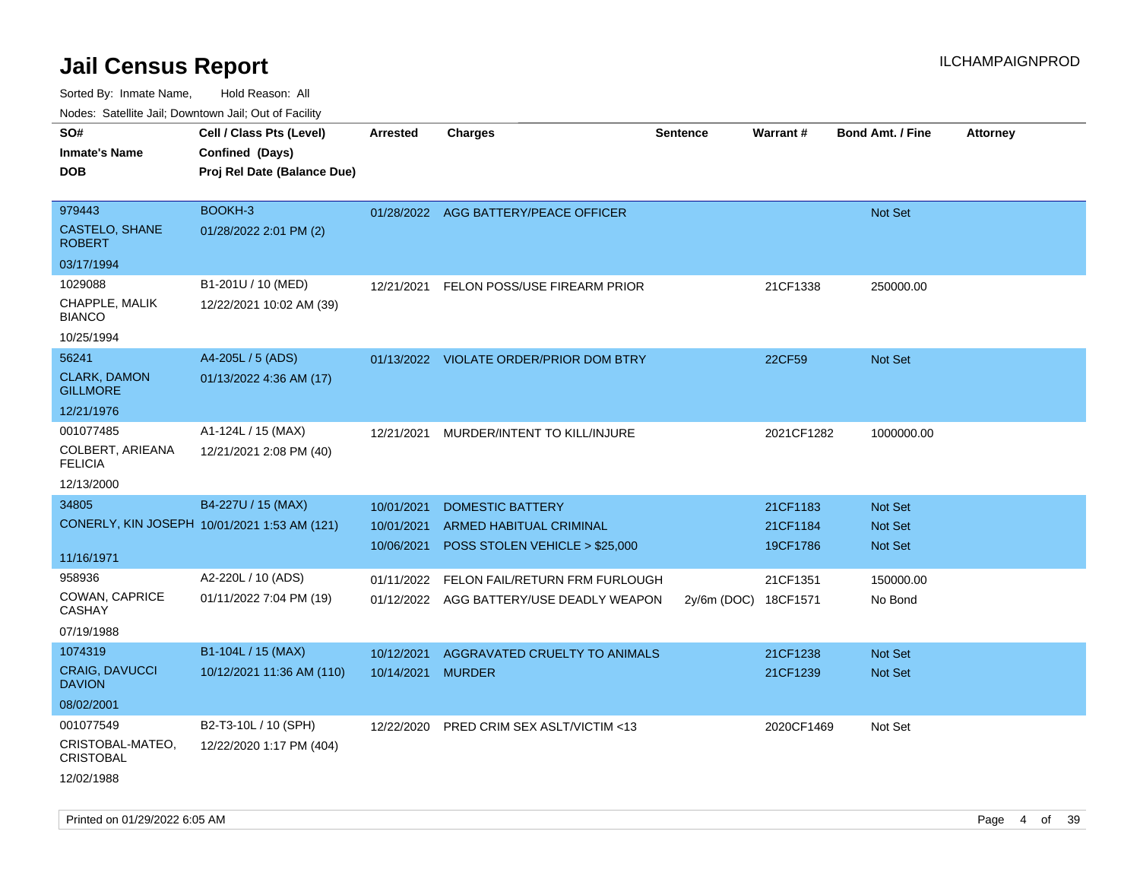| roaco. Calcillo dall, Downtown dall, Cal of Fability |                                              |                 |                                          |                      |                 |                         |                 |
|------------------------------------------------------|----------------------------------------------|-----------------|------------------------------------------|----------------------|-----------------|-------------------------|-----------------|
| SO#                                                  | Cell / Class Pts (Level)                     | <b>Arrested</b> | <b>Charges</b>                           | <b>Sentence</b>      | <b>Warrant#</b> | <b>Bond Amt. / Fine</b> | <b>Attorney</b> |
| <b>Inmate's Name</b>                                 | Confined (Days)                              |                 |                                          |                      |                 |                         |                 |
| <b>DOB</b>                                           | Proj Rel Date (Balance Due)                  |                 |                                          |                      |                 |                         |                 |
|                                                      |                                              |                 |                                          |                      |                 |                         |                 |
| 979443                                               | BOOKH-3                                      |                 | 01/28/2022 AGG BATTERY/PEACE OFFICER     |                      |                 | Not Set                 |                 |
| CASTELO, SHANE<br><b>ROBERT</b>                      | 01/28/2022 2:01 PM (2)                       |                 |                                          |                      |                 |                         |                 |
| 03/17/1994                                           |                                              |                 |                                          |                      |                 |                         |                 |
| 1029088                                              | B1-201U / 10 (MED)                           | 12/21/2021      | FELON POSS/USE FIREARM PRIOR             |                      | 21CF1338        | 250000.00               |                 |
| CHAPPLE, MALIK<br><b>BIANCO</b>                      | 12/22/2021 10:02 AM (39)                     |                 |                                          |                      |                 |                         |                 |
| 10/25/1994                                           |                                              |                 |                                          |                      |                 |                         |                 |
| 56241                                                | A4-205L / 5 (ADS)                            |                 | 01/13/2022 VIOLATE ORDER/PRIOR DOM BTRY  |                      | 22CF59          | <b>Not Set</b>          |                 |
| <b>CLARK, DAMON</b><br><b>GILLMORE</b>               | 01/13/2022 4:36 AM (17)                      |                 |                                          |                      |                 |                         |                 |
| 12/21/1976                                           |                                              |                 |                                          |                      |                 |                         |                 |
| 001077485                                            | A1-124L / 15 (MAX)                           |                 | 12/21/2021 MURDER/INTENT TO KILL/INJURE  |                      | 2021CF1282      | 1000000.00              |                 |
| COLBERT, ARIEANA<br><b>FELICIA</b>                   | 12/21/2021 2:08 PM (40)                      |                 |                                          |                      |                 |                         |                 |
| 12/13/2000                                           |                                              |                 |                                          |                      |                 |                         |                 |
| 34805                                                | B4-227U / 15 (MAX)                           | 10/01/2021      | <b>DOMESTIC BATTERY</b>                  |                      | 21CF1183        | <b>Not Set</b>          |                 |
|                                                      | CONERLY, KIN JOSEPH 10/01/2021 1:53 AM (121) | 10/01/2021      | ARMED HABITUAL CRIMINAL                  |                      | 21CF1184        | Not Set                 |                 |
|                                                      |                                              | 10/06/2021      | POSS STOLEN VEHICLE > \$25,000           |                      | 19CF1786        | Not Set                 |                 |
| 11/16/1971                                           |                                              |                 |                                          |                      |                 |                         |                 |
| 958936                                               | A2-220L / 10 (ADS)                           | 01/11/2022      | FELON FAIL/RETURN FRM FURLOUGH           |                      | 21CF1351        | 150000.00               |                 |
| COWAN, CAPRICE<br><b>CASHAY</b>                      | 01/11/2022 7:04 PM (19)                      |                 | 01/12/2022 AGG BATTERY/USE DEADLY WEAPON | 2y/6m (DOC) 18CF1571 |                 | No Bond                 |                 |
| 07/19/1988                                           |                                              |                 |                                          |                      |                 |                         |                 |
| 1074319                                              | B1-104L / 15 (MAX)                           | 10/12/2021      | AGGRAVATED CRUELTY TO ANIMALS            |                      | 21CF1238        | <b>Not Set</b>          |                 |
| <b>CRAIG, DAVUCCI</b><br><b>DAVION</b>               | 10/12/2021 11:36 AM (110)                    | 10/14/2021      | <b>MURDER</b>                            |                      | 21CF1239        | <b>Not Set</b>          |                 |
| 08/02/2001                                           |                                              |                 |                                          |                      |                 |                         |                 |
| 001077549                                            | B2-T3-10L / 10 (SPH)                         | 12/22/2020      | PRED CRIM SEX ASLT/VICTIM <13            |                      | 2020CF1469      | Not Set                 |                 |
| CRISTOBAL-MATEO,<br><b>CRISTOBAL</b>                 | 12/22/2020 1:17 PM (404)                     |                 |                                          |                      |                 |                         |                 |
| 12/02/1988                                           |                                              |                 |                                          |                      |                 |                         |                 |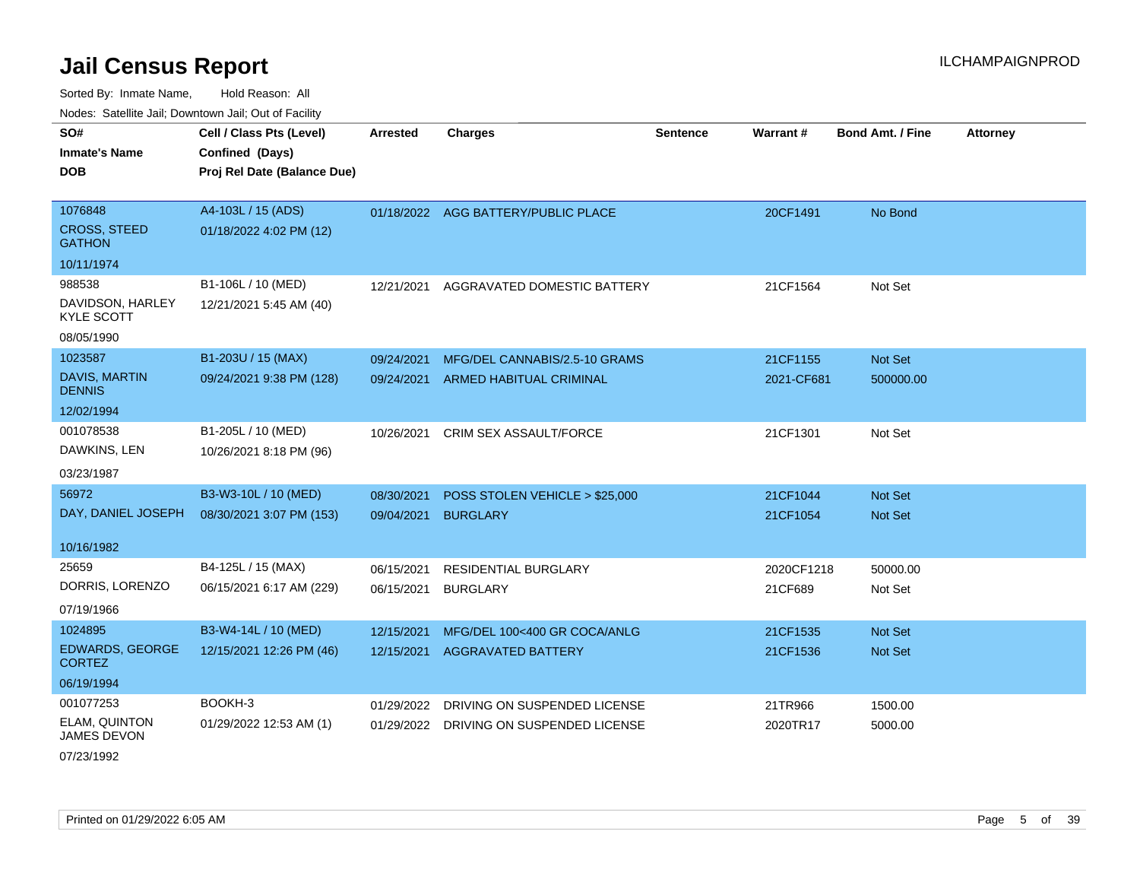Sorted By: Inmate Name, Hold Reason: All Nodes: Satellite Jail; Downtown Jail; Out of Facility

| SO#<br><b>Inmate's Name</b><br>DOB              | Cell / Class Pts (Level)<br>Confined (Days)<br>Proj Rel Date (Balance Due) | <b>Arrested</b> | <b>Charges</b>                      | <b>Sentence</b> | Warrant#   | <b>Bond Amt. / Fine</b> | <b>Attorney</b> |
|-------------------------------------------------|----------------------------------------------------------------------------|-----------------|-------------------------------------|-----------------|------------|-------------------------|-----------------|
| 1076848<br><b>CROSS, STEED</b><br><b>GATHON</b> | A4-103L / 15 (ADS)<br>01/18/2022 4:02 PM (12)                              |                 | 01/18/2022 AGG BATTERY/PUBLIC PLACE |                 | 20CF1491   | No Bond                 |                 |
| 10/11/1974                                      |                                                                            |                 |                                     |                 |            |                         |                 |
| 988538                                          | B1-106L / 10 (MED)                                                         | 12/21/2021      | AGGRAVATED DOMESTIC BATTERY         |                 | 21CF1564   | Not Set                 |                 |
| DAVIDSON, HARLEY<br><b>KYLE SCOTT</b>           | 12/21/2021 5:45 AM (40)                                                    |                 |                                     |                 |            |                         |                 |
| 08/05/1990                                      |                                                                            |                 |                                     |                 |            |                         |                 |
| 1023587                                         | B1-203U / 15 (MAX)                                                         | 09/24/2021      | MFG/DEL CANNABIS/2.5-10 GRAMS       |                 | 21CF1155   | Not Set                 |                 |
| <b>DAVIS, MARTIN</b><br><b>DENNIS</b>           | 09/24/2021 9:38 PM (128)                                                   | 09/24/2021      | <b>ARMED HABITUAL CRIMINAL</b>      |                 | 2021-CF681 | 500000.00               |                 |
| 12/02/1994                                      |                                                                            |                 |                                     |                 |            |                         |                 |
| 001078538                                       | B1-205L / 10 (MED)                                                         | 10/26/2021      | CRIM SEX ASSAULT/FORCE              |                 | 21CF1301   | Not Set                 |                 |
| DAWKINS, LEN                                    | 10/26/2021 8:18 PM (96)                                                    |                 |                                     |                 |            |                         |                 |
| 03/23/1987                                      |                                                                            |                 |                                     |                 |            |                         |                 |
| 56972                                           | B3-W3-10L / 10 (MED)                                                       | 08/30/2021      | POSS STOLEN VEHICLE > \$25,000      |                 | 21CF1044   | Not Set                 |                 |
| DAY, DANIEL JOSEPH                              | 08/30/2021 3:07 PM (153)                                                   | 09/04/2021      | <b>BURGLARY</b>                     |                 | 21CF1054   | Not Set                 |                 |
| 10/16/1982                                      |                                                                            |                 |                                     |                 |            |                         |                 |
| 25659                                           | B4-125L / 15 (MAX)                                                         | 06/15/2021      | <b>RESIDENTIAL BURGLARY</b>         |                 | 2020CF1218 | 50000.00                |                 |
| DORRIS, LORENZO                                 | 06/15/2021 6:17 AM (229)                                                   | 06/15/2021      | <b>BURGLARY</b>                     |                 | 21CF689    | Not Set                 |                 |
| 07/19/1966                                      |                                                                            |                 |                                     |                 |            |                         |                 |
| 1024895                                         | B3-W4-14L / 10 (MED)                                                       | 12/15/2021      | MFG/DEL 100<400 GR COCA/ANLG        |                 | 21CF1535   | Not Set                 |                 |
| <b>EDWARDS, GEORGE</b><br><b>CORTEZ</b>         | 12/15/2021 12:26 PM (46)                                                   | 12/15/2021      | <b>AGGRAVATED BATTERY</b>           |                 | 21CF1536   | Not Set                 |                 |
| 06/19/1994                                      |                                                                            |                 |                                     |                 |            |                         |                 |
| 001077253                                       | BOOKH-3                                                                    | 01/29/2022      | DRIVING ON SUSPENDED LICENSE        |                 | 21TR966    | 1500.00                 |                 |
| <b>ELAM, QUINTON</b><br><b>JAMES DEVON</b>      | 01/29/2022 12:53 AM (1)                                                    | 01/29/2022      | DRIVING ON SUSPENDED LICENSE        |                 | 2020TR17   | 5000.00                 |                 |

07/23/1992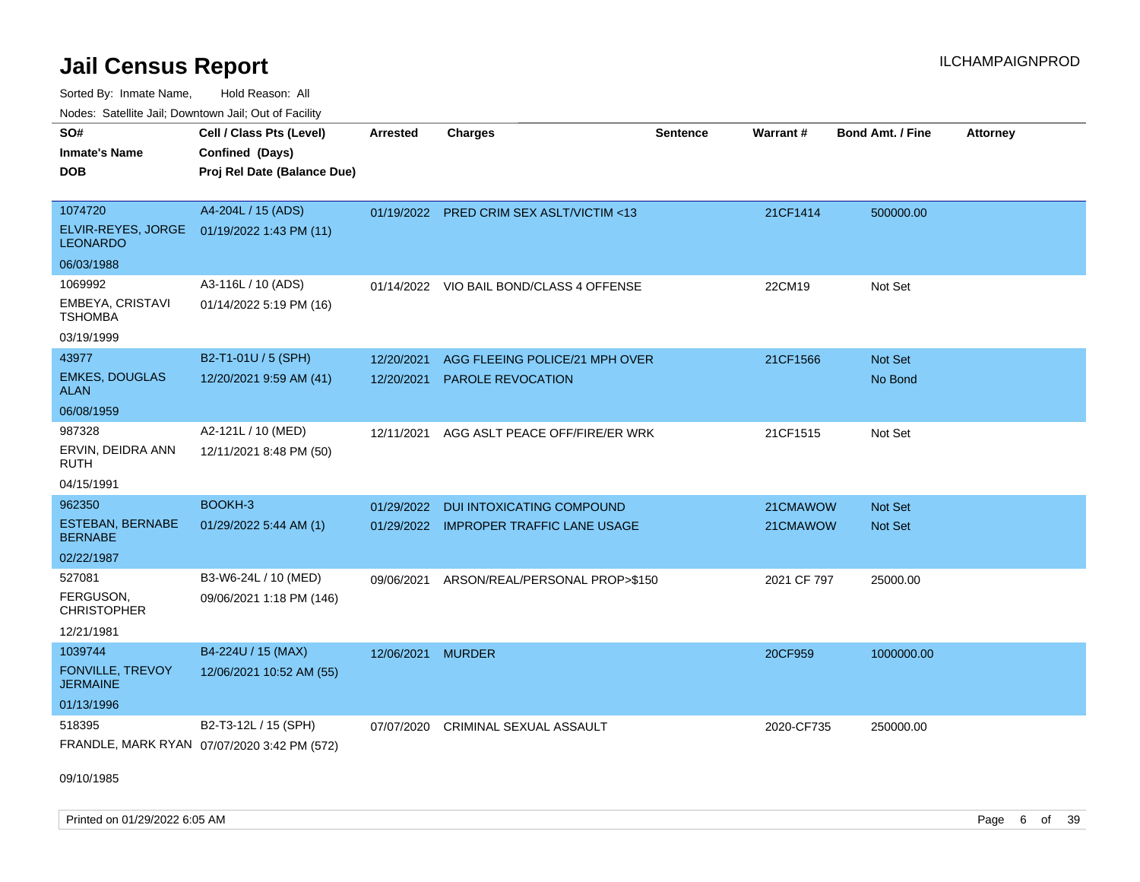Sorted By: Inmate Name, Hold Reason: All

Nodes: Satellite Jail; Downtown Jail; Out of Facility

| SO#<br><b>Inmate's Name</b><br><b>DOB</b>                | Cell / Class Pts (Level)<br>Confined (Days)<br>Proj Rel Date (Balance Due) | <b>Arrested</b>          | <b>Charges</b>                                      | <b>Sentence</b> | Warrant#    | Bond Amt. / Fine   | <b>Attorney</b> |
|----------------------------------------------------------|----------------------------------------------------------------------------|--------------------------|-----------------------------------------------------|-----------------|-------------|--------------------|-----------------|
| 1074720<br>ELVIR-REYES, JORGE<br><b>LEONARDO</b>         | A4-204L / 15 (ADS)<br>01/19/2022 1:43 PM (11)                              |                          | 01/19/2022 PRED CRIM SEX ASLT/VICTIM <13            |                 | 21CF1414    | 500000.00          |                 |
| 06/03/1988                                               |                                                                            |                          |                                                     |                 |             |                    |                 |
| 1069992<br>EMBEYA, CRISTAVI<br><b>TSHOMBA</b>            | A3-116L / 10 (ADS)<br>01/14/2022 5:19 PM (16)                              |                          | 01/14/2022 VIO BAIL BOND/CLASS 4 OFFENSE            |                 | 22CM19      | Not Set            |                 |
| 03/19/1999<br>43977                                      | B2-T1-01U / 5 (SPH)                                                        |                          |                                                     |                 |             |                    |                 |
| <b>EMKES, DOUGLAS</b><br><b>ALAN</b>                     | 12/20/2021 9:59 AM (41)                                                    | 12/20/2021<br>12/20/2021 | AGG FLEEING POLICE/21 MPH OVER<br>PAROLE REVOCATION |                 | 21CF1566    | Not Set<br>No Bond |                 |
| 06/08/1959                                               |                                                                            |                          |                                                     |                 |             |                    |                 |
| 987328<br>ERVIN, DEIDRA ANN<br><b>RUTH</b><br>04/15/1991 | A2-121L / 10 (MED)<br>12/11/2021 8:48 PM (50)                              | 12/11/2021               | AGG ASLT PEACE OFF/FIRE/ER WRK                      |                 | 21CF1515    | Not Set            |                 |
| 962350                                                   | BOOKH-3                                                                    | 01/29/2022               | <b>DUI INTOXICATING COMPOUND</b>                    |                 | 21CMAWOW    | Not Set            |                 |
| <b>ESTEBAN, BERNABE</b><br><b>BERNABE</b>                | 01/29/2022 5:44 AM (1)                                                     |                          | 01/29/2022 IMPROPER TRAFFIC LANE USAGE              |                 | 21CMAWOW    | Not Set            |                 |
| 02/22/1987                                               |                                                                            |                          |                                                     |                 |             |                    |                 |
| 527081<br>FERGUSON,<br><b>CHRISTOPHER</b><br>12/21/1981  | B3-W6-24L / 10 (MED)<br>09/06/2021 1:18 PM (146)                           | 09/06/2021               | ARSON/REAL/PERSONAL PROP>\$150                      |                 | 2021 CF 797 | 25000.00           |                 |
| 1039744                                                  | B4-224U / 15 (MAX)                                                         | 12/06/2021               | <b>MURDER</b>                                       |                 | 20CF959     | 1000000.00         |                 |
| <b>FONVILLE, TREVOY</b><br><b>JERMAINE</b>               | 12/06/2021 10:52 AM (55)                                                   |                          |                                                     |                 |             |                    |                 |
| 01/13/1996                                               |                                                                            |                          |                                                     |                 |             |                    |                 |
| 518395                                                   | B2-T3-12L / 15 (SPH)<br>FRANDLE, MARK RYAN 07/07/2020 3:42 PM (572)        | 07/07/2020               | <b>CRIMINAL SEXUAL ASSAULT</b>                      |                 | 2020-CF735  | 250000.00          |                 |

09/10/1985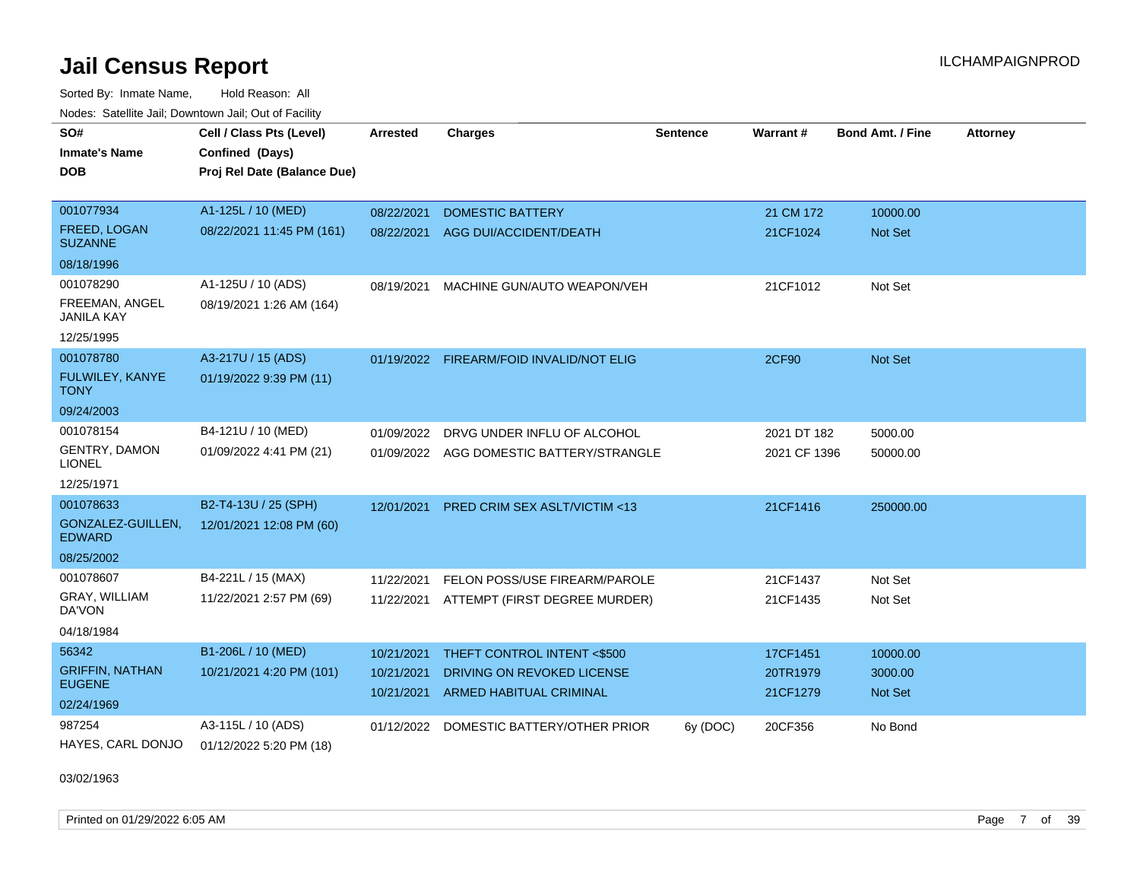Sorted By: Inmate Name, Hold Reason: All Nodes: Satellite Jail; Downtown Jail; Out of Facility

| SO#<br><b>Inmate's Name</b>           | Cell / Class Pts (Level)<br>Confined (Days) | <b>Arrested</b> | <b>Charges</b>                           | <b>Sentence</b> | Warrant#     | <b>Bond Amt. / Fine</b> | <b>Attorney</b> |
|---------------------------------------|---------------------------------------------|-----------------|------------------------------------------|-----------------|--------------|-------------------------|-----------------|
| DOB                                   | Proj Rel Date (Balance Due)                 |                 |                                          |                 |              |                         |                 |
| 001077934                             | A1-125L / 10 (MED)                          | 08/22/2021      | <b>DOMESTIC BATTERY</b>                  |                 | 21 CM 172    | 10000.00                |                 |
| FREED, LOGAN<br><b>SUZANNE</b>        | 08/22/2021 11:45 PM (161)                   | 08/22/2021      | AGG DUI/ACCIDENT/DEATH                   |                 | 21CF1024     | <b>Not Set</b>          |                 |
| 08/18/1996                            |                                             |                 |                                          |                 |              |                         |                 |
| 001078290                             | A1-125U / 10 (ADS)                          | 08/19/2021      | MACHINE GUN/AUTO WEAPON/VEH              |                 | 21CF1012     | Not Set                 |                 |
| FREEMAN, ANGEL<br><b>JANILA KAY</b>   | 08/19/2021 1:26 AM (164)                    |                 |                                          |                 |              |                         |                 |
| 12/25/1995                            |                                             |                 |                                          |                 |              |                         |                 |
| 001078780                             | A3-217U / 15 (ADS)                          | 01/19/2022      | FIREARM/FOID INVALID/NOT ELIG            |                 | <b>2CF90</b> | Not Set                 |                 |
| FULWILEY, KANYE<br><b>TONY</b>        | 01/19/2022 9:39 PM (11)                     |                 |                                          |                 |              |                         |                 |
| 09/24/2003                            |                                             |                 |                                          |                 |              |                         |                 |
| 001078154                             | B4-121U / 10 (MED)                          | 01/09/2022      | DRVG UNDER INFLU OF ALCOHOL              |                 | 2021 DT 182  | 5000.00                 |                 |
| <b>GENTRY, DAMON</b><br><b>LIONEL</b> | 01/09/2022 4:41 PM (21)                     |                 | 01/09/2022 AGG DOMESTIC BATTERY/STRANGLE |                 | 2021 CF 1396 | 50000.00                |                 |
| 12/25/1971                            |                                             |                 |                                          |                 |              |                         |                 |
| 001078633                             | B2-T4-13U / 25 (SPH)                        | 12/01/2021      | <b>PRED CRIM SEX ASLT/VICTIM &lt;13</b>  |                 | 21CF1416     | 250000.00               |                 |
| GONZALEZ-GUILLEN,<br><b>EDWARD</b>    | 12/01/2021 12:08 PM (60)                    |                 |                                          |                 |              |                         |                 |
| 08/25/2002                            |                                             |                 |                                          |                 |              |                         |                 |
| 001078607                             | B4-221L / 15 (MAX)                          | 11/22/2021      | FELON POSS/USE FIREARM/PAROLE            |                 | 21CF1437     | Not Set                 |                 |
| GRAY, WILLIAM<br>DA'VON               | 11/22/2021 2:57 PM (69)                     |                 | 11/22/2021 ATTEMPT (FIRST DEGREE MURDER) |                 | 21CF1435     | Not Set                 |                 |
| 04/18/1984                            |                                             |                 |                                          |                 |              |                         |                 |
| 56342                                 | B1-206L / 10 (MED)                          | 10/21/2021      | THEFT CONTROL INTENT <\$500              |                 | 17CF1451     | 10000.00                |                 |
| <b>GRIFFIN, NATHAN</b>                | 10/21/2021 4:20 PM (101)                    | 10/21/2021      | DRIVING ON REVOKED LICENSE               |                 | 20TR1979     | 3000.00                 |                 |
| <b>EUGENE</b>                         |                                             | 10/21/2021      | ARMED HABITUAL CRIMINAL                  |                 | 21CF1279     | <b>Not Set</b>          |                 |
| 02/24/1969                            |                                             |                 |                                          |                 |              |                         |                 |
| 987254                                | A3-115L / 10 (ADS)                          | 01/12/2022      | DOMESTIC BATTERY/OTHER PRIOR             | 6y (DOC)        | 20CF356      | No Bond                 |                 |
| HAYES, CARL DONJO                     | 01/12/2022 5:20 PM (18)                     |                 |                                          |                 |              |                         |                 |

03/02/1963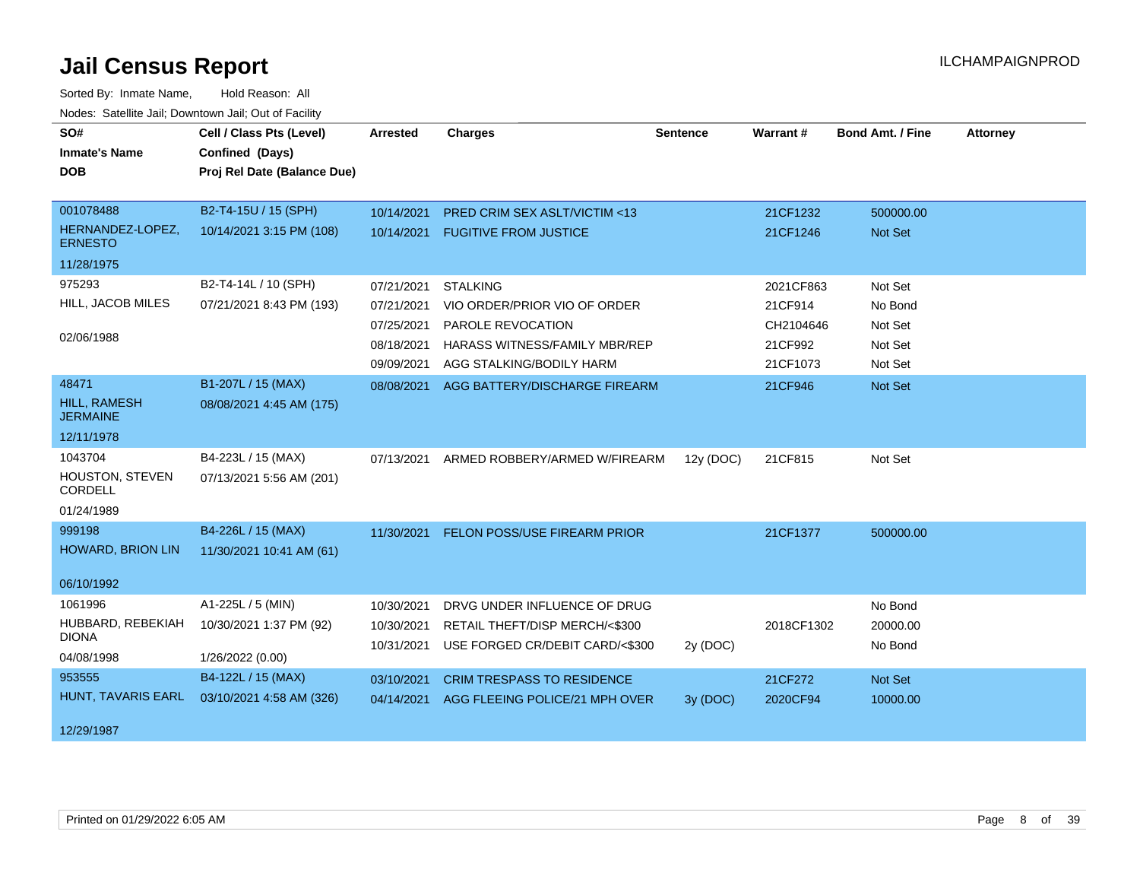| SO#<br><b>Inmate's Name</b><br><b>DOB</b>                     | Cell / Class Pts (Level)<br>Confined (Days)<br>Proj Rel Date (Balance Due) | <b>Arrested</b>                                                    | <b>Charges</b>                                                                                                                    | <b>Sentence</b> | Warrant#                                                 | <b>Bond Amt. / Fine</b>                             | <b>Attorney</b> |
|---------------------------------------------------------------|----------------------------------------------------------------------------|--------------------------------------------------------------------|-----------------------------------------------------------------------------------------------------------------------------------|-----------------|----------------------------------------------------------|-----------------------------------------------------|-----------------|
| 001078488<br>HERNANDEZ-LOPEZ,<br><b>ERNESTO</b><br>11/28/1975 | B2-T4-15U / 15 (SPH)<br>10/14/2021 3:15 PM (108)                           | 10/14/2021<br>10/14/2021                                           | <b>PRED CRIM SEX ASLT/VICTIM &lt;13</b><br><b>FUGITIVE FROM JUSTICE</b>                                                           |                 | 21CF1232<br>21CF1246                                     | 500000.00<br>Not Set                                |                 |
| 975293<br>HILL, JACOB MILES<br>02/06/1988                     | B2-T4-14L / 10 (SPH)<br>07/21/2021 8:43 PM (193)                           | 07/21/2021<br>07/21/2021<br>07/25/2021<br>08/18/2021<br>09/09/2021 | <b>STALKING</b><br>VIO ORDER/PRIOR VIO OF ORDER<br>PAROLE REVOCATION<br>HARASS WITNESS/FAMILY MBR/REP<br>AGG STALKING/BODILY HARM |                 | 2021CF863<br>21CF914<br>CH2104646<br>21CF992<br>21CF1073 | Not Set<br>No Bond<br>Not Set<br>Not Set<br>Not Set |                 |
| 48471<br><b>HILL, RAMESH</b><br><b>JERMAINE</b><br>12/11/1978 | B1-207L / 15 (MAX)<br>08/08/2021 4:45 AM (175)                             | 08/08/2021                                                         | AGG BATTERY/DISCHARGE FIREARM                                                                                                     |                 | 21CF946                                                  | Not Set                                             |                 |
| 1043704<br>HOUSTON, STEVEN<br>CORDELL<br>01/24/1989           | B4-223L / 15 (MAX)<br>07/13/2021 5:56 AM (201)                             | 07/13/2021                                                         | ARMED ROBBERY/ARMED W/FIREARM                                                                                                     | 12y (DOC)       | 21CF815                                                  | Not Set                                             |                 |
| 999198<br><b>HOWARD, BRION LIN</b><br>06/10/1992              | B4-226L / 15 (MAX)<br>11/30/2021 10:41 AM (61)                             | 11/30/2021                                                         | FELON POSS/USE FIREARM PRIOR                                                                                                      |                 | 21CF1377                                                 | 500000.00                                           |                 |
| 1061996<br>HUBBARD, REBEKIAH<br><b>DIONA</b><br>04/08/1998    | A1-225L / 5 (MIN)<br>10/30/2021 1:37 PM (92)<br>1/26/2022 (0.00)           | 10/30/2021<br>10/30/2021<br>10/31/2021                             | DRVG UNDER INFLUENCE OF DRUG<br>RETAIL THEFT/DISP MERCH/<\$300<br>USE FORGED CR/DEBIT CARD/<\$300                                 | 2y (DOC)        | 2018CF1302                                               | No Bond<br>20000.00<br>No Bond                      |                 |
| 953555<br>HUNT, TAVARIS EARL<br>12/29/1987                    | B4-122L / 15 (MAX)<br>03/10/2021 4:58 AM (326)                             | 03/10/2021<br>04/14/2021                                           | <b>CRIM TRESPASS TO RESIDENCE</b><br>AGG FLEEING POLICE/21 MPH OVER                                                               | 3y(DOC)         | 21CF272<br>2020CF94                                      | Not Set<br>10000.00                                 |                 |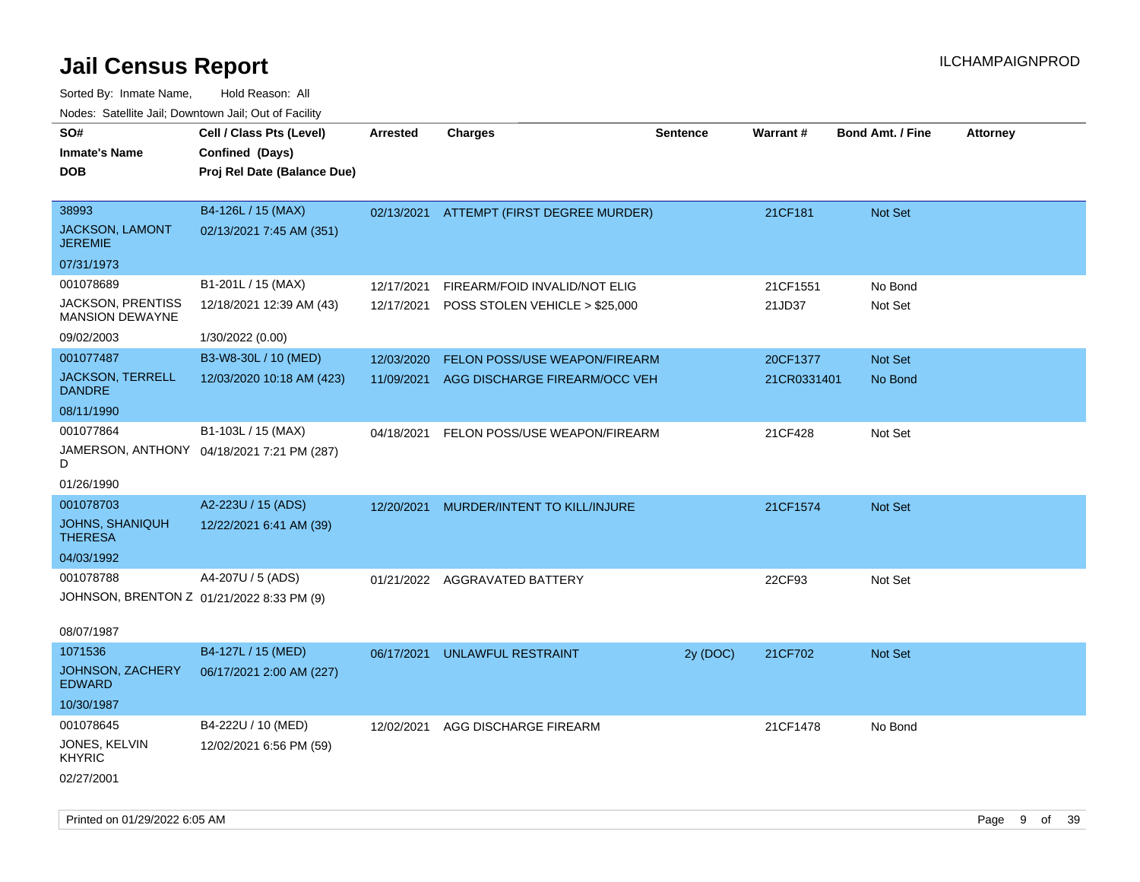| SO#<br><b>Inmate's Name</b><br><b>DOB</b>               | Cell / Class Pts (Level)<br>Confined (Days)<br>Proj Rel Date (Balance Due) | <b>Arrested</b> | <b>Charges</b>                            | <b>Sentence</b> | Warrant#    | <b>Bond Amt. / Fine</b> | <b>Attorney</b> |
|---------------------------------------------------------|----------------------------------------------------------------------------|-----------------|-------------------------------------------|-----------------|-------------|-------------------------|-----------------|
| 38993<br><b>JACKSON, LAMONT</b><br><b>JEREMIE</b>       | B4-126L / 15 (MAX)<br>02/13/2021 7:45 AM (351)                             | 02/13/2021      | <b>ATTEMPT (FIRST DEGREE MURDER)</b>      |                 | 21CF181     | Not Set                 |                 |
| 07/31/1973                                              |                                                                            |                 |                                           |                 |             |                         |                 |
| 001078689                                               | B1-201L / 15 (MAX)                                                         | 12/17/2021      | FIREARM/FOID INVALID/NOT ELIG             |                 | 21CF1551    | No Bond                 |                 |
| JACKSON, PRENTISS<br><b>MANSION DEWAYNE</b>             | 12/18/2021 12:39 AM (43)                                                   |                 | 12/17/2021 POSS STOLEN VEHICLE > \$25,000 |                 | 21JD37      | Not Set                 |                 |
| 09/02/2003                                              | 1/30/2022 (0.00)                                                           |                 |                                           |                 |             |                         |                 |
| 001077487                                               | B3-W8-30L / 10 (MED)                                                       | 12/03/2020      | <b>FELON POSS/USE WEAPON/FIREARM</b>      |                 | 20CF1377    | <b>Not Set</b>          |                 |
| <b>JACKSON, TERRELL</b><br><b>DANDRE</b>                | 12/03/2020 10:18 AM (423)                                                  |                 | 11/09/2021 AGG DISCHARGE FIREARM/OCC VEH  |                 | 21CR0331401 | No Bond                 |                 |
| 08/11/1990                                              |                                                                            |                 |                                           |                 |             |                         |                 |
| 001077864<br>D                                          | B1-103L / 15 (MAX)<br>JAMERSON, ANTHONY 04/18/2021 7:21 PM (287)           | 04/18/2021      | FELON POSS/USE WEAPON/FIREARM             |                 | 21CF428     | Not Set                 |                 |
| 01/26/1990                                              |                                                                            |                 |                                           |                 |             |                         |                 |
| 001078703                                               | A2-223U / 15 (ADS)                                                         | 12/20/2021      | MURDER/INTENT TO KILL/INJURE              |                 | 21CF1574    | Not Set                 |                 |
| JOHNS, SHANIQUH<br><b>THERESA</b>                       | 12/22/2021 6:41 AM (39)                                                    |                 |                                           |                 |             |                         |                 |
| 04/03/1992                                              |                                                                            |                 |                                           |                 |             |                         |                 |
| 001078788                                               | A4-207U / 5 (ADS)                                                          | 01/21/2022      | AGGRAVATED BATTERY                        |                 | 22CF93      | Not Set                 |                 |
| JOHNSON, BRENTON Z 01/21/2022 8:33 PM (9)<br>08/07/1987 |                                                                            |                 |                                           |                 |             |                         |                 |
| 1071536                                                 | B4-127L / 15 (MED)                                                         | 06/17/2021      | UNLAWFUL RESTRAINT                        | 2y (DOC)        | 21CF702     | <b>Not Set</b>          |                 |
| JOHNSON, ZACHERY<br><b>EDWARD</b>                       | 06/17/2021 2:00 AM (227)                                                   |                 |                                           |                 |             |                         |                 |
| 10/30/1987                                              |                                                                            |                 |                                           |                 |             |                         |                 |
| 001078645                                               | B4-222U / 10 (MED)                                                         | 12/02/2021      | AGG DISCHARGE FIREARM                     |                 | 21CF1478    | No Bond                 |                 |
| JONES, KELVIN<br><b>KHYRIC</b><br>02/27/2001            | 12/02/2021 6:56 PM (59)                                                    |                 |                                           |                 |             |                         |                 |
|                                                         |                                                                            |                 |                                           |                 |             |                         |                 |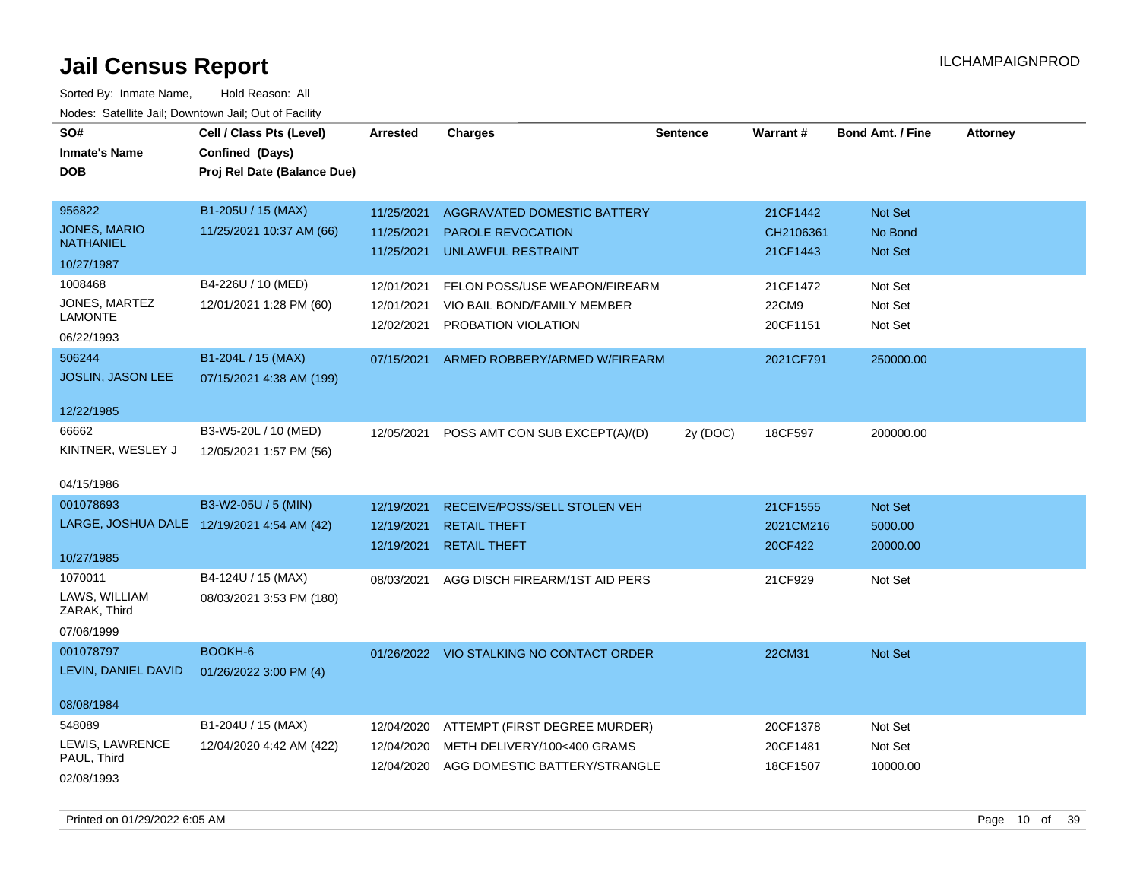| SO#<br><b>Inmate's Name</b><br><b>DOB</b> | Cell / Class Pts (Level)<br>Confined (Days)<br>Proj Rel Date (Balance Due) | <b>Arrested</b> | <b>Charges</b>                           | <b>Sentence</b> | Warrant#  | <b>Bond Amt. / Fine</b> | <b>Attorney</b> |
|-------------------------------------------|----------------------------------------------------------------------------|-----------------|------------------------------------------|-----------------|-----------|-------------------------|-----------------|
| 956822                                    | B1-205U / 15 (MAX)                                                         | 11/25/2021      | AGGRAVATED DOMESTIC BATTERY              |                 | 21CF1442  | Not Set                 |                 |
| JONES, MARIO<br><b>NATHANIEL</b>          | 11/25/2021 10:37 AM (66)                                                   | 11/25/2021      | PAROLE REVOCATION                        |                 | CH2106361 | No Bond                 |                 |
| 10/27/1987                                |                                                                            | 11/25/2021      | <b>UNLAWFUL RESTRAINT</b>                |                 | 21CF1443  | Not Set                 |                 |
| 1008468                                   | B4-226U / 10 (MED)                                                         | 12/01/2021      | FELON POSS/USE WEAPON/FIREARM            |                 | 21CF1472  | Not Set                 |                 |
| JONES, MARTEZ                             | 12/01/2021 1:28 PM (60)                                                    | 12/01/2021      | VIO BAIL BOND/FAMILY MEMBER              |                 | 22CM9     | Not Set                 |                 |
| <b>LAMONTE</b><br>06/22/1993              |                                                                            | 12/02/2021      | PROBATION VIOLATION                      |                 | 20CF1151  | Not Set                 |                 |
| 506244                                    | B1-204L / 15 (MAX)                                                         | 07/15/2021      | ARMED ROBBERY/ARMED W/FIREARM            |                 | 2021CF791 | 250000.00               |                 |
| <b>JOSLIN, JASON LEE</b>                  | 07/15/2021 4:38 AM (199)                                                   |                 |                                          |                 |           |                         |                 |
| 12/22/1985                                |                                                                            |                 |                                          |                 |           |                         |                 |
| 66662                                     | B3-W5-20L / 10 (MED)                                                       | 12/05/2021      | POSS AMT CON SUB EXCEPT(A)/(D)           | 2y (DOC)        | 18CF597   | 200000.00               |                 |
| KINTNER, WESLEY J                         | 12/05/2021 1:57 PM (56)                                                    |                 |                                          |                 |           |                         |                 |
| 04/15/1986                                |                                                                            |                 |                                          |                 |           |                         |                 |
| 001078693                                 | B3-W2-05U / 5 (MIN)                                                        | 12/19/2021      | RECEIVE/POSS/SELL STOLEN VEH             |                 | 21CF1555  | Not Set                 |                 |
|                                           | LARGE, JOSHUA DALE 12/19/2021 4:54 AM (42)                                 | 12/19/2021      | <b>RETAIL THEFT</b>                      |                 | 2021CM216 | 5000.00                 |                 |
| 10/27/1985                                |                                                                            | 12/19/2021      | <b>RETAIL THEFT</b>                      |                 | 20CF422   | 20000.00                |                 |
| 1070011                                   | B4-124U / 15 (MAX)                                                         | 08/03/2021      | AGG DISCH FIREARM/1ST AID PERS           |                 | 21CF929   | Not Set                 |                 |
| LAWS, WILLIAM<br>ZARAK, Third             | 08/03/2021 3:53 PM (180)                                                   |                 |                                          |                 |           |                         |                 |
| 07/06/1999                                |                                                                            |                 |                                          |                 |           |                         |                 |
| 001078797                                 | BOOKH-6                                                                    |                 | 01/26/2022 VIO STALKING NO CONTACT ORDER |                 | 22CM31    | Not Set                 |                 |
| LEVIN, DANIEL DAVID                       | 01/26/2022 3:00 PM (4)                                                     |                 |                                          |                 |           |                         |                 |
| 08/08/1984                                |                                                                            |                 |                                          |                 |           |                         |                 |
| 548089                                    | B1-204U / 15 (MAX)                                                         | 12/04/2020      | ATTEMPT (FIRST DEGREE MURDER)            |                 | 20CF1378  | Not Set                 |                 |
| LEWIS, LAWRENCE<br>PAUL, Third            | 12/04/2020 4:42 AM (422)                                                   | 12/04/2020      | METH DELIVERY/100<400 GRAMS              |                 | 20CF1481  | Not Set                 |                 |
| 02/08/1993                                |                                                                            | 12/04/2020      | AGG DOMESTIC BATTERY/STRANGLE            |                 | 18CF1507  | 10000.00                |                 |
|                                           |                                                                            |                 |                                          |                 |           |                         |                 |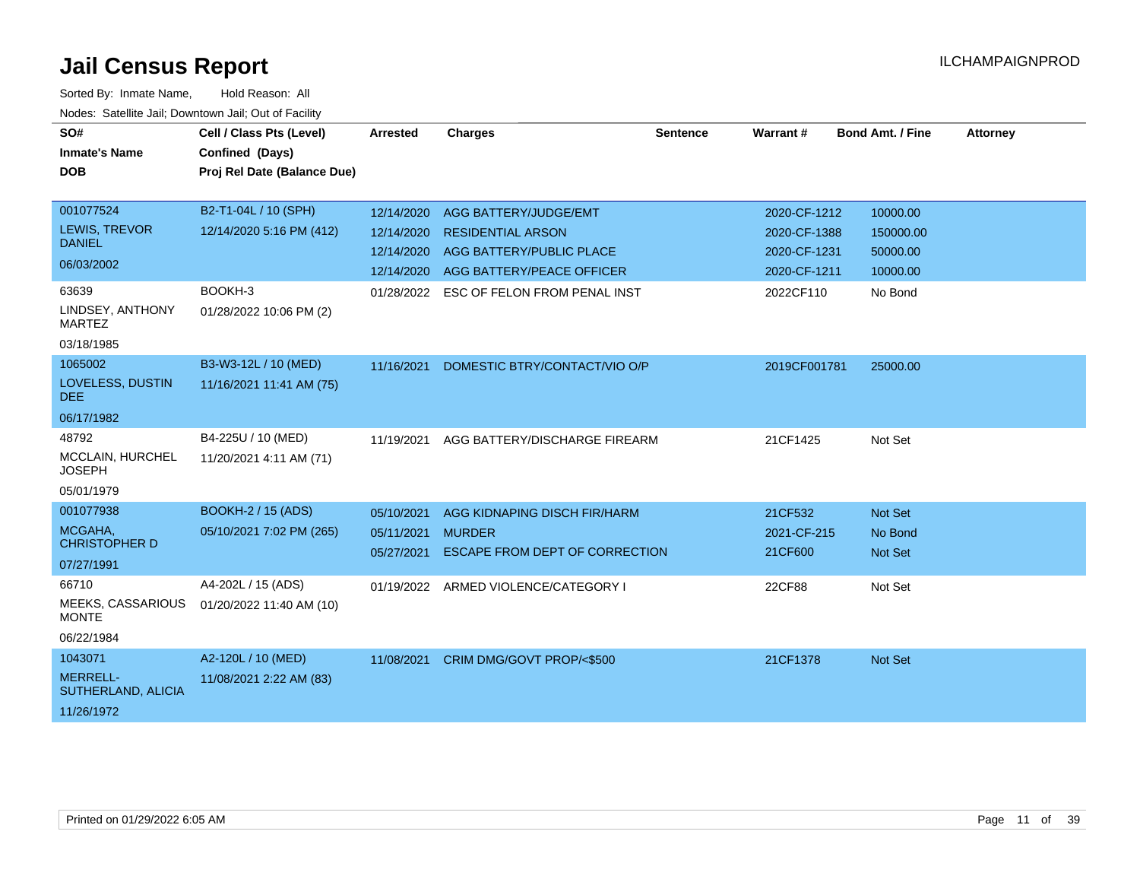| SO#<br><b>Inmate's Name</b><br><b>DOB</b>                                                               | Cell / Class Pts (Level)<br>Confined (Days)<br>Proj Rel Date (Balance Due)             | <b>Arrested</b>                                      | <b>Charges</b>                                                                                                                                        | <b>Sentence</b> | Warrant #                                                                 | <b>Bond Amt. / Fine</b>                                  | <b>Attorney</b> |
|---------------------------------------------------------------------------------------------------------|----------------------------------------------------------------------------------------|------------------------------------------------------|-------------------------------------------------------------------------------------------------------------------------------------------------------|-----------------|---------------------------------------------------------------------------|----------------------------------------------------------|-----------------|
| 001077524<br>LEWIS, TREVOR<br><b>DANIEL</b><br>06/03/2002<br>63639<br>LINDSEY, ANTHONY<br><b>MARTEZ</b> | B2-T1-04L / 10 (SPH)<br>12/14/2020 5:16 PM (412)<br>BOOKH-3<br>01/28/2022 10:06 PM (2) | 12/14/2020<br>12/14/2020<br>12/14/2020<br>01/28/2022 | AGG BATTERY/JUDGE/EMT<br><b>RESIDENTIAL ARSON</b><br>AGG BATTERY/PUBLIC PLACE<br>12/14/2020 AGG BATTERY/PEACE OFFICER<br>ESC OF FELON FROM PENAL INST |                 | 2020-CF-1212<br>2020-CF-1388<br>2020-CF-1231<br>2020-CF-1211<br>2022CF110 | 10000.00<br>150000.00<br>50000.00<br>10000.00<br>No Bond |                 |
| 03/18/1985<br>1065002<br>LOVELESS, DUSTIN<br><b>DEE</b><br>06/17/1982                                   | B3-W3-12L / 10 (MED)<br>11/16/2021 11:41 AM (75)                                       | 11/16/2021                                           | DOMESTIC BTRY/CONTACT/VIO O/P                                                                                                                         |                 | 2019CF001781                                                              | 25000.00                                                 |                 |
| 48792<br>MCCLAIN, HURCHEL<br><b>JOSEPH</b><br>05/01/1979                                                | B4-225U / 10 (MED)<br>11/20/2021 4:11 AM (71)                                          | 11/19/2021                                           | AGG BATTERY/DISCHARGE FIREARM                                                                                                                         |                 | 21CF1425                                                                  | Not Set                                                  |                 |
| 001077938<br>MCGAHA,<br><b>CHRISTOPHER D</b><br>07/27/1991                                              | BOOKH-2 / 15 (ADS)<br>05/10/2021 7:02 PM (265)                                         | 05/10/2021<br>05/11/2021<br>05/27/2021               | AGG KIDNAPING DISCH FIR/HARM<br><b>MURDER</b><br>ESCAPE FROM DEPT OF CORRECTION                                                                       |                 | 21CF532<br>2021-CF-215<br>21CF600                                         | Not Set<br>No Bond<br>Not Set                            |                 |
| 66710<br>MEEKS, CASSARIOUS<br><b>MONTE</b><br>06/22/1984                                                | A4-202L / 15 (ADS)<br>01/20/2022 11:40 AM (10)                                         |                                                      | 01/19/2022 ARMED VIOLENCE/CATEGORY I                                                                                                                  |                 | 22CF88                                                                    | Not Set                                                  |                 |
| 1043071<br>MERRELL-<br>SUTHERLAND, ALICIA<br>11/26/1972                                                 | A2-120L / 10 (MED)<br>11/08/2021 2:22 AM (83)                                          | 11/08/2021                                           | CRIM DMG/GOVT PROP/<\$500                                                                                                                             |                 | 21CF1378                                                                  | Not Set                                                  |                 |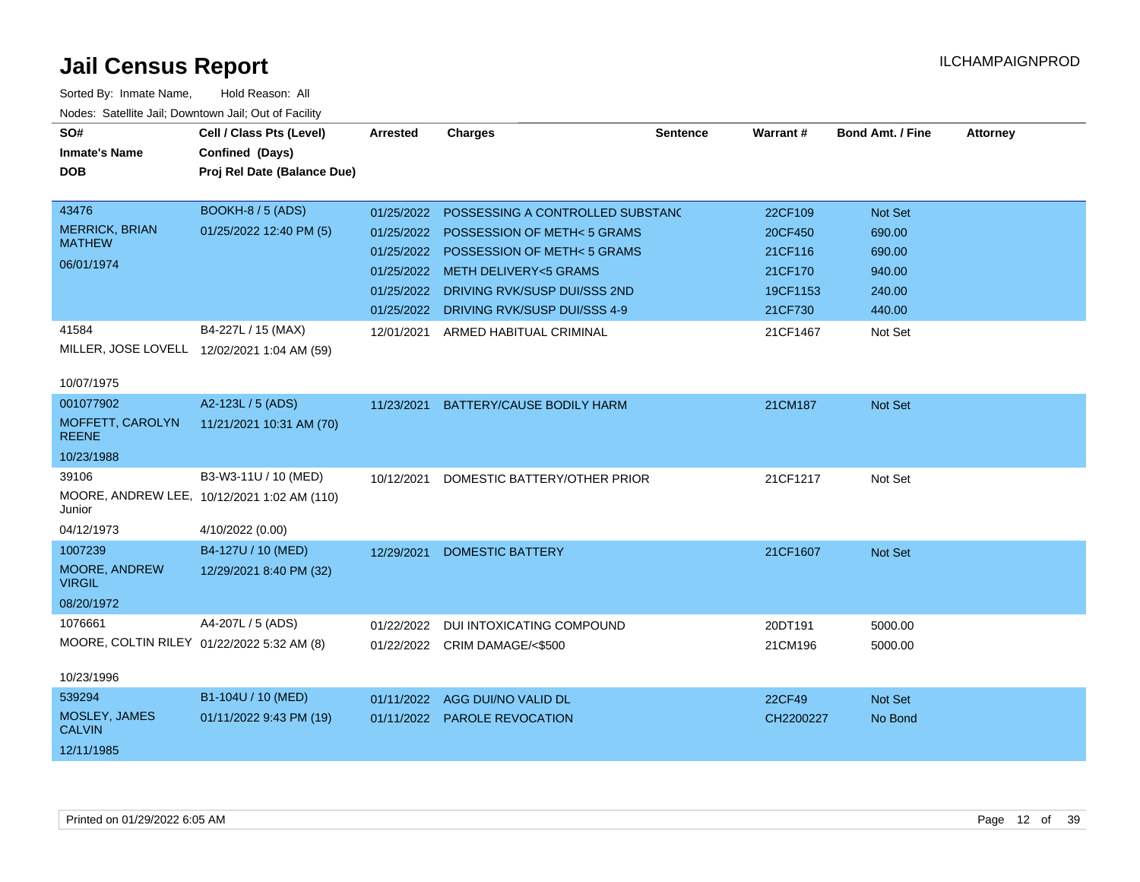| SO#                                        | Cell / Class Pts (Level)                    | <b>Arrested</b> | <b>Charges</b>                       | <b>Sentence</b> | Warrant#  | <b>Bond Amt. / Fine</b> | <b>Attorney</b> |
|--------------------------------------------|---------------------------------------------|-----------------|--------------------------------------|-----------------|-----------|-------------------------|-----------------|
| <b>Inmate's Name</b>                       | Confined (Days)                             |                 |                                      |                 |           |                         |                 |
| <b>DOB</b>                                 | Proj Rel Date (Balance Due)                 |                 |                                      |                 |           |                         |                 |
|                                            |                                             |                 |                                      |                 |           |                         |                 |
| 43476                                      | BOOKH-8 / 5 (ADS)                           | 01/25/2022      | POSSESSING A CONTROLLED SUBSTAND     |                 | 22CF109   | Not Set                 |                 |
| <b>MERRICK, BRIAN</b><br><b>MATHEW</b>     | 01/25/2022 12:40 PM (5)                     | 01/25/2022      | POSSESSION OF METH<5 GRAMS           |                 | 20CF450   | 690.00                  |                 |
| 06/01/1974                                 |                                             | 01/25/2022      | <b>POSSESSION OF METH&lt;5 GRAMS</b> |                 | 21CF116   | 690.00                  |                 |
|                                            |                                             |                 | 01/25/2022 METH DELIVERY<5 GRAMS     |                 | 21CF170   | 940.00                  |                 |
|                                            |                                             | 01/25/2022      | DRIVING RVK/SUSP DUI/SSS 2ND         |                 | 19CF1153  | 240.00                  |                 |
|                                            |                                             | 01/25/2022      | DRIVING RVK/SUSP DUI/SSS 4-9         |                 | 21CF730   | 440.00                  |                 |
| 41584                                      | B4-227L / 15 (MAX)                          | 12/01/2021      | ARMED HABITUAL CRIMINAL              |                 | 21CF1467  | Not Set                 |                 |
|                                            | MILLER, JOSE LOVELL 12/02/2021 1:04 AM (59) |                 |                                      |                 |           |                         |                 |
| 10/07/1975                                 |                                             |                 |                                      |                 |           |                         |                 |
| 001077902                                  | A2-123L / 5 (ADS)                           | 11/23/2021      | <b>BATTERY/CAUSE BODILY HARM</b>     |                 | 21CM187   | Not Set                 |                 |
| MOFFETT, CAROLYN<br><b>REENE</b>           | 11/21/2021 10:31 AM (70)                    |                 |                                      |                 |           |                         |                 |
| 10/23/1988                                 |                                             |                 |                                      |                 |           |                         |                 |
| 39106                                      | B3-W3-11U / 10 (MED)                        | 10/12/2021      | DOMESTIC BATTERY/OTHER PRIOR         |                 | 21CF1217  | Not Set                 |                 |
| Junior                                     | MOORE, ANDREW LEE, 10/12/2021 1:02 AM (110) |                 |                                      |                 |           |                         |                 |
| 04/12/1973                                 | 4/10/2022 (0.00)                            |                 |                                      |                 |           |                         |                 |
| 1007239                                    | B4-127U / 10 (MED)                          | 12/29/2021      | <b>DOMESTIC BATTERY</b>              |                 | 21CF1607  | Not Set                 |                 |
| MOORE, ANDREW<br><b>VIRGIL</b>             | 12/29/2021 8:40 PM (32)                     |                 |                                      |                 |           |                         |                 |
| 08/20/1972                                 |                                             |                 |                                      |                 |           |                         |                 |
| 1076661                                    | A4-207L / 5 (ADS)                           | 01/22/2022      | DUI INTOXICATING COMPOUND            |                 | 20DT191   | 5000.00                 |                 |
| MOORE, COLTIN RILEY 01/22/2022 5:32 AM (8) |                                             |                 | 01/22/2022 CRIM DAMAGE/<\$500        |                 | 21CM196   | 5000.00                 |                 |
| 10/23/1996                                 |                                             |                 |                                      |                 |           |                         |                 |
| 539294                                     | B1-104U / 10 (MED)                          | 01/11/2022      | AGG DUI/NO VALID DL                  |                 | 22CF49    | <b>Not Set</b>          |                 |
| MOSLEY, JAMES<br><b>CALVIN</b>             | 01/11/2022 9:43 PM (19)                     |                 | 01/11/2022 PAROLE REVOCATION         |                 | CH2200227 | No Bond                 |                 |
| 12/11/1985                                 |                                             |                 |                                      |                 |           |                         |                 |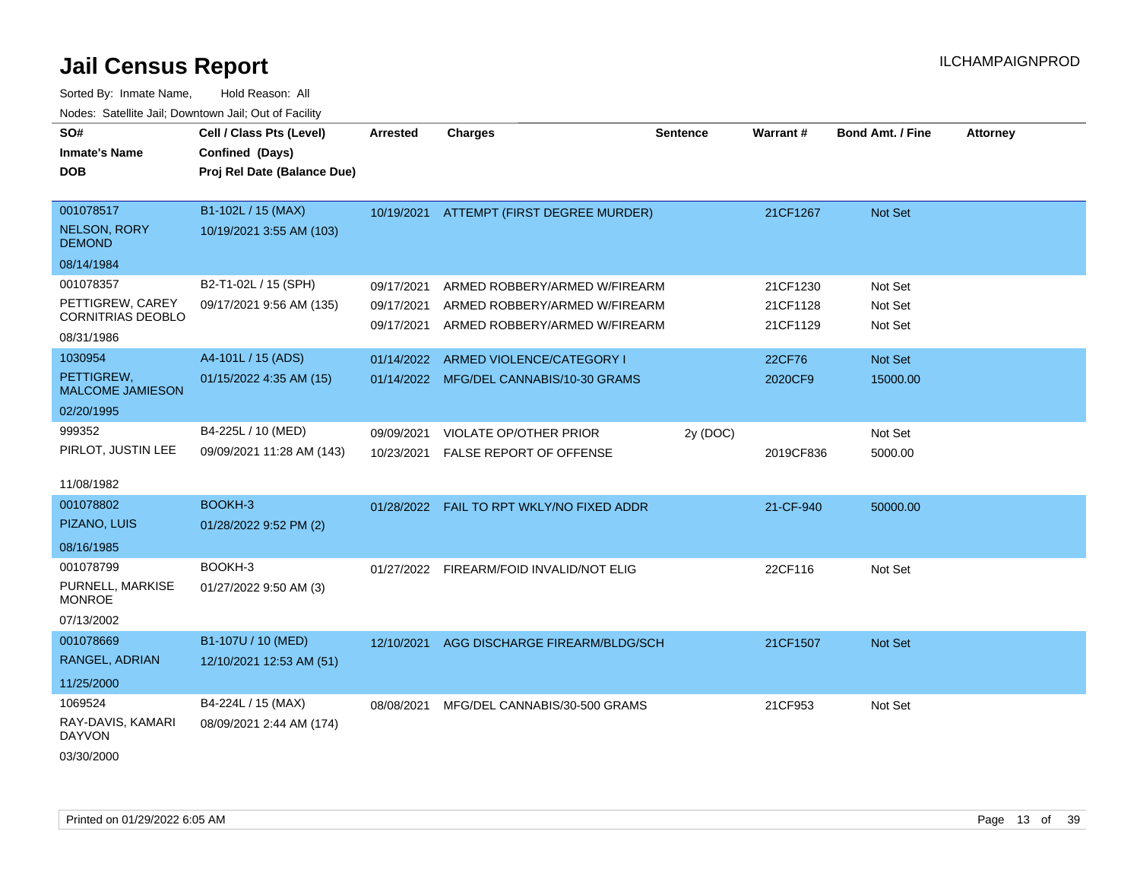| SO#                                   | Cell / Class Pts (Level)    | <b>Arrested</b> | <b>Charges</b>                             | <b>Sentence</b> | Warrant#  | <b>Bond Amt. / Fine</b> | <b>Attorney</b> |
|---------------------------------------|-----------------------------|-----------------|--------------------------------------------|-----------------|-----------|-------------------------|-----------------|
| <b>Inmate's Name</b>                  | Confined (Days)             |                 |                                            |                 |           |                         |                 |
| <b>DOB</b>                            | Proj Rel Date (Balance Due) |                 |                                            |                 |           |                         |                 |
|                                       |                             |                 |                                            |                 |           |                         |                 |
| 001078517                             | B1-102L / 15 (MAX)          |                 | 10/19/2021 ATTEMPT (FIRST DEGREE MURDER)   |                 | 21CF1267  | Not Set                 |                 |
| <b>NELSON, RORY</b><br><b>DEMOND</b>  | 10/19/2021 3:55 AM (103)    |                 |                                            |                 |           |                         |                 |
| 08/14/1984                            |                             |                 |                                            |                 |           |                         |                 |
| 001078357                             | B2-T1-02L / 15 (SPH)        | 09/17/2021      | ARMED ROBBERY/ARMED W/FIREARM              |                 | 21CF1230  | Not Set                 |                 |
| PETTIGREW, CAREY                      | 09/17/2021 9:56 AM (135)    | 09/17/2021      | ARMED ROBBERY/ARMED W/FIREARM              |                 | 21CF1128  | Not Set                 |                 |
| <b>CORNITRIAS DEOBLO</b>              |                             | 09/17/2021      | ARMED ROBBERY/ARMED W/FIREARM              |                 | 21CF1129  | Not Set                 |                 |
| 08/31/1986                            |                             |                 |                                            |                 |           |                         |                 |
| 1030954                               | A4-101L / 15 (ADS)          | 01/14/2022      | ARMED VIOLENCE/CATEGORY I                  |                 | 22CF76    | <b>Not Set</b>          |                 |
| PETTIGREW,<br><b>MALCOME JAMIESON</b> | 01/15/2022 4:35 AM (15)     |                 | 01/14/2022 MFG/DEL CANNABIS/10-30 GRAMS    |                 | 2020CF9   | 15000.00                |                 |
| 02/20/1995                            |                             |                 |                                            |                 |           |                         |                 |
| 999352                                | B4-225L / 10 (MED)          | 09/09/2021      | VIOLATE OP/OTHER PRIOR                     | 2y (DOC)        |           | Not Set                 |                 |
| PIRLOT, JUSTIN LEE                    | 09/09/2021 11:28 AM (143)   | 10/23/2021      | <b>FALSE REPORT OF OFFENSE</b>             |                 | 2019CF836 | 5000.00                 |                 |
|                                       |                             |                 |                                            |                 |           |                         |                 |
| 11/08/1982                            |                             |                 |                                            |                 |           |                         |                 |
| 001078802                             | BOOKH-3                     |                 | 01/28/2022  FAIL TO RPT WKLY/NO FIXED ADDR |                 | 21-CF-940 | 50000.00                |                 |
| PIZANO, LUIS                          | 01/28/2022 9:52 PM (2)      |                 |                                            |                 |           |                         |                 |
| 08/16/1985                            |                             |                 |                                            |                 |           |                         |                 |
| 001078799                             | BOOKH-3                     |                 | 01/27/2022 FIREARM/FOID INVALID/NOT ELIG   |                 | 22CF116   | Not Set                 |                 |
| PURNELL, MARKISE<br><b>MONROE</b>     | 01/27/2022 9:50 AM (3)      |                 |                                            |                 |           |                         |                 |
| 07/13/2002                            |                             |                 |                                            |                 |           |                         |                 |
| 001078669                             | B1-107U / 10 (MED)          | 12/10/2021      | AGG DISCHARGE FIREARM/BLDG/SCH             |                 | 21CF1507  | <b>Not Set</b>          |                 |
| RANGEL, ADRIAN                        | 12/10/2021 12:53 AM (51)    |                 |                                            |                 |           |                         |                 |
| 11/25/2000                            |                             |                 |                                            |                 |           |                         |                 |
| 1069524                               | B4-224L / 15 (MAX)          | 08/08/2021      | MFG/DEL CANNABIS/30-500 GRAMS              |                 | 21CF953   | Not Set                 |                 |
| RAY-DAVIS, KAMARI<br>DAYVON           | 08/09/2021 2:44 AM (174)    |                 |                                            |                 |           |                         |                 |
| 03/30/2000                            |                             |                 |                                            |                 |           |                         |                 |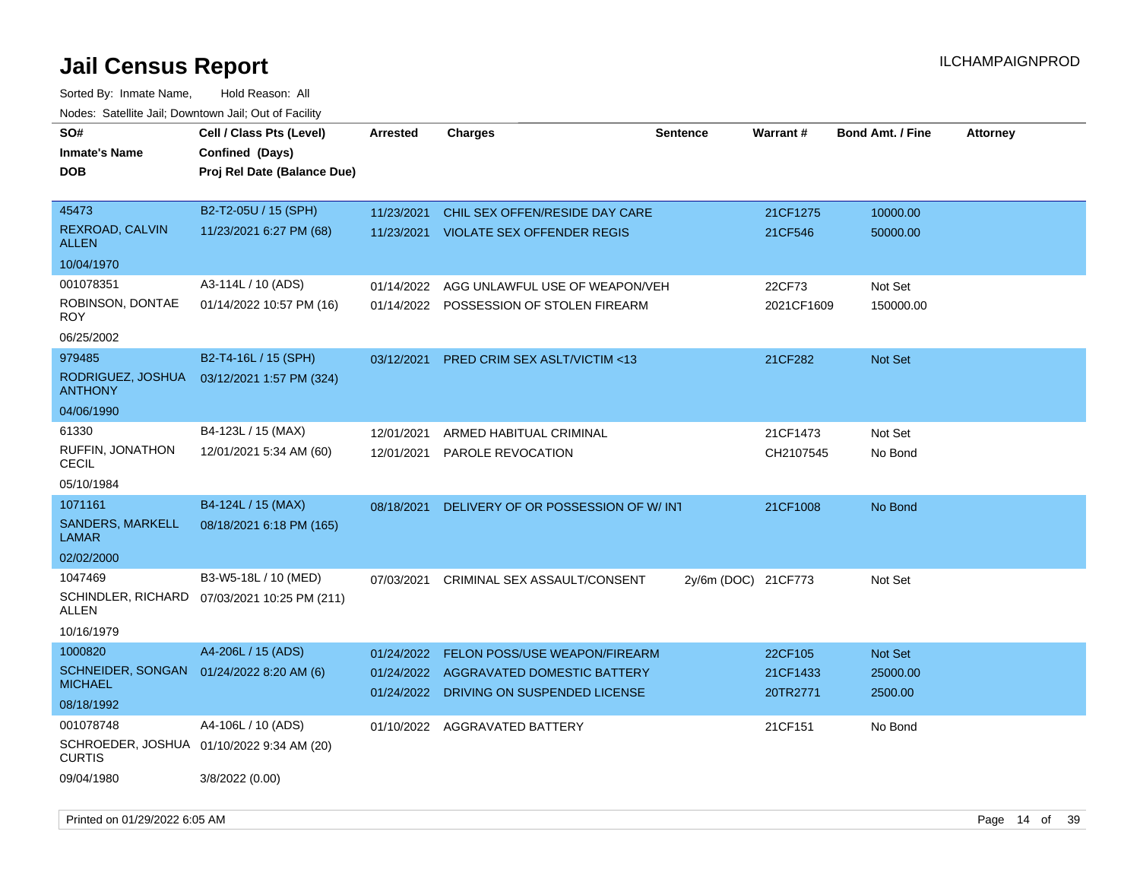| SO#<br><b>Inmate's Name</b><br><b>DOB</b>                                      | Cell / Class Pts (Level)<br>Confined (Days)<br>Proj Rel Date (Balance Due) | <b>Arrested</b>                        | <b>Charges</b>                                                                                      | <b>Sentence</b>     | Warrant#                        | <b>Bond Amt. / Fine</b>        | <b>Attorney</b> |
|--------------------------------------------------------------------------------|----------------------------------------------------------------------------|----------------------------------------|-----------------------------------------------------------------------------------------------------|---------------------|---------------------------------|--------------------------------|-----------------|
| 45473<br>REXROAD, CALVIN<br><b>ALLEN</b><br>10/04/1970                         | B2-T2-05U / 15 (SPH)<br>11/23/2021 6:27 PM (68)                            | 11/23/2021<br>11/23/2021               | CHIL SEX OFFEN/RESIDE DAY CARE<br><b>VIOLATE SEX OFFENDER REGIS</b>                                 |                     | 21CF1275<br>21CF546             | 10000.00<br>50000.00           |                 |
| 001078351<br>ROBINSON, DONTAE<br>ROY.<br>06/25/2002                            | A3-114L / 10 (ADS)<br>01/14/2022 10:57 PM (16)                             | 01/14/2022<br>01/14/2022               | AGG UNLAWFUL USE OF WEAPON/VEH<br>POSSESSION OF STOLEN FIREARM                                      |                     | 22CF73<br>2021CF1609            | Not Set<br>150000.00           |                 |
| 979485<br>RODRIGUEZ, JOSHUA<br><b>ANTHONY</b><br>04/06/1990                    | B2-T4-16L / 15 (SPH)<br>03/12/2021 1:57 PM (324)                           | 03/12/2021                             | <b>PRED CRIM SEX ASLT/VICTIM &lt;13</b>                                                             |                     | 21CF282                         | <b>Not Set</b>                 |                 |
| 61330<br>RUFFIN, JONATHON<br>CECIL<br>05/10/1984                               | B4-123L / 15 (MAX)<br>12/01/2021 5:34 AM (60)                              | 12/01/2021<br>12/01/2021               | ARMED HABITUAL CRIMINAL<br>PAROLE REVOCATION                                                        |                     | 21CF1473<br>CH2107545           | Not Set<br>No Bond             |                 |
| 1071161<br>SANDERS, MARKELL<br>LAMAR<br>02/02/2000                             | B4-124L / 15 (MAX)<br>08/18/2021 6:18 PM (165)                             | 08/18/2021                             | DELIVERY OF OR POSSESSION OF W/INT                                                                  |                     | 21CF1008                        | No Bond                        |                 |
| 1047469<br>ALLEN<br>10/16/1979                                                 | B3-W5-18L / 10 (MED)<br>SCHINDLER, RICHARD 07/03/2021 10:25 PM (211)       | 07/03/2021                             | CRIMINAL SEX ASSAULT/CONSENT                                                                        | 2y/6m (DOC) 21CF773 |                                 | Not Set                        |                 |
| 1000820<br>SCHNEIDER, SONGAN<br><b>MICHAEL</b><br>08/18/1992                   | A4-206L / 15 (ADS)<br>01/24/2022 8:20 AM (6)                               | 01/24/2022<br>01/24/2022<br>01/24/2022 | <b>FELON POSS/USE WEAPON/FIREARM</b><br>AGGRAVATED DOMESTIC BATTERY<br>DRIVING ON SUSPENDED LICENSE |                     | 22CF105<br>21CF1433<br>20TR2771 | Not Set<br>25000.00<br>2500.00 |                 |
| 001078748<br>SCHROEDER, JOSHUA 01/10/2022 9:34 AM (20)<br>CURTIS<br>09/04/1980 | A4-106L / 10 (ADS)<br>3/8/2022 (0.00)                                      |                                        | 01/10/2022 AGGRAVATED BATTERY                                                                       |                     | 21CF151                         | No Bond                        |                 |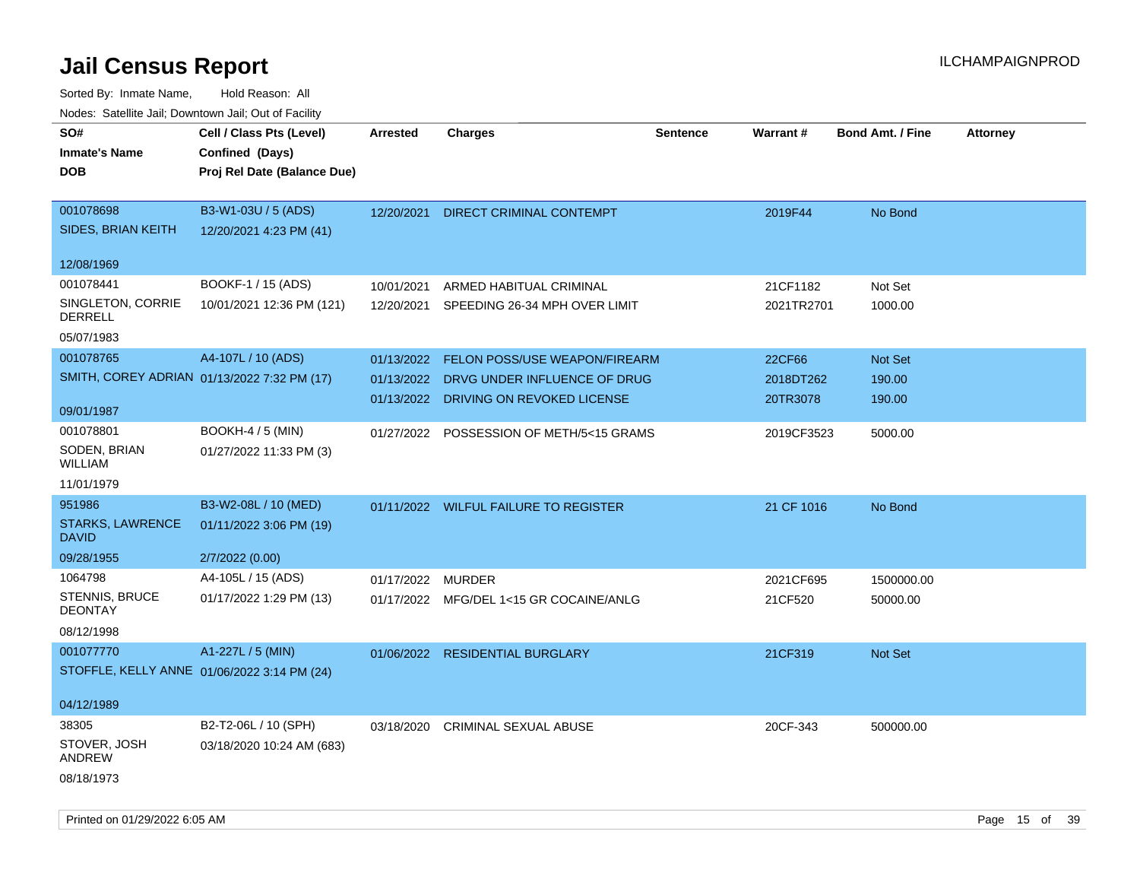| rouco. Calcinic Jan, Downtown Jan, Out of Facility |                             |                 |                                          |          |                 |                         |                 |
|----------------------------------------------------|-----------------------------|-----------------|------------------------------------------|----------|-----------------|-------------------------|-----------------|
| SO#                                                | Cell / Class Pts (Level)    | <b>Arrested</b> | <b>Charges</b>                           | Sentence | <b>Warrant#</b> | <b>Bond Amt. / Fine</b> | <b>Attorney</b> |
| <b>Inmate's Name</b>                               | Confined (Days)             |                 |                                          |          |                 |                         |                 |
| <b>DOB</b>                                         | Proj Rel Date (Balance Due) |                 |                                          |          |                 |                         |                 |
|                                                    |                             |                 |                                          |          |                 |                         |                 |
| 001078698                                          | B3-W1-03U / 5 (ADS)         | 12/20/2021      | <b>DIRECT CRIMINAL CONTEMPT</b>          |          | 2019F44         | No Bond                 |                 |
| SIDES, BRIAN KEITH                                 | 12/20/2021 4:23 PM (41)     |                 |                                          |          |                 |                         |                 |
| 12/08/1969                                         |                             |                 |                                          |          |                 |                         |                 |
| 001078441                                          | BOOKF-1 / 15 (ADS)          | 10/01/2021      | ARMED HABITUAL CRIMINAL                  |          | 21CF1182        | Not Set                 |                 |
| SINGLETON, CORRIE                                  | 10/01/2021 12:36 PM (121)   | 12/20/2021      | SPEEDING 26-34 MPH OVER LIMIT            |          | 2021TR2701      | 1000.00                 |                 |
| <b>DERRELL</b>                                     |                             |                 |                                          |          |                 |                         |                 |
| 05/07/1983                                         |                             |                 |                                          |          |                 |                         |                 |
| 001078765                                          | A4-107L / 10 (ADS)          | 01/13/2022      | FELON POSS/USE WEAPON/FIREARM            |          | 22CF66          | <b>Not Set</b>          |                 |
| SMITH, COREY ADRIAN 01/13/2022 7:32 PM (17)        |                             | 01/13/2022      | DRVG UNDER INFLUENCE OF DRUG             |          | 2018DT262       | 190.00                  |                 |
|                                                    |                             |                 | 01/13/2022 DRIVING ON REVOKED LICENSE    |          | 20TR3078        | 190.00                  |                 |
| 09/01/1987                                         |                             |                 |                                          |          |                 |                         |                 |
| 001078801                                          | <b>BOOKH-4 / 5 (MIN)</b>    |                 | 01/27/2022 POSSESSION OF METH/5<15 GRAMS |          | 2019CF3523      | 5000.00                 |                 |
| SODEN, BRIAN<br>WILLIAM                            | 01/27/2022 11:33 PM (3)     |                 |                                          |          |                 |                         |                 |
| 11/01/1979                                         |                             |                 |                                          |          |                 |                         |                 |
| 951986                                             | B3-W2-08L / 10 (MED)        |                 | 01/11/2022 WILFUL FAILURE TO REGISTER    |          | 21 CF 1016      | No Bond                 |                 |
| <b>STARKS, LAWRENCE</b><br><b>DAVID</b>            | 01/11/2022 3:06 PM (19)     |                 |                                          |          |                 |                         |                 |
| 09/28/1955                                         | 2/7/2022 (0.00)             |                 |                                          |          |                 |                         |                 |
| 1064798                                            | A4-105L / 15 (ADS)          | 01/17/2022      | MURDER                                   |          | 2021CF695       | 1500000.00              |                 |
| <b>STENNIS, BRUCE</b><br><b>DEONTAY</b>            | 01/17/2022 1:29 PM (13)     |                 | 01/17/2022 MFG/DEL 1<15 GR COCAINE/ANLG  |          | 21CF520         | 50000.00                |                 |
| 08/12/1998                                         |                             |                 |                                          |          |                 |                         |                 |
| 001077770                                          | A1-227L / 5 (MIN)           | 01/06/2022      | <b>RESIDENTIAL BURGLARY</b>              |          | 21CF319         | <b>Not Set</b>          |                 |
| STOFFLE, KELLY ANNE 01/06/2022 3:14 PM (24)        |                             |                 |                                          |          |                 |                         |                 |
|                                                    |                             |                 |                                          |          |                 |                         |                 |
| 04/12/1989                                         |                             |                 |                                          |          |                 |                         |                 |
| 38305                                              | B2-T2-06L / 10 (SPH)        | 03/18/2020      | <b>CRIMINAL SEXUAL ABUSE</b>             |          | 20CF-343        | 500000.00               |                 |
| STOVER, JOSH<br>ANDREW                             | 03/18/2020 10:24 AM (683)   |                 |                                          |          |                 |                         |                 |
| 08/18/1973                                         |                             |                 |                                          |          |                 |                         |                 |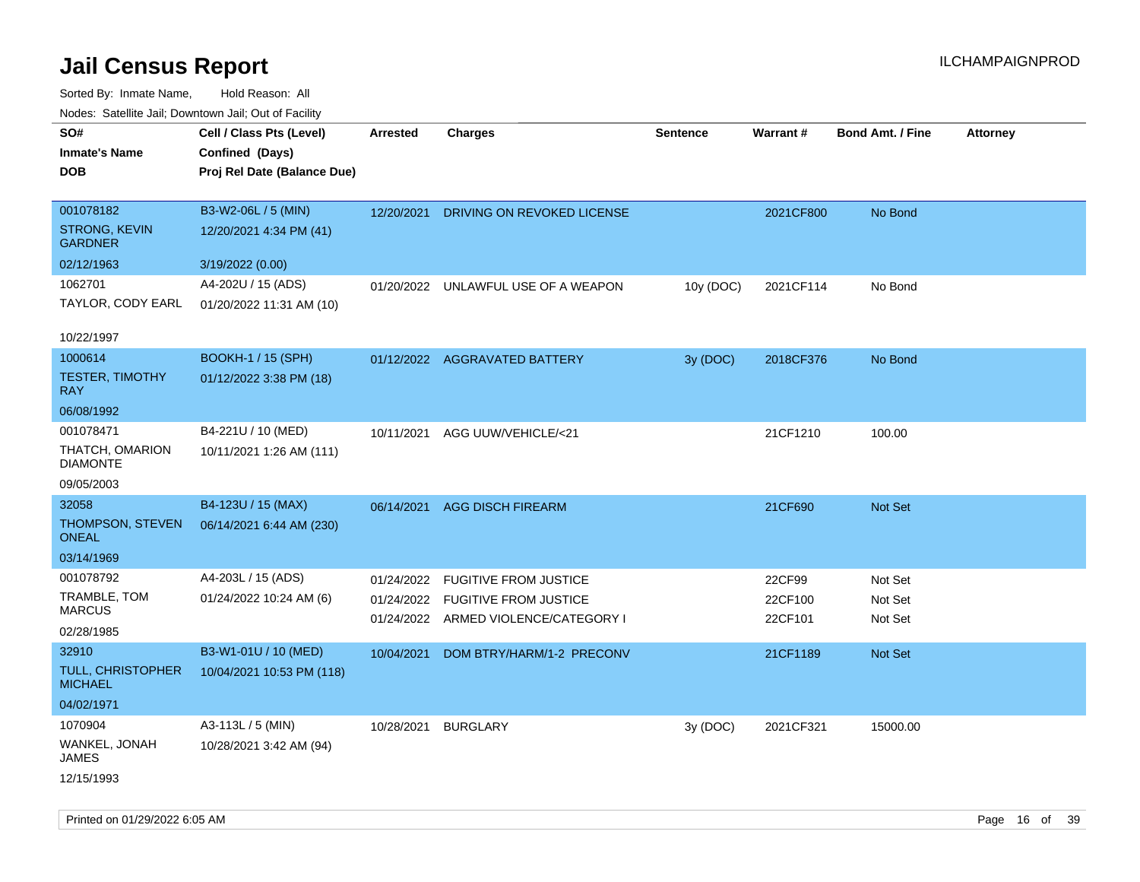Sorted By: Inmate Name, Hold Reason: All Nodes: Satellite Jail; Downtown Jail; Out of Facility

| ivous. Saleling Jali, Downtown Jali, Out of Facility |                             |                 |                                      |                 |           |                         |                 |
|------------------------------------------------------|-----------------------------|-----------------|--------------------------------------|-----------------|-----------|-------------------------|-----------------|
| SO#                                                  | Cell / Class Pts (Level)    | <b>Arrested</b> | <b>Charges</b>                       | <b>Sentence</b> | Warrant#  | <b>Bond Amt. / Fine</b> | <b>Attorney</b> |
| <b>Inmate's Name</b>                                 | Confined (Days)             |                 |                                      |                 |           |                         |                 |
| <b>DOB</b>                                           | Proj Rel Date (Balance Due) |                 |                                      |                 |           |                         |                 |
|                                                      |                             |                 |                                      |                 |           |                         |                 |
| 001078182                                            | B3-W2-06L / 5 (MIN)         | 12/20/2021      | DRIVING ON REVOKED LICENSE           |                 | 2021CF800 | No Bond                 |                 |
| <b>STRONG, KEVIN</b><br><b>GARDNER</b>               | 12/20/2021 4:34 PM (41)     |                 |                                      |                 |           |                         |                 |
| 02/12/1963                                           | 3/19/2022 (0.00)            |                 |                                      |                 |           |                         |                 |
| 1062701                                              | A4-202U / 15 (ADS)          | 01/20/2022      | UNLAWFUL USE OF A WEAPON             | 10y (DOC)       | 2021CF114 | No Bond                 |                 |
| TAYLOR, CODY EARL                                    | 01/20/2022 11:31 AM (10)    |                 |                                      |                 |           |                         |                 |
| 10/22/1997                                           |                             |                 |                                      |                 |           |                         |                 |
| 1000614                                              | <b>BOOKH-1 / 15 (SPH)</b>   |                 | 01/12/2022 AGGRAVATED BATTERY        | 3y (DOC)        | 2018CF376 | No Bond                 |                 |
| <b>TESTER, TIMOTHY</b><br><b>RAY</b>                 | 01/12/2022 3:38 PM (18)     |                 |                                      |                 |           |                         |                 |
| 06/08/1992                                           |                             |                 |                                      |                 |           |                         |                 |
| 001078471                                            | B4-221U / 10 (MED)          |                 | 10/11/2021 AGG UUW/VEHICLE/<21       |                 | 21CF1210  | 100.00                  |                 |
| THATCH, OMARION<br><b>DIAMONTE</b>                   | 10/11/2021 1:26 AM (111)    |                 |                                      |                 |           |                         |                 |
| 09/05/2003                                           |                             |                 |                                      |                 |           |                         |                 |
| 32058                                                | B4-123U / 15 (MAX)          |                 | 06/14/2021 AGG DISCH FIREARM         |                 | 21CF690   | Not Set                 |                 |
| THOMPSON, STEVEN<br><b>ONEAL</b>                     | 06/14/2021 6:44 AM (230)    |                 |                                      |                 |           |                         |                 |
| 03/14/1969                                           |                             |                 |                                      |                 |           |                         |                 |
| 001078792                                            | A4-203L / 15 (ADS)          | 01/24/2022      | <b>FUGITIVE FROM JUSTICE</b>         |                 | 22CF99    | Not Set                 |                 |
| TRAMBLE, TOM                                         | 01/24/2022 10:24 AM (6)     |                 | 01/24/2022 FUGITIVE FROM JUSTICE     |                 | 22CF100   | Not Set                 |                 |
| <b>MARCUS</b>                                        |                             |                 | 01/24/2022 ARMED VIOLENCE/CATEGORY I |                 | 22CF101   | Not Set                 |                 |
| 02/28/1985                                           |                             |                 |                                      |                 |           |                         |                 |
| 32910                                                | B3-W1-01U / 10 (MED)        | 10/04/2021      | DOM BTRY/HARM/1-2 PRECONV            |                 | 21CF1189  | Not Set                 |                 |
| TULL, CHRISTOPHER<br><b>MICHAEL</b>                  | 10/04/2021 10:53 PM (118)   |                 |                                      |                 |           |                         |                 |
| 04/02/1971                                           |                             |                 |                                      |                 |           |                         |                 |
| 1070904                                              | A3-113L / 5 (MIN)           | 10/28/2021      | <b>BURGLARY</b>                      | 3y (DOC)        | 2021CF321 | 15000.00                |                 |
| WANKEL, JONAH<br>JAMES                               | 10/28/2021 3:42 AM (94)     |                 |                                      |                 |           |                         |                 |
| 12/15/1993                                           |                             |                 |                                      |                 |           |                         |                 |

Printed on 01/29/2022 6:05 AM **Page 16** of 39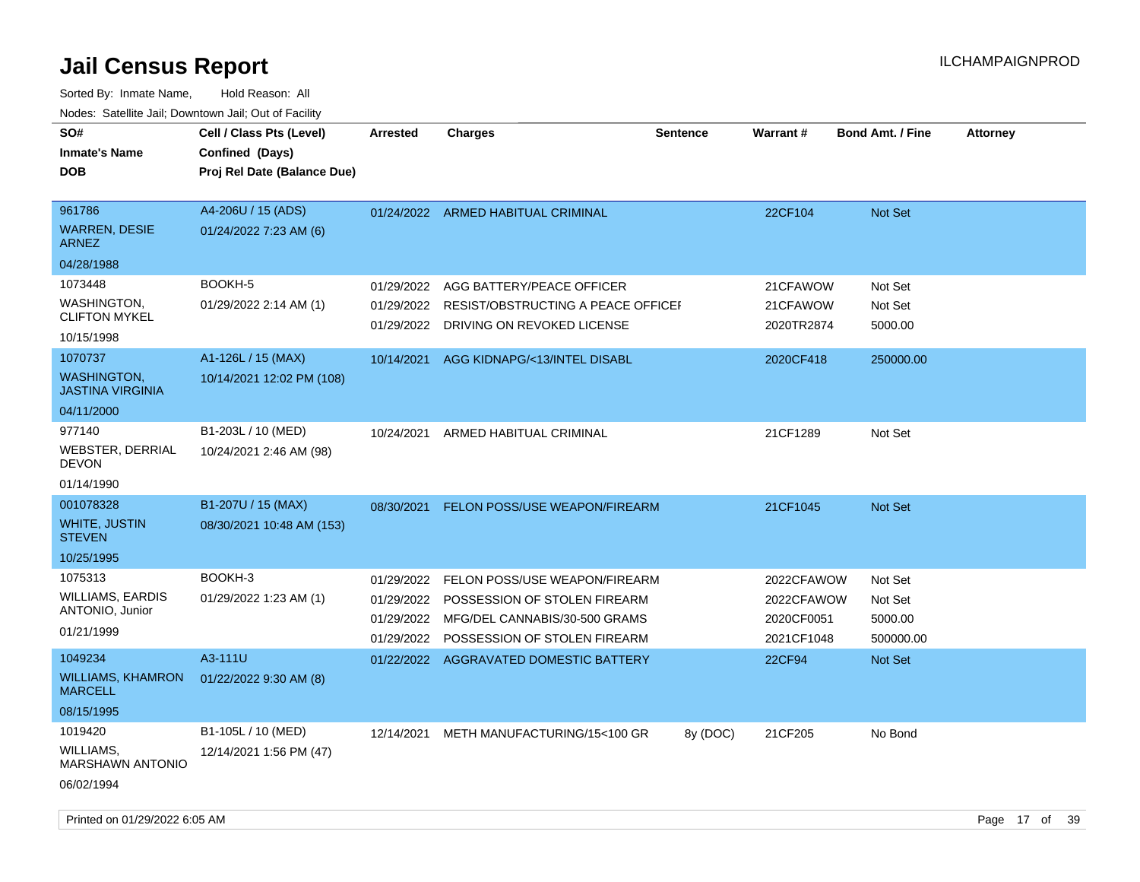| SO#                                           | Cell / Class Pts (Level)    | <b>Arrested</b> | <b>Charges</b>                         | <b>Sentence</b> | <b>Warrant#</b> | <b>Bond Amt. / Fine</b> | <b>Attorney</b> |
|-----------------------------------------------|-----------------------------|-----------------|----------------------------------------|-----------------|-----------------|-------------------------|-----------------|
| <b>Inmate's Name</b>                          | Confined (Days)             |                 |                                        |                 |                 |                         |                 |
| DOB                                           | Proj Rel Date (Balance Due) |                 |                                        |                 |                 |                         |                 |
| 961786                                        | A4-206U / 15 (ADS)          |                 | 01/24/2022 ARMED HABITUAL CRIMINAL     |                 | 22CF104         | <b>Not Set</b>          |                 |
| <b>WARREN, DESIE</b><br><b>ARNEZ</b>          | 01/24/2022 7:23 AM (6)      |                 |                                        |                 |                 |                         |                 |
| 04/28/1988                                    |                             |                 |                                        |                 |                 |                         |                 |
| 1073448                                       | BOOKH-5                     | 01/29/2022      | AGG BATTERY/PEACE OFFICER              |                 | 21CFAWOW        | Not Set                 |                 |
| WASHINGTON,<br><b>CLIFTON MYKEL</b>           | 01/29/2022 2:14 AM (1)      | 01/29/2022      | RESIST/OBSTRUCTING A PEACE OFFICEF     |                 | 21CFAWOW        | Not Set                 |                 |
| 10/15/1998                                    |                             | 01/29/2022      | DRIVING ON REVOKED LICENSE             |                 | 2020TR2874      | 5000.00                 |                 |
| 1070737                                       | A1-126L / 15 (MAX)          | 10/14/2021      | AGG KIDNAPG/<13/INTEL DISABL           |                 | 2020CF418       | 250000.00               |                 |
| <b>WASHINGTON,</b><br><b>JASTINA VIRGINIA</b> | 10/14/2021 12:02 PM (108)   |                 |                                        |                 |                 |                         |                 |
| 04/11/2000                                    |                             |                 |                                        |                 |                 |                         |                 |
| 977140                                        | B1-203L / 10 (MED)          | 10/24/2021      | ARMED HABITUAL CRIMINAL                |                 | 21CF1289        | Not Set                 |                 |
| WEBSTER, DERRIAL<br>DEVON                     | 10/24/2021 2:46 AM (98)     |                 |                                        |                 |                 |                         |                 |
| 01/14/1990                                    |                             |                 |                                        |                 |                 |                         |                 |
| 001078328                                     | B1-207U / 15 (MAX)          | 08/30/2021      | FELON POSS/USE WEAPON/FIREARM          |                 | 21CF1045        | <b>Not Set</b>          |                 |
| WHITE, JUSTIN<br><b>STEVEN</b>                | 08/30/2021 10:48 AM (153)   |                 |                                        |                 |                 |                         |                 |
| 10/25/1995                                    |                             |                 |                                        |                 |                 |                         |                 |
| 1075313                                       | BOOKH-3                     | 01/29/2022      | FELON POSS/USE WEAPON/FIREARM          |                 | 2022CFAWOW      | Not Set                 |                 |
| <b>WILLIAMS, EARDIS</b>                       | 01/29/2022 1:23 AM (1)      | 01/29/2022      | POSSESSION OF STOLEN FIREARM           |                 | 2022CFAWOW      | Not Set                 |                 |
| ANTONIO, Junior                               |                             | 01/29/2022      | MFG/DEL CANNABIS/30-500 GRAMS          |                 | 2020CF0051      | 5000.00                 |                 |
| 01/21/1999                                    |                             | 01/29/2022      | POSSESSION OF STOLEN FIREARM           |                 | 2021CF1048      | 500000.00               |                 |
| 1049234                                       | A3-111U                     |                 | 01/22/2022 AGGRAVATED DOMESTIC BATTERY |                 | 22CF94          | <b>Not Set</b>          |                 |
| <b>WILLIAMS, KHAMRON</b><br><b>MARCELL</b>    | 01/22/2022 9:30 AM (8)      |                 |                                        |                 |                 |                         |                 |
| 08/15/1995                                    |                             |                 |                                        |                 |                 |                         |                 |
| 1019420                                       | B1-105L / 10 (MED)          | 12/14/2021      | METH MANUFACTURING/15<100 GR           | 8y (DOC)        | 21CF205         | No Bond                 |                 |
| WILLIAMS,<br>MARSHAWN ANTONIO                 | 12/14/2021 1:56 PM (47)     |                 |                                        |                 |                 |                         |                 |
| 06/02/1994                                    |                             |                 |                                        |                 |                 |                         |                 |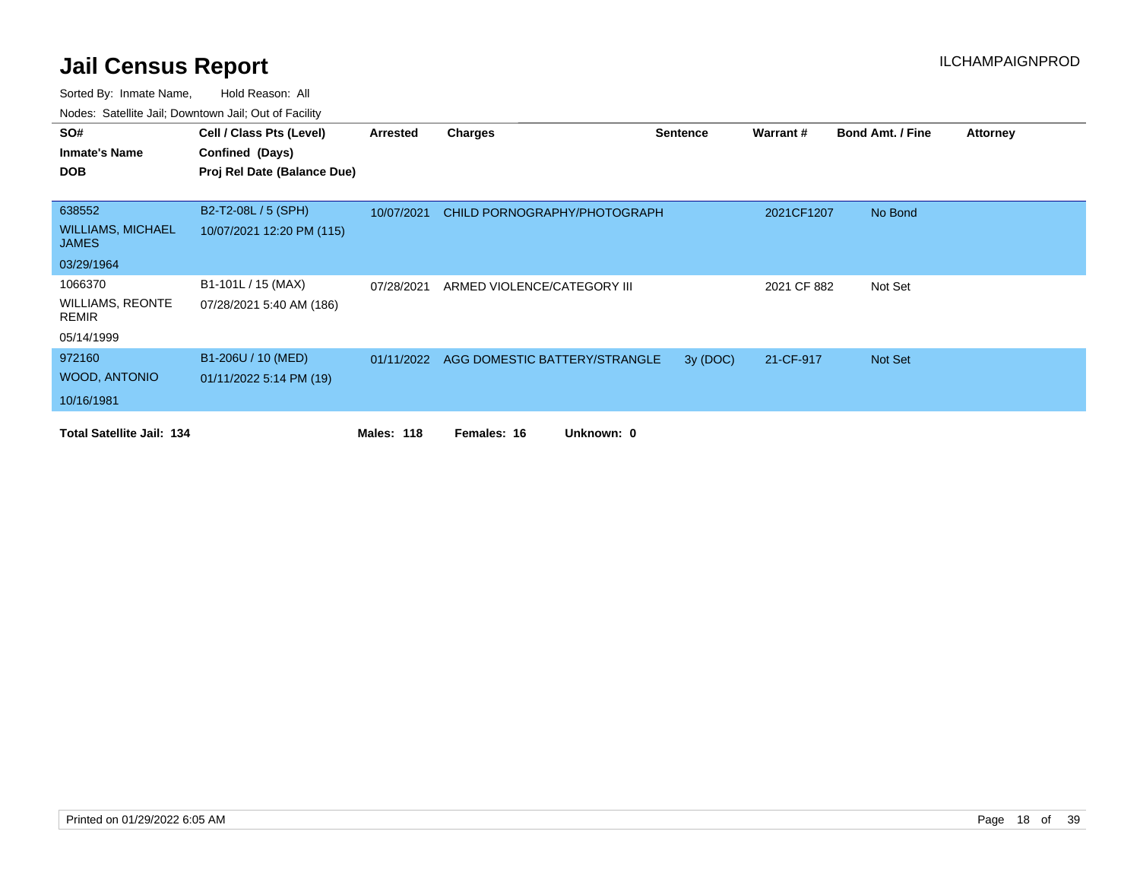| SO#                                      | Cell / Class Pts (Level)    | Arrested          | Charges                                  | <b>Sentence</b> | Warrant #   | <b>Bond Amt. / Fine</b> | <b>Attorney</b> |
|------------------------------------------|-----------------------------|-------------------|------------------------------------------|-----------------|-------------|-------------------------|-----------------|
| <b>Inmate's Name</b>                     | Confined (Days)             |                   |                                          |                 |             |                         |                 |
| <b>DOB</b>                               | Proj Rel Date (Balance Due) |                   |                                          |                 |             |                         |                 |
|                                          |                             |                   |                                          |                 |             |                         |                 |
| 638552                                   | B2-T2-08L / 5 (SPH)         | 10/07/2021        | CHILD PORNOGRAPHY/PHOTOGRAPH             |                 | 2021CF1207  | No Bond                 |                 |
| <b>WILLIAMS, MICHAEL</b><br><b>JAMES</b> | 10/07/2021 12:20 PM (115)   |                   |                                          |                 |             |                         |                 |
| 03/29/1964                               |                             |                   |                                          |                 |             |                         |                 |
| 1066370                                  | B1-101L / 15 (MAX)          | 07/28/2021        | ARMED VIOLENCE/CATEGORY III              |                 | 2021 CF 882 | Not Set                 |                 |
| <b>WILLIAMS, REONTE</b><br><b>REMIR</b>  | 07/28/2021 5:40 AM (186)    |                   |                                          |                 |             |                         |                 |
| 05/14/1999                               |                             |                   |                                          |                 |             |                         |                 |
| 972160                                   | B1-206U / 10 (MED)          |                   | 01/11/2022 AGG DOMESTIC BATTERY/STRANGLE | 3y (DOC)        | 21-CF-917   | Not Set                 |                 |
| WOOD, ANTONIO                            | 01/11/2022 5:14 PM (19)     |                   |                                          |                 |             |                         |                 |
| 10/16/1981                               |                             |                   |                                          |                 |             |                         |                 |
| <b>Total Satellite Jail: 134</b>         |                             | <b>Males: 118</b> | Females: 16<br>Unknown: 0                |                 |             |                         |                 |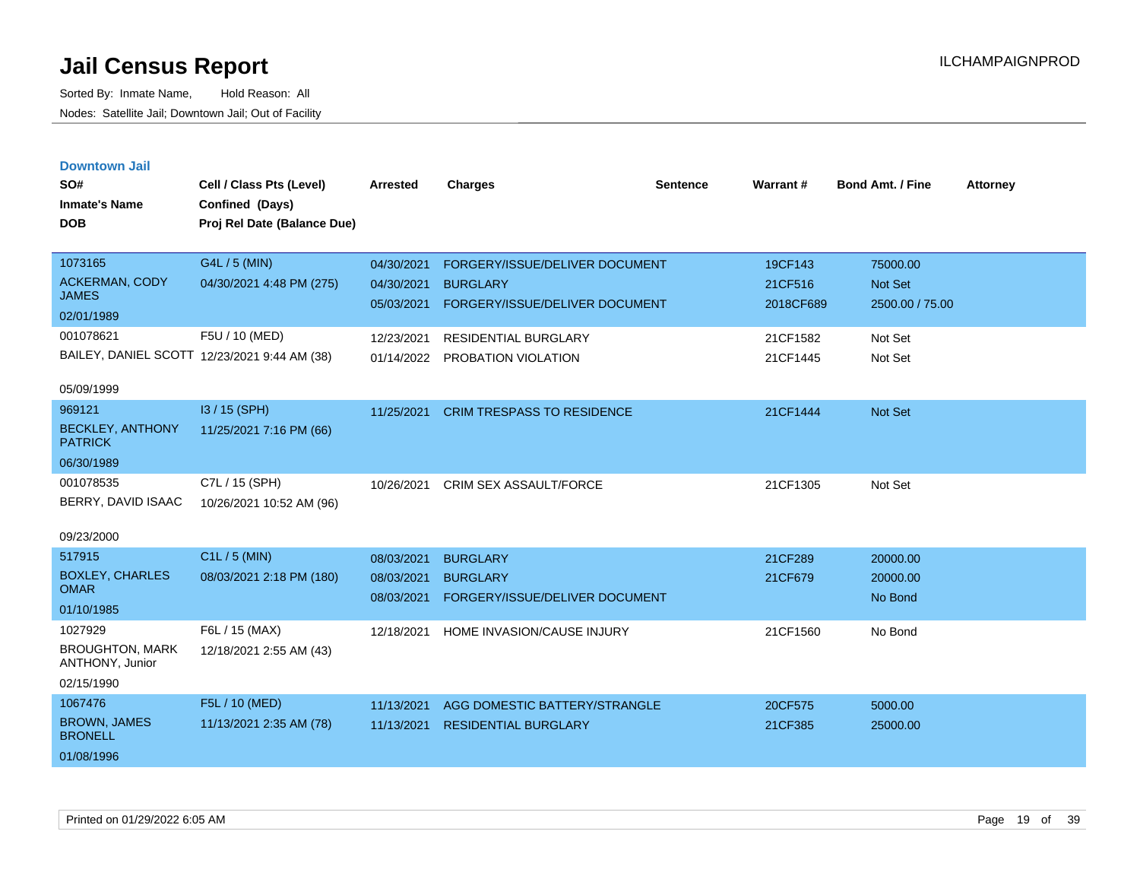|  |  | <b>Downtown Jail</b> |  |  |
|--|--|----------------------|--|--|
|  |  |                      |  |  |
|  |  |                      |  |  |

| SO#<br><b>Inmate's Name</b><br><b>DOB</b> | Cell / Class Pts (Level)<br>Confined (Days)<br>Proj Rel Date (Balance Due) | Arrested   | <b>Charges</b>                    | <b>Sentence</b> | <b>Warrant#</b> | <b>Bond Amt. / Fine</b> | <b>Attorney</b> |
|-------------------------------------------|----------------------------------------------------------------------------|------------|-----------------------------------|-----------------|-----------------|-------------------------|-----------------|
| 1073165                                   | G4L / 5 (MIN)                                                              | 04/30/2021 | FORGERY/ISSUE/DELIVER DOCUMENT    |                 | 19CF143         | 75000.00                |                 |
| <b>ACKERMAN, CODY</b><br><b>JAMES</b>     | 04/30/2021 4:48 PM (275)                                                   | 04/30/2021 | <b>BURGLARY</b>                   |                 | 21CF516         | Not Set                 |                 |
| 02/01/1989                                |                                                                            | 05/03/2021 | FORGERY/ISSUE/DELIVER DOCUMENT    |                 | 2018CF689       | 2500.00 / 75.00         |                 |
| 001078621                                 | F5U / 10 (MED)                                                             | 12/23/2021 | RESIDENTIAL BURGLARY              |                 | 21CF1582        | Not Set                 |                 |
|                                           | BAILEY, DANIEL SCOTT 12/23/2021 9:44 AM (38)                               |            | 01/14/2022 PROBATION VIOLATION    |                 | 21CF1445        | Not Set                 |                 |
| 05/09/1999                                |                                                                            |            |                                   |                 |                 |                         |                 |
| 969121                                    | I3 / 15 (SPH)                                                              | 11/25/2021 | <b>CRIM TRESPASS TO RESIDENCE</b> |                 | 21CF1444        | Not Set                 |                 |
| <b>BECKLEY, ANTHONY</b><br><b>PATRICK</b> | 11/25/2021 7:16 PM (66)                                                    |            |                                   |                 |                 |                         |                 |
| 06/30/1989                                |                                                                            |            |                                   |                 |                 |                         |                 |
| 001078535                                 | C7L / 15 (SPH)                                                             | 10/26/2021 | CRIM SEX ASSAULT/FORCE            |                 | 21CF1305        | Not Set                 |                 |
| BERRY, DAVID ISAAC                        | 10/26/2021 10:52 AM (96)                                                   |            |                                   |                 |                 |                         |                 |
| 09/23/2000                                |                                                                            |            |                                   |                 |                 |                         |                 |
| 517915                                    | C1L / 5 (MIN)                                                              | 08/03/2021 | <b>BURGLARY</b>                   |                 | 21CF289         | 20000.00                |                 |
| <b>BOXLEY, CHARLES</b>                    | 08/03/2021 2:18 PM (180)                                                   | 08/03/2021 | <b>BURGLARY</b>                   |                 | 21CF679         | 20000.00                |                 |
| <b>OMAR</b>                               |                                                                            | 08/03/2021 | FORGERY/ISSUE/DELIVER DOCUMENT    |                 |                 | No Bond                 |                 |
| 01/10/1985<br>1027929                     | F6L / 15 (MAX)                                                             |            |                                   |                 |                 |                         |                 |
| <b>BROUGHTON, MARK</b>                    | 12/18/2021 2:55 AM (43)                                                    | 12/18/2021 | HOME INVASION/CAUSE INJURY        |                 | 21CF1560        | No Bond                 |                 |
| ANTHONY, Junior                           |                                                                            |            |                                   |                 |                 |                         |                 |
| 02/15/1990                                |                                                                            |            |                                   |                 |                 |                         |                 |
| 1067476                                   | F5L / 10 (MED)                                                             | 11/13/2021 | AGG DOMESTIC BATTERY/STRANGLE     |                 | 20CF575         | 5000.00                 |                 |
| <b>BROWN, JAMES</b><br><b>BRONELL</b>     | 11/13/2021 2:35 AM (78)                                                    | 11/13/2021 | <b>RESIDENTIAL BURGLARY</b>       |                 | 21CF385         | 25000.00                |                 |
| 01/08/1996                                |                                                                            |            |                                   |                 |                 |                         |                 |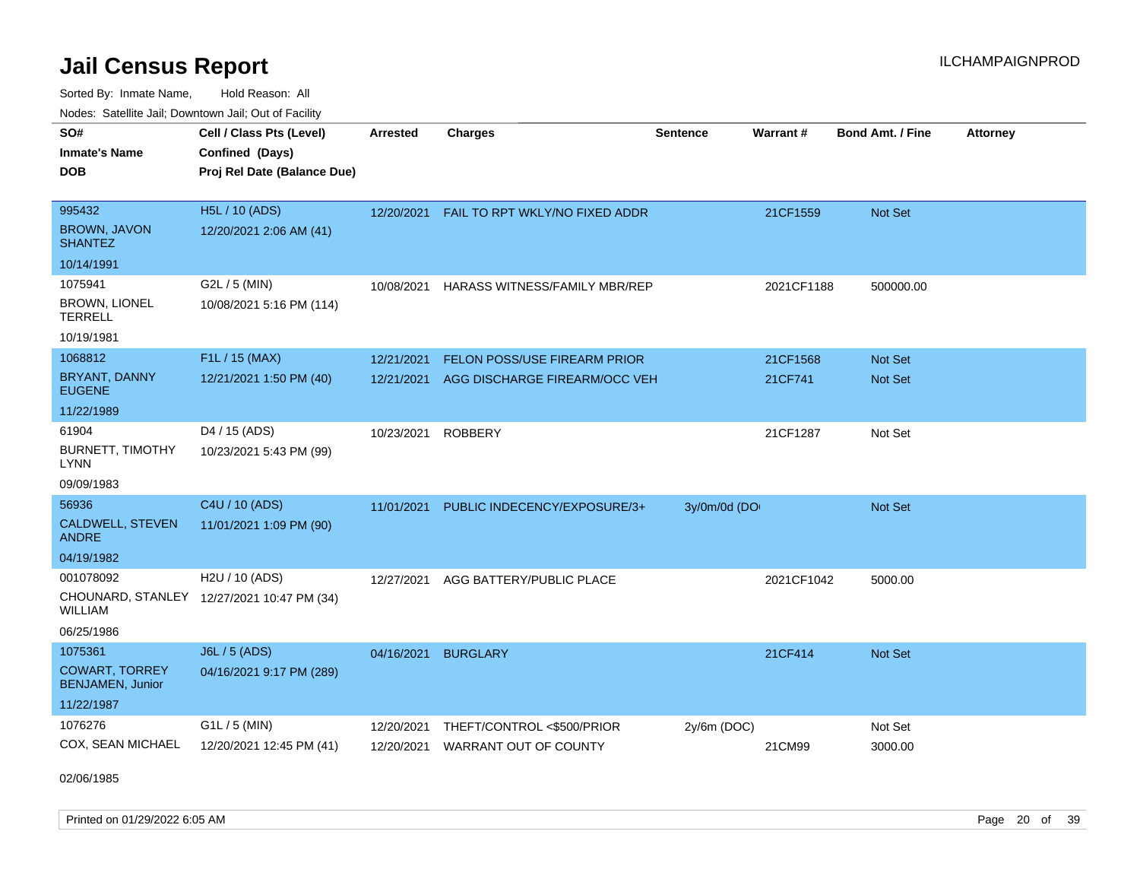Sorted By: Inmate Name, Hold Reason: All Nodes: Satellite Jail; Downtown Jail; Out of Facility

| SO#<br><b>Inmate's Name</b><br><b>DOB</b>        | Cell / Class Pts (Level)<br>Confined (Days)<br>Proj Rel Date (Balance Due) | <b>Arrested</b> | <b>Charges</b>                 | <b>Sentence</b> | <b>Warrant#</b> | <b>Bond Amt. / Fine</b> | <b>Attorney</b> |
|--------------------------------------------------|----------------------------------------------------------------------------|-----------------|--------------------------------|-----------------|-----------------|-------------------------|-----------------|
|                                                  |                                                                            |                 |                                |                 |                 |                         |                 |
| 995432                                           | H5L / 10 (ADS)                                                             | 12/20/2021      | FAIL TO RPT WKLY/NO FIXED ADDR |                 | 21CF1559        | Not Set                 |                 |
| <b>BROWN, JAVON</b><br><b>SHANTEZ</b>            | 12/20/2021 2:06 AM (41)                                                    |                 |                                |                 |                 |                         |                 |
| 10/14/1991                                       |                                                                            |                 |                                |                 |                 |                         |                 |
| 1075941                                          | G2L / 5 (MIN)                                                              | 10/08/2021      | HARASS WITNESS/FAMILY MBR/REP  |                 | 2021CF1188      | 500000.00               |                 |
| BROWN, LIONEL<br><b>TERRELL</b>                  | 10/08/2021 5:16 PM (114)                                                   |                 |                                |                 |                 |                         |                 |
| 10/19/1981                                       |                                                                            |                 |                                |                 |                 |                         |                 |
| 1068812                                          | F1L / 15 (MAX)                                                             | 12/21/2021      | FELON POSS/USE FIREARM PRIOR   |                 | 21CF1568        | Not Set                 |                 |
| <b>BRYANT, DANNY</b><br><b>EUGENE</b>            | 12/21/2021 1:50 PM (40)                                                    | 12/21/2021      | AGG DISCHARGE FIREARM/OCC VEH  |                 | 21CF741         | Not Set                 |                 |
| 11/22/1989                                       |                                                                            |                 |                                |                 |                 |                         |                 |
| 61904                                            | D4 / 15 (ADS)                                                              | 10/23/2021      | <b>ROBBERY</b>                 |                 | 21CF1287        | Not Set                 |                 |
| BURNETT, TIMOTHY<br><b>LYNN</b>                  | 10/23/2021 5:43 PM (99)                                                    |                 |                                |                 |                 |                         |                 |
| 09/09/1983                                       |                                                                            |                 |                                |                 |                 |                         |                 |
| 56936                                            | C4U / 10 (ADS)                                                             | 11/01/2021      | PUBLIC INDECENCY/EXPOSURE/3+   | 3y/0m/0d (DO    |                 | Not Set                 |                 |
| CALDWELL, STEVEN<br><b>ANDRE</b>                 | 11/01/2021 1:09 PM (90)                                                    |                 |                                |                 |                 |                         |                 |
| 04/19/1982                                       |                                                                            |                 |                                |                 |                 |                         |                 |
| 001078092                                        | H2U / 10 (ADS)                                                             | 12/27/2021      | AGG BATTERY/PUBLIC PLACE       |                 | 2021CF1042      | 5000.00                 |                 |
| <b>WILLIAM</b>                                   | CHOUNARD, STANLEY 12/27/2021 10:47 PM (34)                                 |                 |                                |                 |                 |                         |                 |
| 06/25/1986                                       |                                                                            |                 |                                |                 |                 |                         |                 |
| 1075361                                          | J6L / 5 (ADS)                                                              | 04/16/2021      | <b>BURGLARY</b>                |                 | 21CF414         | Not Set                 |                 |
| <b>COWART, TORREY</b><br><b>BENJAMEN, Junior</b> | 04/16/2021 9:17 PM (289)                                                   |                 |                                |                 |                 |                         |                 |
| 11/22/1987                                       |                                                                            |                 |                                |                 |                 |                         |                 |
| 1076276                                          | G1L / 5 (MIN)                                                              | 12/20/2021      | THEFT/CONTROL <\$500/PRIOR     | 2y/6m (DOC)     |                 | Not Set                 |                 |
| COX, SEAN MICHAEL                                | 12/20/2021 12:45 PM (41)                                                   | 12/20/2021      | <b>WARRANT OUT OF COUNTY</b>   |                 | 21CM99          | 3000.00                 |                 |

02/06/1985

Printed on 01/29/2022 6:05 AM Page 20 of 39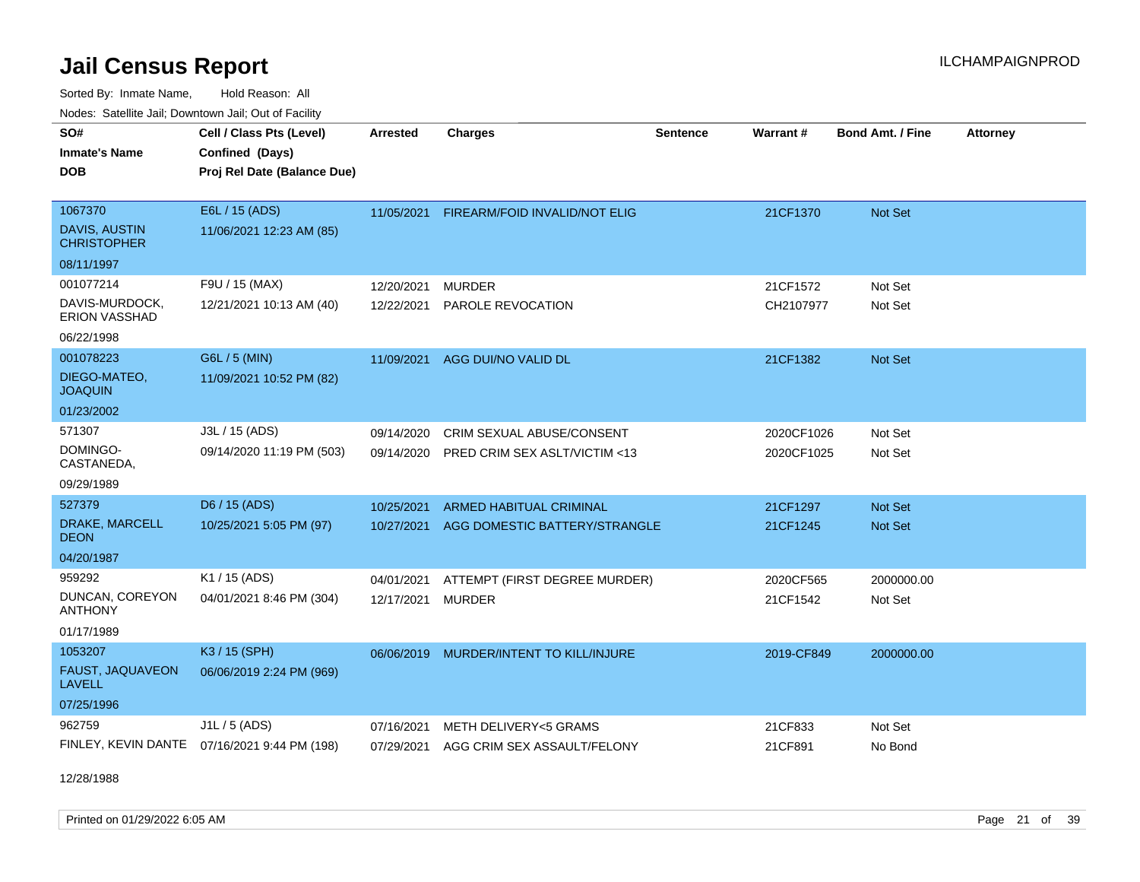Sorted By: Inmate Name, Hold Reason: All Nodes: Satellite Jail; Downtown Jail; Out of Facility

| Noucs. Oatchite sail, Downtown sail, Out of Facility |                                              |                 |                                        |                 |            |                         |                 |
|------------------------------------------------------|----------------------------------------------|-----------------|----------------------------------------|-----------------|------------|-------------------------|-----------------|
| SO#                                                  | Cell / Class Pts (Level)                     | <b>Arrested</b> | <b>Charges</b>                         | <b>Sentence</b> | Warrant#   | <b>Bond Amt. / Fine</b> | <b>Attorney</b> |
| <b>Inmate's Name</b>                                 | Confined (Days)                              |                 |                                        |                 |            |                         |                 |
| <b>DOB</b>                                           | Proj Rel Date (Balance Due)                  |                 |                                        |                 |            |                         |                 |
|                                                      |                                              |                 |                                        |                 |            |                         |                 |
| 1067370                                              | E6L / 15 (ADS)                               | 11/05/2021      | FIREARM/FOID INVALID/NOT ELIG          |                 | 21CF1370   | Not Set                 |                 |
| DAVIS, AUSTIN<br><b>CHRISTOPHER</b>                  | 11/06/2021 12:23 AM (85)                     |                 |                                        |                 |            |                         |                 |
| 08/11/1997                                           |                                              |                 |                                        |                 |            |                         |                 |
| 001077214                                            | F9U / 15 (MAX)                               | 12/20/2021      | <b>MURDER</b>                          |                 | 21CF1572   | Not Set                 |                 |
| DAVIS-MURDOCK,<br>ERION VASSHAD                      | 12/21/2021 10:13 AM (40)                     | 12/22/2021      | PAROLE REVOCATION                      |                 | CH2107977  | Not Set                 |                 |
| 06/22/1998                                           |                                              |                 |                                        |                 |            |                         |                 |
| 001078223                                            | G6L / 5 (MIN)                                | 11/09/2021      | AGG DUI/NO VALID DL                    |                 | 21CF1382   | Not Set                 |                 |
| DIEGO-MATEO,<br><b>JOAQUIN</b>                       | 11/09/2021 10:52 PM (82)                     |                 |                                        |                 |            |                         |                 |
| 01/23/2002                                           |                                              |                 |                                        |                 |            |                         |                 |
| 571307                                               | J3L / 15 (ADS)                               | 09/14/2020      | CRIM SEXUAL ABUSE/CONSENT              |                 | 2020CF1026 | Not Set                 |                 |
| DOMINGO-<br>CASTANEDA,                               | 09/14/2020 11:19 PM (503)                    | 09/14/2020      | PRED CRIM SEX ASLT/VICTIM <13          |                 | 2020CF1025 | Not Set                 |                 |
| 09/29/1989                                           |                                              |                 |                                        |                 |            |                         |                 |
| 527379                                               | D6 / 15 (ADS)                                | 10/25/2021      | <b>ARMED HABITUAL CRIMINAL</b>         |                 | 21CF1297   | <b>Not Set</b>          |                 |
| DRAKE, MARCELL<br><b>DEON</b>                        | 10/25/2021 5:05 PM (97)                      | 10/27/2021      | AGG DOMESTIC BATTERY/STRANGLE          |                 | 21CF1245   | Not Set                 |                 |
| 04/20/1987                                           |                                              |                 |                                        |                 |            |                         |                 |
| 959292                                               | K1 / 15 (ADS)                                | 04/01/2021      | ATTEMPT (FIRST DEGREE MURDER)          |                 | 2020CF565  | 2000000.00              |                 |
| DUNCAN, COREYON<br><b>ANTHONY</b>                    | 04/01/2021 8:46 PM (304)                     | 12/17/2021      | <b>MURDER</b>                          |                 | 21CF1542   | Not Set                 |                 |
| 01/17/1989                                           |                                              |                 |                                        |                 |            |                         |                 |
| 1053207                                              | K3 / 15 (SPH)                                | 06/06/2019      | MURDER/INTENT TO KILL/INJURE           |                 | 2019-CF849 | 2000000.00              |                 |
| FAUST, JAQUAVEON<br><b>LAVELL</b>                    | 06/06/2019 2:24 PM (969)                     |                 |                                        |                 |            |                         |                 |
| 07/25/1996                                           |                                              |                 |                                        |                 |            |                         |                 |
| 962759                                               | $J1L / 5$ (ADS)                              | 07/16/2021      | METH DELIVERY<5 GRAMS                  |                 | 21CF833    | Not Set                 |                 |
|                                                      | FINLEY, KEVIN DANTE 07/16/2021 9:44 PM (198) |                 | 07/29/2021 AGG CRIM SEX ASSAULT/FELONY |                 | 21CF891    | No Bond                 |                 |

12/28/1988

Printed on 01/29/2022 6:05 AM Page 21 of 39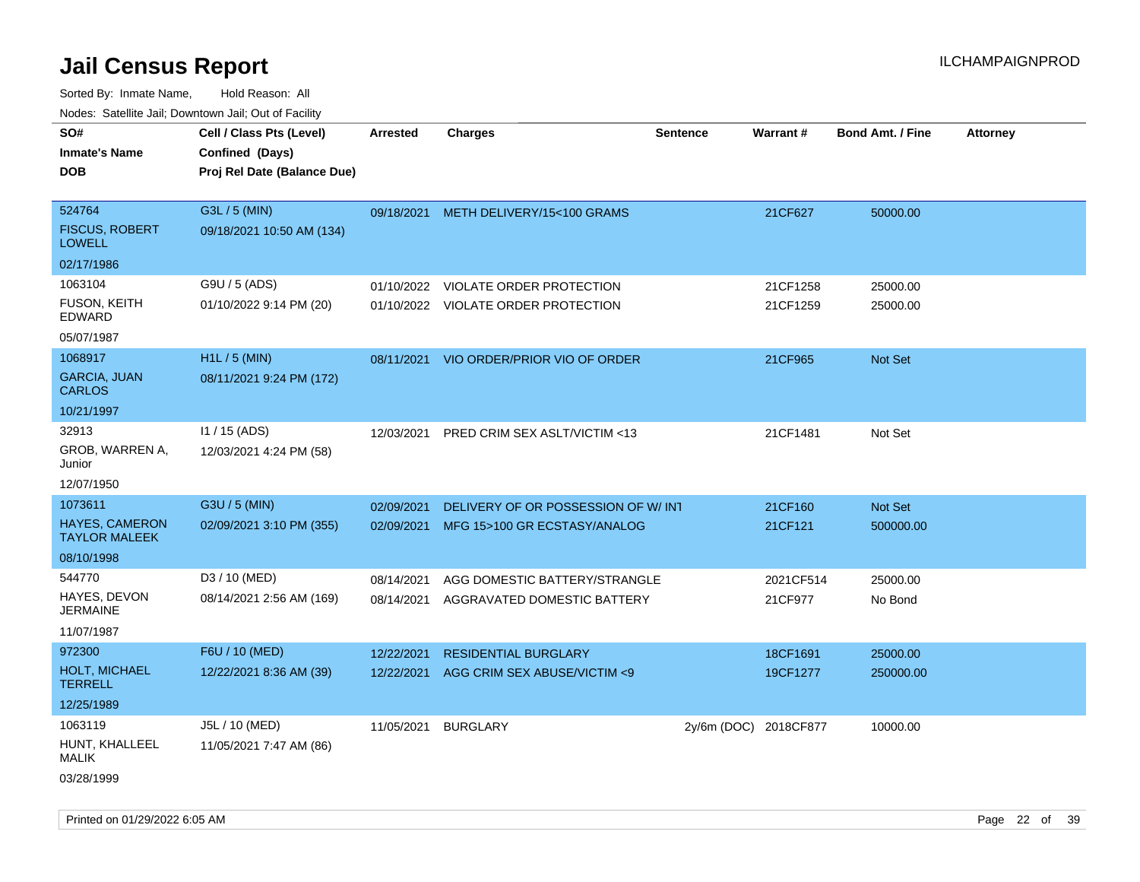Sorted By: Inmate Name, Hold Reason: All Nodes: Satellite Jail; Downtown Jail; Out of Facility

| rougs. Calcing Jan, Downtown Jan, Out of Facinty |                             |                 |                                         |                       |           |                         |                 |
|--------------------------------------------------|-----------------------------|-----------------|-----------------------------------------|-----------------------|-----------|-------------------------|-----------------|
| SO#                                              | Cell / Class Pts (Level)    | <b>Arrested</b> | <b>Charges</b>                          | <b>Sentence</b>       | Warrant#  | <b>Bond Amt. / Fine</b> | <b>Attorney</b> |
| <b>Inmate's Name</b>                             | Confined (Days)             |                 |                                         |                       |           |                         |                 |
| <b>DOB</b>                                       | Proj Rel Date (Balance Due) |                 |                                         |                       |           |                         |                 |
|                                                  |                             |                 |                                         |                       |           |                         |                 |
| 524764                                           | G3L / 5 (MIN)               |                 | 09/18/2021 METH DELIVERY/15<100 GRAMS   |                       | 21CF627   | 50000.00                |                 |
| <b>FISCUS, ROBERT</b><br><b>LOWELL</b>           | 09/18/2021 10:50 AM (134)   |                 |                                         |                       |           |                         |                 |
| 02/17/1986                                       |                             |                 |                                         |                       |           |                         |                 |
| 1063104                                          | G9U / 5 (ADS)               | 01/10/2022      | VIOLATE ORDER PROTECTION                |                       | 21CF1258  | 25000.00                |                 |
| FUSON, KEITH<br><b>EDWARD</b>                    | 01/10/2022 9:14 PM (20)     |                 | 01/10/2022 VIOLATE ORDER PROTECTION     |                       | 21CF1259  | 25000.00                |                 |
| 05/07/1987                                       |                             |                 |                                         |                       |           |                         |                 |
| 1068917                                          | H1L / 5 (MIN)               |                 | 08/11/2021 VIO ORDER/PRIOR VIO OF ORDER |                       | 21CF965   | Not Set                 |                 |
| <b>GARCIA, JUAN</b><br><b>CARLOS</b>             | 08/11/2021 9:24 PM (172)    |                 |                                         |                       |           |                         |                 |
| 10/21/1997                                       |                             |                 |                                         |                       |           |                         |                 |
| 32913                                            | $11 / 15$ (ADS)             | 12/03/2021      | PRED CRIM SEX ASLT/VICTIM <13           |                       | 21CF1481  | Not Set                 |                 |
| GROB, WARREN A,<br>Junior                        | 12/03/2021 4:24 PM (58)     |                 |                                         |                       |           |                         |                 |
| 12/07/1950                                       |                             |                 |                                         |                       |           |                         |                 |
| 1073611                                          | G3U / 5 (MIN)               | 02/09/2021      | DELIVERY OF OR POSSESSION OF W/INT      |                       | 21CF160   | Not Set                 |                 |
| <b>HAYES, CAMERON</b><br><b>TAYLOR MALEEK</b>    | 02/09/2021 3:10 PM (355)    |                 | 02/09/2021 MFG 15>100 GR ECSTASY/ANALOG |                       | 21CF121   | 500000.00               |                 |
| 08/10/1998                                       |                             |                 |                                         |                       |           |                         |                 |
| 544770                                           | D3 / 10 (MED)               | 08/14/2021      | AGG DOMESTIC BATTERY/STRANGLE           |                       | 2021CF514 | 25000.00                |                 |
| HAYES, DEVON<br><b>JERMAINE</b>                  | 08/14/2021 2:56 AM (169)    | 08/14/2021      | AGGRAVATED DOMESTIC BATTERY             |                       | 21CF977   | No Bond                 |                 |
| 11/07/1987                                       |                             |                 |                                         |                       |           |                         |                 |
| 972300                                           | F6U / 10 (MED)              | 12/22/2021      | <b>RESIDENTIAL BURGLARY</b>             |                       | 18CF1691  | 25000.00                |                 |
| HOLT, MICHAEL<br><b>TERRELL</b>                  | 12/22/2021 8:36 AM (39)     | 12/22/2021      | AGG CRIM SEX ABUSE/VICTIM <9            |                       | 19CF1277  | 250000.00               |                 |
| 12/25/1989                                       |                             |                 |                                         |                       |           |                         |                 |
| 1063119                                          | J5L / 10 (MED)              | 11/05/2021      | <b>BURGLARY</b>                         | 2y/6m (DOC) 2018CF877 |           | 10000.00                |                 |
| HUNT, KHALLEEL<br>MALIK                          | 11/05/2021 7:47 AM (86)     |                 |                                         |                       |           |                         |                 |
| 03/28/1999                                       |                             |                 |                                         |                       |           |                         |                 |

Printed on 01/29/2022 6:05 AM Page 22 of 39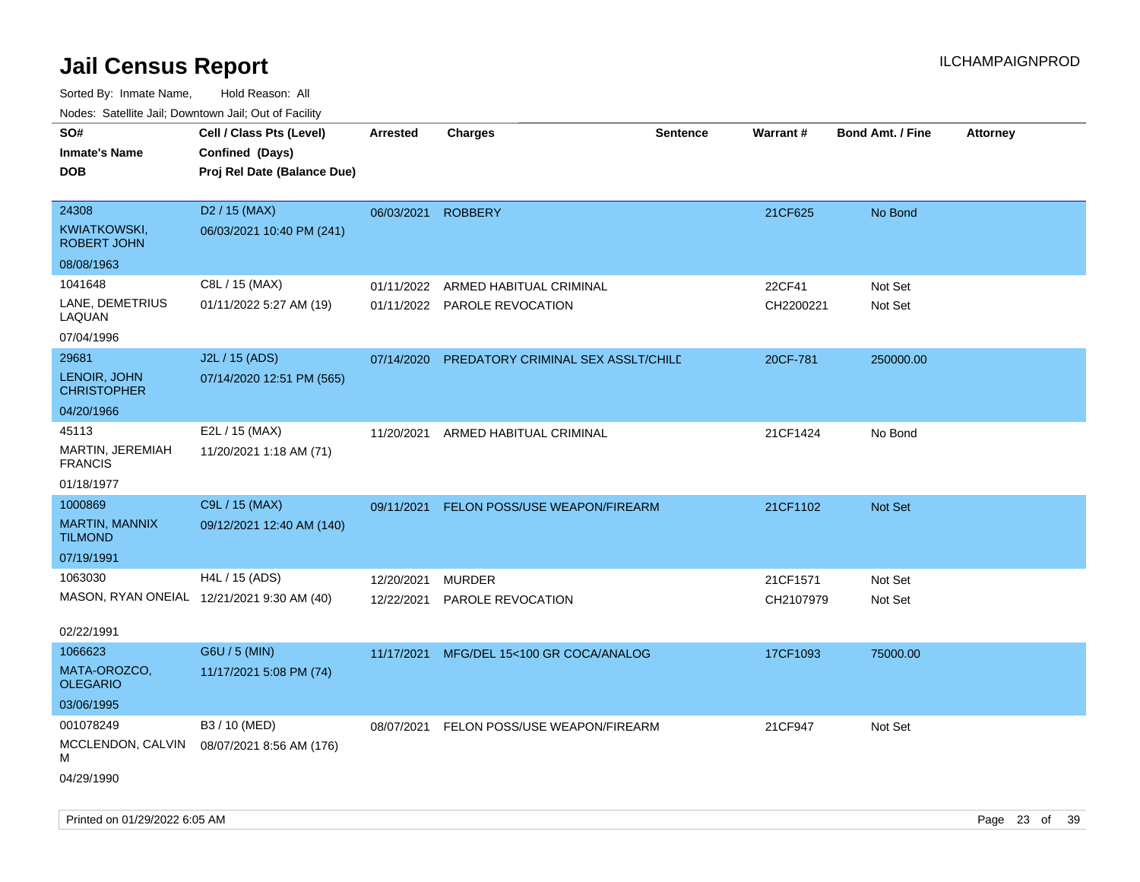| roaco. Catolino dall, Downtown dall, Out of Fability |                             |                 |                                    |                 |           |                         |                 |
|------------------------------------------------------|-----------------------------|-----------------|------------------------------------|-----------------|-----------|-------------------------|-----------------|
| SO#                                                  | Cell / Class Pts (Level)    | <b>Arrested</b> | <b>Charges</b>                     | <b>Sentence</b> | Warrant#  | <b>Bond Amt. / Fine</b> | <b>Attorney</b> |
| <b>Inmate's Name</b>                                 | Confined (Days)             |                 |                                    |                 |           |                         |                 |
| <b>DOB</b>                                           | Proj Rel Date (Balance Due) |                 |                                    |                 |           |                         |                 |
|                                                      |                             |                 |                                    |                 |           |                         |                 |
| 24308                                                | D <sub>2</sub> / 15 (MAX)   | 06/03/2021      | <b>ROBBERY</b>                     |                 | 21CF625   | No Bond                 |                 |
| <b>KWIATKOWSKI,</b><br><b>ROBERT JOHN</b>            | 06/03/2021 10:40 PM (241)   |                 |                                    |                 |           |                         |                 |
| 08/08/1963                                           |                             |                 |                                    |                 |           |                         |                 |
| 1041648                                              | C8L / 15 (MAX)              | 01/11/2022      | ARMED HABITUAL CRIMINAL            |                 | 22CF41    | Not Set                 |                 |
| LANE, DEMETRIUS<br>LAQUAN                            | 01/11/2022 5:27 AM (19)     |                 | 01/11/2022 PAROLE REVOCATION       |                 | CH2200221 | Not Set                 |                 |
| 07/04/1996                                           |                             |                 |                                    |                 |           |                         |                 |
| 29681                                                | J2L / 15 (ADS)              | 07/14/2020      | PREDATORY CRIMINAL SEX ASSLT/CHILD |                 | 20CF-781  | 250000.00               |                 |
| LENOIR, JOHN<br><b>CHRISTOPHER</b>                   | 07/14/2020 12:51 PM (565)   |                 |                                    |                 |           |                         |                 |
| 04/20/1966                                           |                             |                 |                                    |                 |           |                         |                 |
| 45113                                                | E2L / 15 (MAX)              |                 | 11/20/2021 ARMED HABITUAL CRIMINAL |                 | 21CF1424  | No Bond                 |                 |
| MARTIN, JEREMIAH<br><b>FRANCIS</b>                   | 11/20/2021 1:18 AM (71)     |                 |                                    |                 |           |                         |                 |
| 01/18/1977                                           |                             |                 |                                    |                 |           |                         |                 |
| 1000869                                              | C9L / 15 (MAX)              | 09/11/2021      | FELON POSS/USE WEAPON/FIREARM      |                 | 21CF1102  | Not Set                 |                 |
| <b>MARTIN, MANNIX</b><br><b>TILMOND</b>              | 09/12/2021 12:40 AM (140)   |                 |                                    |                 |           |                         |                 |
| 07/19/1991                                           |                             |                 |                                    |                 |           |                         |                 |
| 1063030                                              | H4L / 15 (ADS)              | 12/20/2021      | <b>MURDER</b>                      |                 | 21CF1571  | Not Set                 |                 |
| MASON, RYAN ONEIAL 12/21/2021 9:30 AM (40)           |                             | 12/22/2021      | PAROLE REVOCATION                  |                 | CH2107979 | Not Set                 |                 |
|                                                      |                             |                 |                                    |                 |           |                         |                 |
| 02/22/1991                                           |                             |                 |                                    |                 |           |                         |                 |
| 1066623                                              | G6U / 5 (MIN)               | 11/17/2021      | MFG/DEL 15<100 GR COCA/ANALOG      |                 | 17CF1093  | 75000.00                |                 |
| MATA-OROZCO,<br><b>OLEGARIO</b>                      | 11/17/2021 5:08 PM (74)     |                 |                                    |                 |           |                         |                 |
| 03/06/1995                                           |                             |                 |                                    |                 |           |                         |                 |
| 001078249                                            | B3 / 10 (MED)               | 08/07/2021      | FELON POSS/USE WEAPON/FIREARM      |                 | 21CF947   | Not Set                 |                 |
| MCCLENDON, CALVIN<br>М                               | 08/07/2021 8:56 AM (176)    |                 |                                    |                 |           |                         |                 |
| 04/29/1990                                           |                             |                 |                                    |                 |           |                         |                 |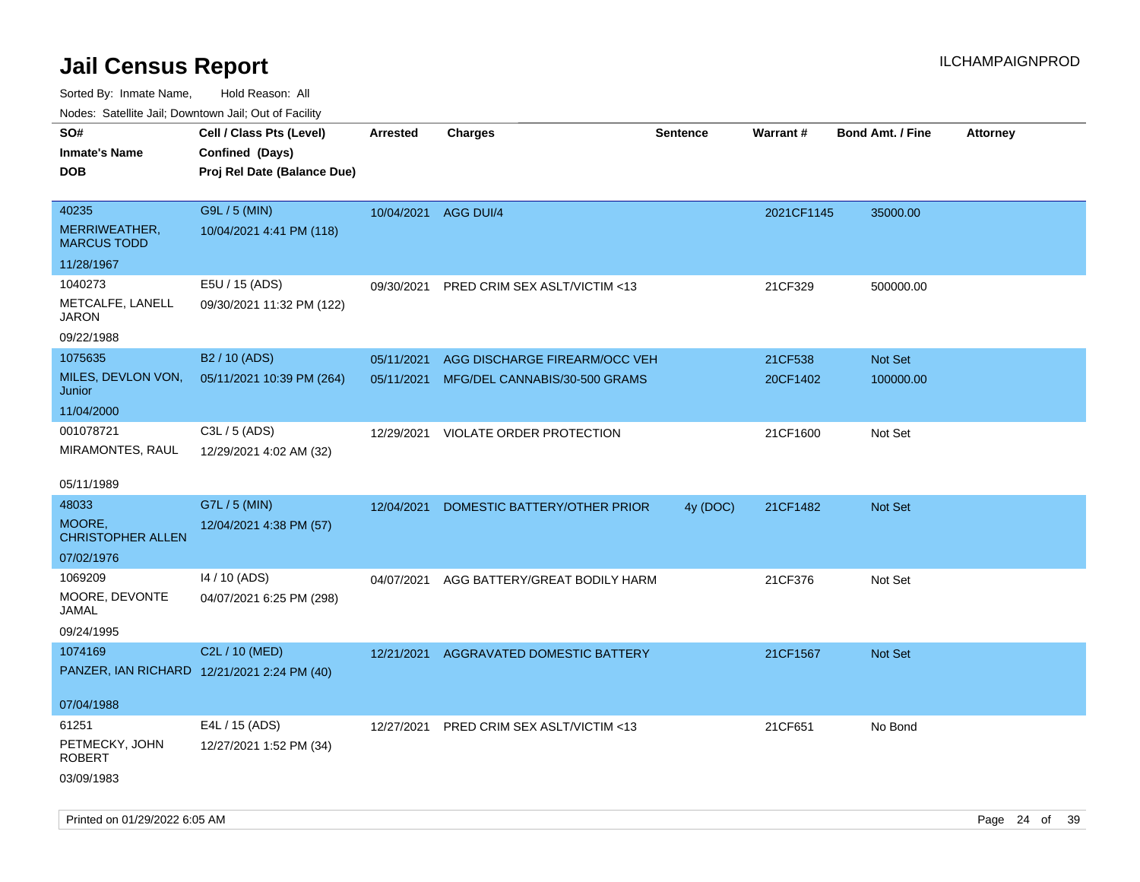Sorted By: Inmate Name, Hold Reason: All

Nodes: Satellite Jail; Downtown Jail; Out of Facility

| SO#<br><b>Inmate's Name</b><br><b>DOB</b>    | Cell / Class Pts (Level)<br>Confined (Days)<br>Proj Rel Date (Balance Due) | <b>Arrested</b>      | <b>Charges</b>                | <b>Sentence</b> | <b>Warrant#</b> | <b>Bond Amt. / Fine</b> | <b>Attorney</b> |
|----------------------------------------------|----------------------------------------------------------------------------|----------------------|-------------------------------|-----------------|-----------------|-------------------------|-----------------|
| 40235<br>MERRIWEATHER,<br><b>MARCUS TODD</b> | G9L / 5 (MIN)<br>10/04/2021 4:41 PM (118)                                  | 10/04/2021 AGG DUI/4 |                               |                 | 2021CF1145      | 35000.00                |                 |
| 11/28/1967                                   |                                                                            |                      |                               |                 |                 |                         |                 |
| 1040273<br>METCALFE, LANELL<br><b>JARON</b>  | E5U / 15 (ADS)<br>09/30/2021 11:32 PM (122)                                | 09/30/2021           | PRED CRIM SEX ASLT/VICTIM <13 |                 | 21CF329         | 500000.00               |                 |
| 09/22/1988                                   |                                                                            |                      |                               |                 |                 |                         |                 |
| 1075635                                      | B <sub>2</sub> / 10 (ADS)                                                  | 05/11/2021           | AGG DISCHARGE FIREARM/OCC VEH |                 | 21CF538         | Not Set                 |                 |
| MILES, DEVLON VON,<br>Junior                 | 05/11/2021 10:39 PM (264)                                                  | 05/11/2021           | MFG/DEL CANNABIS/30-500 GRAMS |                 | 20CF1402        | 100000.00               |                 |
| 11/04/2000                                   |                                                                            |                      |                               |                 |                 |                         |                 |
| 001078721<br>MIRAMONTES, RAUL                | C3L / 5 (ADS)<br>12/29/2021 4:02 AM (32)                                   | 12/29/2021           | VIOLATE ORDER PROTECTION      |                 | 21CF1600        | Not Set                 |                 |
| 05/11/1989                                   |                                                                            |                      |                               |                 |                 |                         |                 |
| 48033                                        | G7L / 5 (MIN)                                                              | 12/04/2021           | DOMESTIC BATTERY/OTHER PRIOR  | 4y (DOC)        | 21CF1482        | Not Set                 |                 |
| MOORE,<br><b>CHRISTOPHER ALLEN</b>           | 12/04/2021 4:38 PM (57)                                                    |                      |                               |                 |                 |                         |                 |
| 07/02/1976                                   |                                                                            |                      |                               |                 |                 |                         |                 |
| 1069209<br>MOORE, DEVONTE<br>JAMAL           | 14 / 10 (ADS)<br>04/07/2021 6:25 PM (298)                                  | 04/07/2021           | AGG BATTERY/GREAT BODILY HARM |                 | 21CF376         | Not Set                 |                 |
| 09/24/1995                                   |                                                                            |                      |                               |                 |                 |                         |                 |
| 1074169                                      | C2L / 10 (MED)                                                             | 12/21/2021           | AGGRAVATED DOMESTIC BATTERY   |                 | 21CF1567        | <b>Not Set</b>          |                 |
| PANZER, IAN RICHARD 12/21/2021 2:24 PM (40)  |                                                                            |                      |                               |                 |                 |                         |                 |
| 07/04/1988                                   |                                                                            |                      |                               |                 |                 |                         |                 |
| 61251                                        | E4L / 15 (ADS)                                                             | 12/27/2021           | PRED CRIM SEX ASLT/VICTIM <13 |                 | 21CF651         | No Bond                 |                 |
| PETMECKY, JOHN<br><b>ROBERT</b>              | 12/27/2021 1:52 PM (34)                                                    |                      |                               |                 |                 |                         |                 |
| 03/09/1983                                   |                                                                            |                      |                               |                 |                 |                         |                 |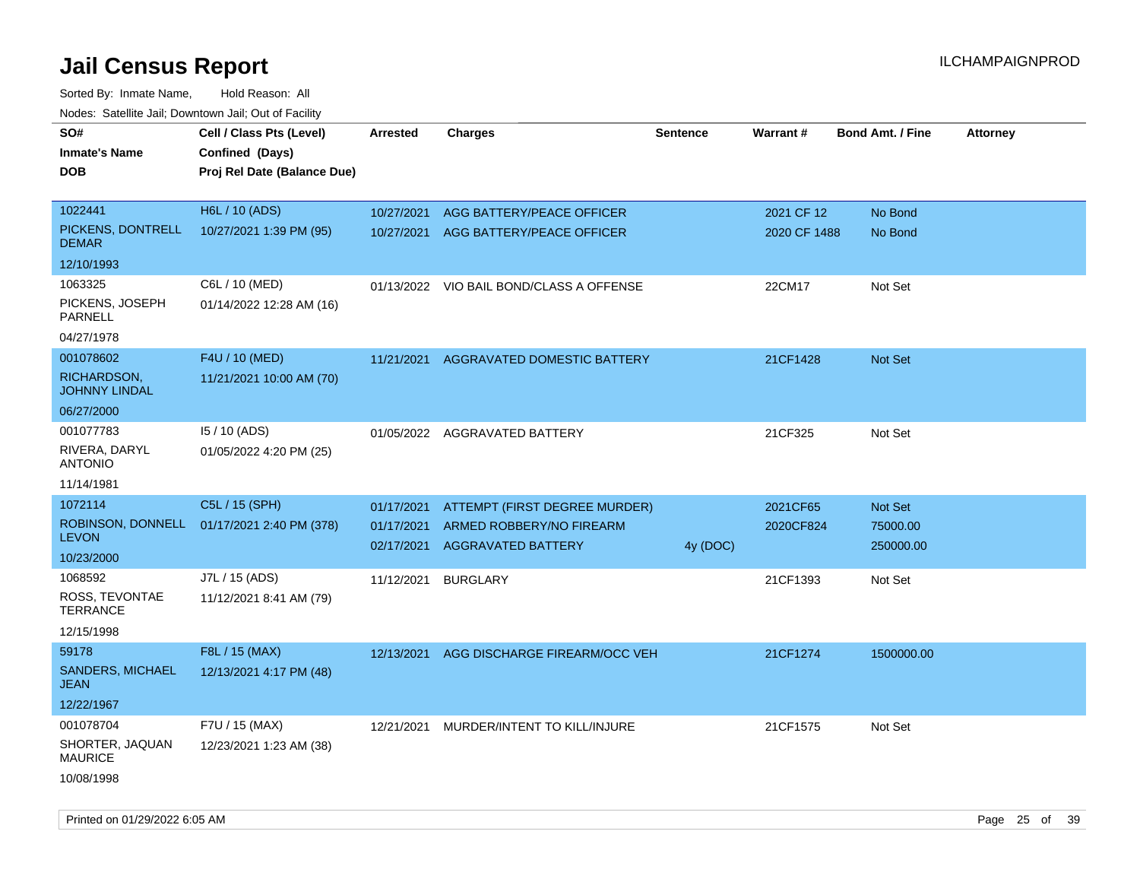| roaco. Calcinio dan, Downtown dan, Cal or Fability             |                                                                            |                                        |                                                                                        |                 |                            |                                  |                 |
|----------------------------------------------------------------|----------------------------------------------------------------------------|----------------------------------------|----------------------------------------------------------------------------------------|-----------------|----------------------------|----------------------------------|-----------------|
| SO#<br>Inmate's Name<br>DOB                                    | Cell / Class Pts (Level)<br>Confined (Days)<br>Proj Rel Date (Balance Due) | <b>Arrested</b>                        | <b>Charges</b>                                                                         | <b>Sentence</b> | <b>Warrant#</b>            | <b>Bond Amt. / Fine</b>          | <b>Attorney</b> |
| 1022441<br>PICKENS, DONTRELL<br><b>DEMAR</b><br>12/10/1993     | H6L / 10 (ADS)<br>10/27/2021 1:39 PM (95)                                  | 10/27/2021                             | AGG BATTERY/PEACE OFFICER<br>10/27/2021 AGG BATTERY/PEACE OFFICER                      |                 | 2021 CF 12<br>2020 CF 1488 | No Bond<br>No Bond               |                 |
| 1063325<br>PICKENS, JOSEPH<br>PARNELL<br>04/27/1978            | C6L / 10 (MED)<br>01/14/2022 12:28 AM (16)                                 |                                        | 01/13/2022 VIO BAIL BOND/CLASS A OFFENSE                                               |                 | 22CM17                     | Not Set                          |                 |
| 001078602<br>RICHARDSON,<br><b>JOHNNY LINDAL</b><br>06/27/2000 | F4U / 10 (MED)<br>11/21/2021 10:00 AM (70)                                 | 11/21/2021                             | <b>AGGRAVATED DOMESTIC BATTERY</b>                                                     |                 | 21CF1428                   | <b>Not Set</b>                   |                 |
| 001077783<br>RIVERA, DARYL<br><b>ANTONIO</b><br>11/14/1981     | 15 / 10 (ADS)<br>01/05/2022 4:20 PM (25)                                   | 01/05/2022                             | AGGRAVATED BATTERY                                                                     |                 | 21CF325                    | Not Set                          |                 |
| 1072114<br><b>LEVON</b><br>10/23/2000                          | C5L / 15 (SPH)<br>ROBINSON, DONNELL 01/17/2021 2:40 PM (378)               | 01/17/2021<br>01/17/2021<br>02/17/2021 | ATTEMPT (FIRST DEGREE MURDER)<br>ARMED ROBBERY/NO FIREARM<br><b>AGGRAVATED BATTERY</b> | 4y (DOC)        | 2021CF65<br>2020CF824      | Not Set<br>75000.00<br>250000.00 |                 |
| 1068592<br>ROSS, TEVONTAE<br>TERRANCE<br>12/15/1998            | J7L / 15 (ADS)<br>11/12/2021 8:41 AM (79)                                  | 11/12/2021                             | <b>BURGLARY</b>                                                                        |                 | 21CF1393                   | Not Set                          |                 |
| 59178<br><b>SANDERS, MICHAEL</b><br>JEAN<br>12/22/1967         | F8L / 15 (MAX)<br>12/13/2021 4:17 PM (48)                                  | 12/13/2021                             | AGG DISCHARGE FIREARM/OCC VEH                                                          |                 | 21CF1274                   | 1500000.00                       |                 |
| 001078704<br>SHORTER, JAQUAN<br><b>MAURICE</b><br>10/08/1998   | F7U / 15 (MAX)<br>12/23/2021 1:23 AM (38)                                  | 12/21/2021                             | MURDER/INTENT TO KILL/INJURE                                                           |                 | 21CF1575                   | Not Set                          |                 |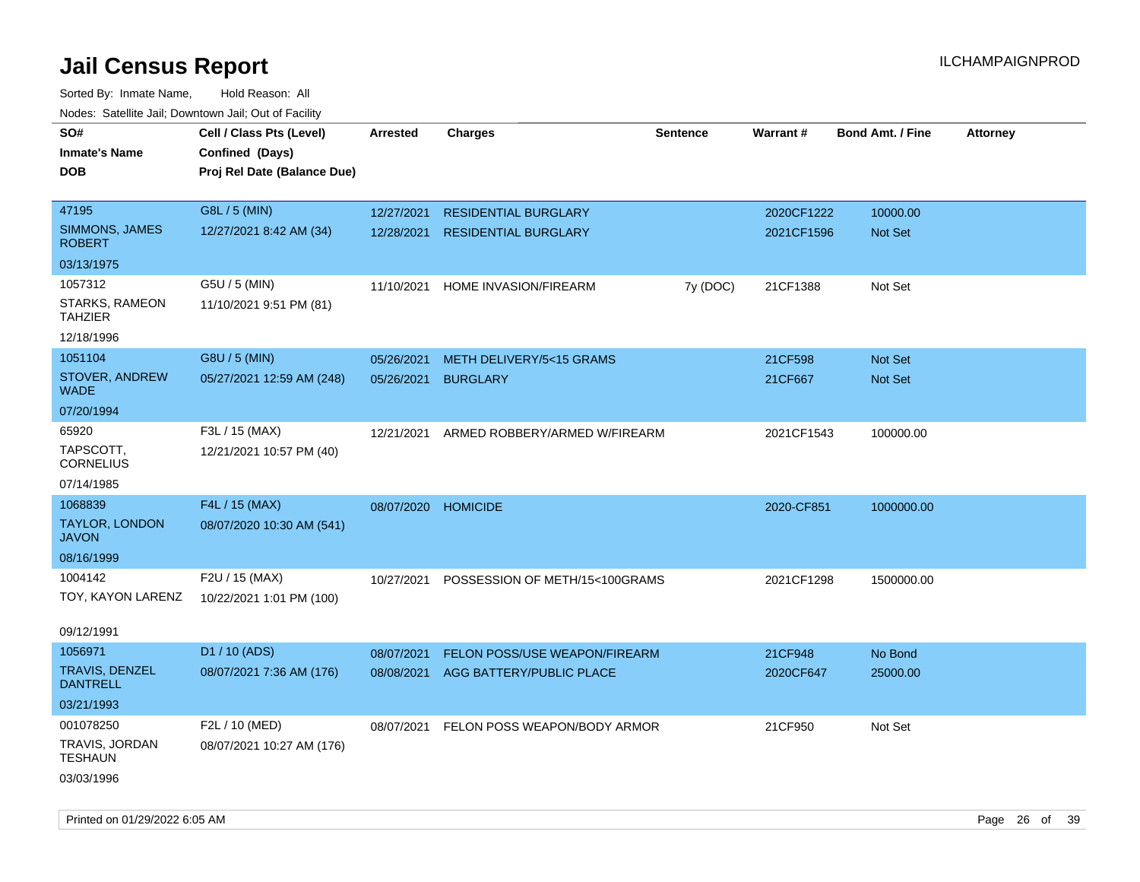| rougs. Calcing Jan, Downtown Jan, Out of Facility |                                             |                     |                                         |          |            |                         |                 |
|---------------------------------------------------|---------------------------------------------|---------------------|-----------------------------------------|----------|------------|-------------------------|-----------------|
| SO#<br><b>Inmate's Name</b>                       | Cell / Class Pts (Level)<br>Confined (Days) | <b>Arrested</b>     | <b>Charges</b>                          | Sentence | Warrant#   | <b>Bond Amt. / Fine</b> | <b>Attorney</b> |
| <b>DOB</b>                                        | Proj Rel Date (Balance Due)                 |                     |                                         |          |            |                         |                 |
| 47195                                             | G8L / 5 (MIN)                               | 12/27/2021          | <b>RESIDENTIAL BURGLARY</b>             |          | 2020CF1222 | 10000.00                |                 |
| SIMMONS, JAMES<br><b>ROBERT</b>                   | 12/27/2021 8:42 AM (34)                     | 12/28/2021          | <b>RESIDENTIAL BURGLARY</b>             |          | 2021CF1596 | Not Set                 |                 |
| 03/13/1975                                        |                                             |                     |                                         |          |            |                         |                 |
| 1057312                                           | G5U / 5 (MIN)                               | 11/10/2021          | HOME INVASION/FIREARM                   | 7y (DOC) | 21CF1388   | Not Set                 |                 |
| STARKS, RAMEON<br><b>TAHZIER</b>                  | 11/10/2021 9:51 PM (81)                     |                     |                                         |          |            |                         |                 |
| 12/18/1996                                        |                                             |                     |                                         |          |            |                         |                 |
| 1051104                                           | G8U / 5 (MIN)                               | 05/26/2021          | METH DELIVERY/5<15 GRAMS                |          | 21CF598    | Not Set                 |                 |
| <b>STOVER, ANDREW</b><br>WADE                     | 05/27/2021 12:59 AM (248)                   | 05/26/2021          | <b>BURGLARY</b>                         |          | 21CF667    | Not Set                 |                 |
| 07/20/1994                                        |                                             |                     |                                         |          |            |                         |                 |
| 65920                                             | F3L / 15 (MAX)                              | 12/21/2021          | ARMED ROBBERY/ARMED W/FIREARM           |          | 2021CF1543 | 100000.00               |                 |
| TAPSCOTT,<br><b>CORNELIUS</b>                     | 12/21/2021 10:57 PM (40)                    |                     |                                         |          |            |                         |                 |
| 07/14/1985                                        |                                             |                     |                                         |          |            |                         |                 |
| 1068839                                           | F4L / 15 (MAX)                              | 08/07/2020 HOMICIDE |                                         |          | 2020-CF851 | 1000000.00              |                 |
| <b>TAYLOR, LONDON</b><br><b>JAVON</b>             | 08/07/2020 10:30 AM (541)                   |                     |                                         |          |            |                         |                 |
| 08/16/1999                                        |                                             |                     |                                         |          |            |                         |                 |
| 1004142                                           | F2U / 15 (MAX)                              | 10/27/2021          | POSSESSION OF METH/15<100GRAMS          |          | 2021CF1298 | 1500000.00              |                 |
| TOY, KAYON LARENZ                                 | 10/22/2021 1:01 PM (100)                    |                     |                                         |          |            |                         |                 |
| 09/12/1991                                        |                                             |                     |                                         |          |            |                         |                 |
| 1056971                                           | D1 / 10 (ADS)                               | 08/07/2021          | <b>FELON POSS/USE WEAPON/FIREARM</b>    |          | 21CF948    | No Bond                 |                 |
| <b>TRAVIS, DENZEL</b><br><b>DANTRELL</b>          | 08/07/2021 7:36 AM (176)                    | 08/08/2021          | AGG BATTERY/PUBLIC PLACE                |          | 2020CF647  | 25000.00                |                 |
| 03/21/1993                                        |                                             |                     |                                         |          |            |                         |                 |
| 001078250                                         | F2L / 10 (MED)                              |                     | 08/07/2021 FELON POSS WEAPON/BODY ARMOR |          | 21CF950    | Not Set                 |                 |
| TRAVIS, JORDAN<br><b>TESHAUN</b>                  | 08/07/2021 10:27 AM (176)                   |                     |                                         |          |            |                         |                 |
| 03/03/1996                                        |                                             |                     |                                         |          |            |                         |                 |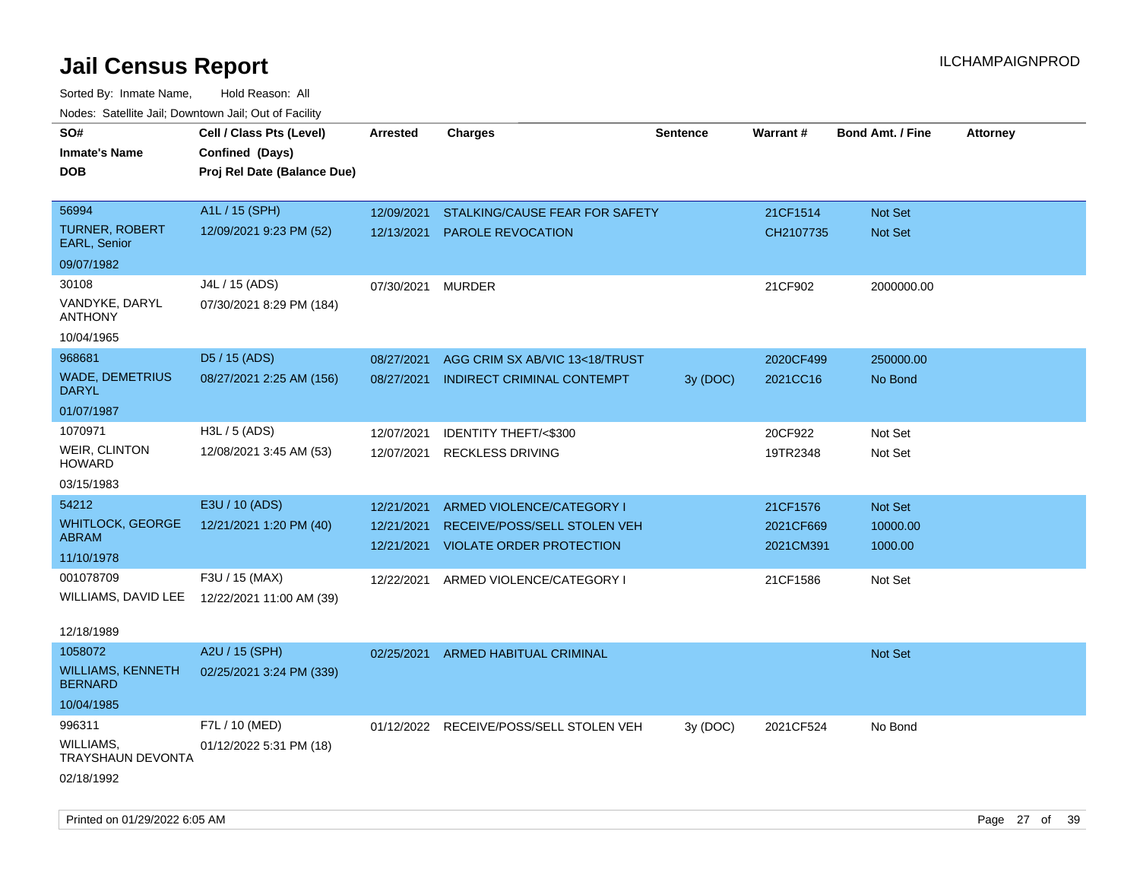| roaco. Catolino dall, Downtown dall, Out of Fability                 |                                                                            |                          |                                                                     |                 |                        |                                  |                 |
|----------------------------------------------------------------------|----------------------------------------------------------------------------|--------------------------|---------------------------------------------------------------------|-----------------|------------------------|----------------------------------|-----------------|
| SO#<br><b>Inmate's Name</b><br><b>DOB</b>                            | Cell / Class Pts (Level)<br>Confined (Days)<br>Proj Rel Date (Balance Due) | <b>Arrested</b>          | <b>Charges</b>                                                      | <b>Sentence</b> | Warrant#               | <b>Bond Amt. / Fine</b>          | <b>Attorney</b> |
| 56994<br><b>TURNER, ROBERT</b><br><b>EARL, Senior</b>                | A1L / 15 (SPH)<br>12/09/2021 9:23 PM (52)                                  | 12/09/2021<br>12/13/2021 | STALKING/CAUSE FEAR FOR SAFETY<br><b>PAROLE REVOCATION</b>          |                 | 21CF1514<br>CH2107735  | <b>Not Set</b><br><b>Not Set</b> |                 |
| 09/07/1982                                                           |                                                                            |                          |                                                                     |                 |                        |                                  |                 |
| 30108<br>VANDYKE, DARYL<br><b>ANTHONY</b>                            | J4L / 15 (ADS)<br>07/30/2021 8:29 PM (184)                                 | 07/30/2021               | <b>MURDER</b>                                                       |                 | 21CF902                | 2000000.00                       |                 |
| 10/04/1965                                                           |                                                                            |                          |                                                                     |                 |                        |                                  |                 |
| 968681<br><b>WADE, DEMETRIUS</b><br>DARYL                            | D5 / 15 (ADS)<br>08/27/2021 2:25 AM (156)                                  | 08/27/2021<br>08/27/2021 | AGG CRIM SX AB/VIC 13<18/TRUST<br><b>INDIRECT CRIMINAL CONTEMPT</b> | 3y (DOC)        | 2020CF499<br>2021CC16  | 250000.00<br>No Bond             |                 |
| 01/07/1987                                                           |                                                                            |                          |                                                                     |                 |                        |                                  |                 |
| 1070971<br>WEIR, CLINTON<br><b>HOWARD</b><br>03/15/1983              | H3L / 5 (ADS)<br>12/08/2021 3:45 AM (53)                                   | 12/07/2021<br>12/07/2021 | IDENTITY THEFT/<\$300<br><b>RECKLESS DRIVING</b>                    |                 | 20CF922<br>19TR2348    | Not Set<br>Not Set               |                 |
| 54212                                                                | E3U / 10 (ADS)                                                             | 12/21/2021               | ARMED VIOLENCE/CATEGORY I                                           |                 | 21CF1576               | Not Set                          |                 |
| <b>WHITLOCK, GEORGE</b><br>ABRAM<br>11/10/1978                       | 12/21/2021 1:20 PM (40)                                                    | 12/21/2021<br>12/21/2021 | RECEIVE/POSS/SELL STOLEN VEH<br><b>VIOLATE ORDER PROTECTION</b>     |                 | 2021CF669<br>2021CM391 | 10000.00<br>1000.00              |                 |
| 001078709<br>WILLIAMS, DAVID LEE<br>12/18/1989                       | F3U / 15 (MAX)<br>12/22/2021 11:00 AM (39)                                 |                          | 12/22/2021 ARMED VIOLENCE/CATEGORY I                                |                 | 21CF1586               | Not Set                          |                 |
| 1058072<br><b>WILLIAMS, KENNETH</b><br><b>BERNARD</b>                | A2U / 15 (SPH)<br>02/25/2021 3:24 PM (339)                                 | 02/25/2021               | <b>ARMED HABITUAL CRIMINAL</b>                                      |                 |                        | <b>Not Set</b>                   |                 |
| 10/04/1985<br>996311<br>WILLIAMS,<br>TRAYSHAUN DEVONTA<br>02/18/1992 | F7L / 10 (MED)<br>01/12/2022 5:31 PM (18)                                  |                          | 01/12/2022 RECEIVE/POSS/SELL STOLEN VEH                             | 3y (DOC)        | 2021CF524              | No Bond                          |                 |
|                                                                      |                                                                            |                          |                                                                     |                 |                        |                                  |                 |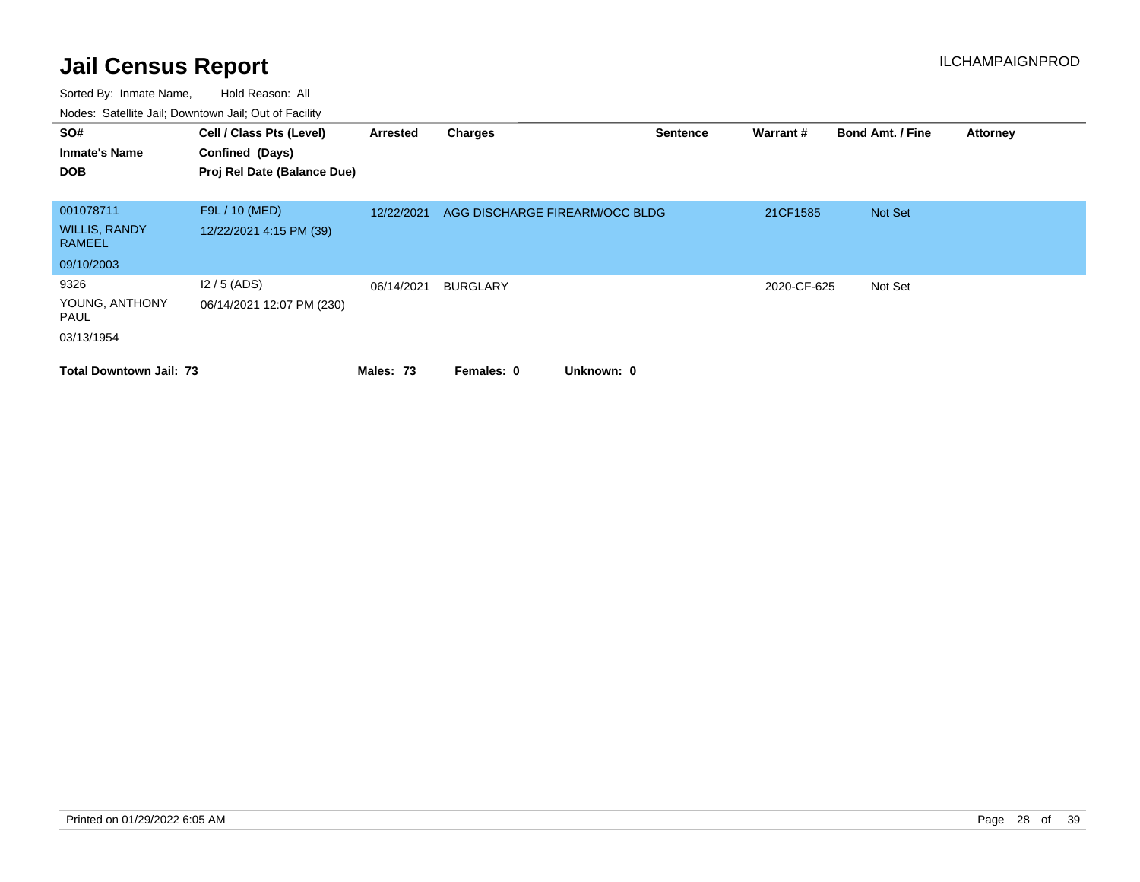| SO#<br><b>Inmate's Name</b><br><b>DOB</b> | Cell / Class Pts (Level)<br>Confined (Days)<br>Proj Rel Date (Balance Due) | Arrested   | <b>Charges</b>                 | <b>Sentence</b> | Warrant#    | <b>Bond Amt. / Fine</b> | <b>Attorney</b> |
|-------------------------------------------|----------------------------------------------------------------------------|------------|--------------------------------|-----------------|-------------|-------------------------|-----------------|
|                                           |                                                                            |            |                                |                 |             |                         |                 |
| 001078711                                 | F9L / 10 (MED)                                                             | 12/22/2021 | AGG DISCHARGE FIREARM/OCC BLDG |                 | 21CF1585    | Not Set                 |                 |
| <b>WILLIS, RANDY</b><br><b>RAMEEL</b>     | 12/22/2021 4:15 PM (39)                                                    |            |                                |                 |             |                         |                 |
| 09/10/2003                                |                                                                            |            |                                |                 |             |                         |                 |
| 9326                                      | $12/5$ (ADS)                                                               | 06/14/2021 | <b>BURGLARY</b>                |                 | 2020-CF-625 | Not Set                 |                 |
| YOUNG, ANTHONY<br>PAUL                    | 06/14/2021 12:07 PM (230)                                                  |            |                                |                 |             |                         |                 |
| 03/13/1954                                |                                                                            |            |                                |                 |             |                         |                 |
| <b>Total Downtown Jail: 73</b>            |                                                                            | Males: 73  | Unknown: 0<br>Females: 0       |                 |             |                         |                 |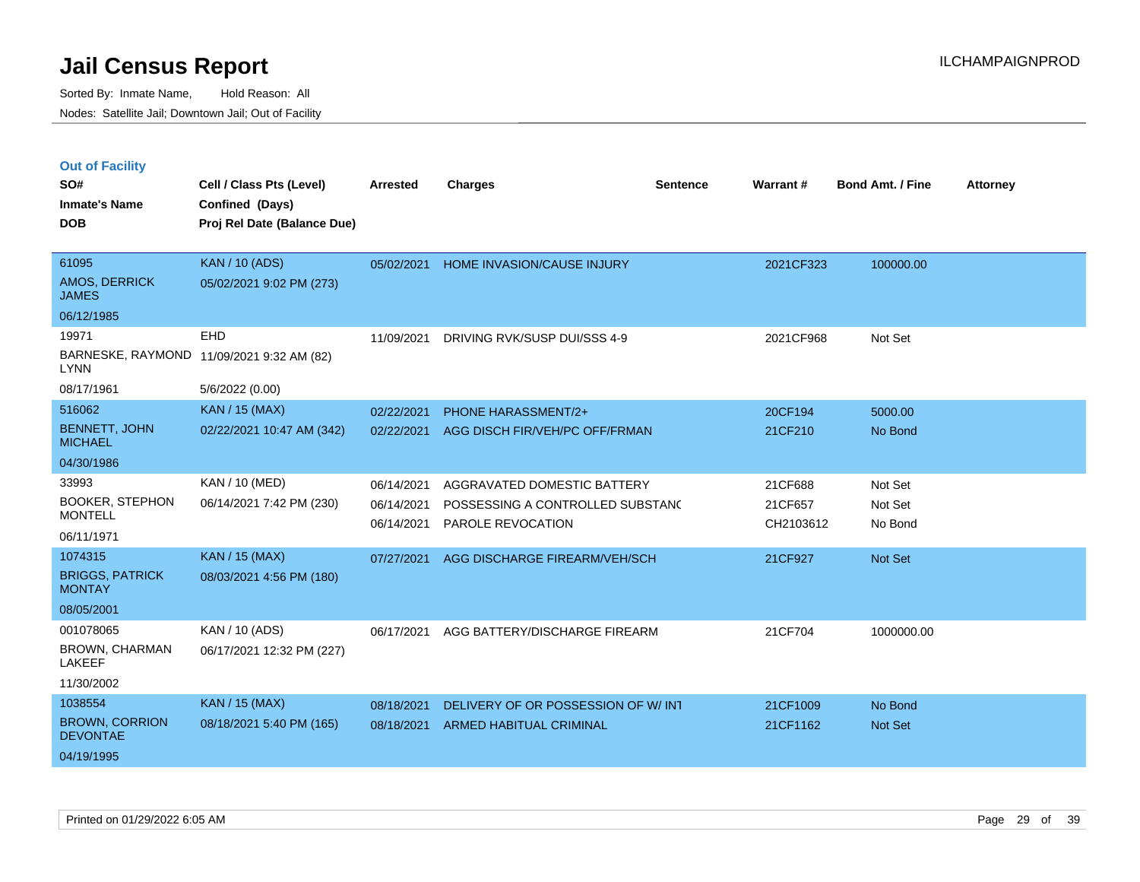|  |  | <b>Out of Facility</b> |  |
|--|--|------------------------|--|
|--|--|------------------------|--|

| SO#<br><b>Inmate's Name</b><br><b>DOB</b>                                  | Cell / Class Pts (Level)<br>Confined (Days)<br>Proj Rel Date (Balance Due) | <b>Arrested</b>                                      | <b>Charges</b>                                                                                                        | <b>Sentence</b> | Warrant#                                   | <b>Bond Amt. / Fine</b>                  | Attorney |
|----------------------------------------------------------------------------|----------------------------------------------------------------------------|------------------------------------------------------|-----------------------------------------------------------------------------------------------------------------------|-----------------|--------------------------------------------|------------------------------------------|----------|
| 61095<br><b>AMOS, DERRICK</b><br><b>JAMES</b><br>06/12/1985                | <b>KAN / 10 (ADS)</b><br>05/02/2021 9:02 PM (273)                          | 05/02/2021                                           | HOME INVASION/CAUSE INJURY                                                                                            |                 | 2021CF323                                  | 100000.00                                |          |
| 19971<br><b>LYNN</b><br>08/17/1961                                         | <b>EHD</b><br>BARNESKE, RAYMOND 11/09/2021 9:32 AM (82)<br>5/6/2022 (0.00) | 11/09/2021                                           | DRIVING RVK/SUSP DUI/SSS 4-9                                                                                          |                 | 2021CF968                                  | Not Set                                  |          |
| 516062<br><b>BENNETT, JOHN</b><br><b>MICHAEL</b><br>04/30/1986             | <b>KAN / 15 (MAX)</b><br>02/22/2021 10:47 AM (342)                         | 02/22/2021<br>02/22/2021                             | <b>PHONE HARASSMENT/2+</b><br>AGG DISCH FIR/VEH/PC OFF/FRMAN                                                          |                 | 20CF194<br>21CF210                         | 5000.00<br>No Bond                       |          |
| 33993<br><b>BOOKER, STEPHON</b><br><b>MONTELL</b><br>06/11/1971<br>1074315 | KAN / 10 (MED)<br>06/14/2021 7:42 PM (230)<br><b>KAN</b> / 15 (MAX)        | 06/14/2021<br>06/14/2021<br>06/14/2021<br>07/27/2021 | AGGRAVATED DOMESTIC BATTERY<br>POSSESSING A CONTROLLED SUBSTANC<br>PAROLE REVOCATION<br>AGG DISCHARGE FIREARM/VEH/SCH |                 | 21CF688<br>21CF657<br>CH2103612<br>21CF927 | Not Set<br>Not Set<br>No Bond<br>Not Set |          |
| <b>BRIGGS, PATRICK</b><br><b>MONTAY</b><br>08/05/2001                      | 08/03/2021 4:56 PM (180)                                                   |                                                      |                                                                                                                       |                 |                                            |                                          |          |
| 001078065<br><b>BROWN, CHARMAN</b><br>LAKEEF<br>11/30/2002                 | KAN / 10 (ADS)<br>06/17/2021 12:32 PM (227)                                | 06/17/2021                                           | AGG BATTERY/DISCHARGE FIREARM                                                                                         |                 | 21CF704                                    | 1000000.00                               |          |
| 1038554<br><b>BROWN, CORRION</b><br><b>DEVONTAE</b><br>04/19/1995          | <b>KAN / 15 (MAX)</b><br>08/18/2021 5:40 PM (165)                          | 08/18/2021<br>08/18/2021                             | DELIVERY OF OR POSSESSION OF W/INT<br><b>ARMED HABITUAL CRIMINAL</b>                                                  |                 | 21CF1009<br>21CF1162                       | No Bond<br>Not Set                       |          |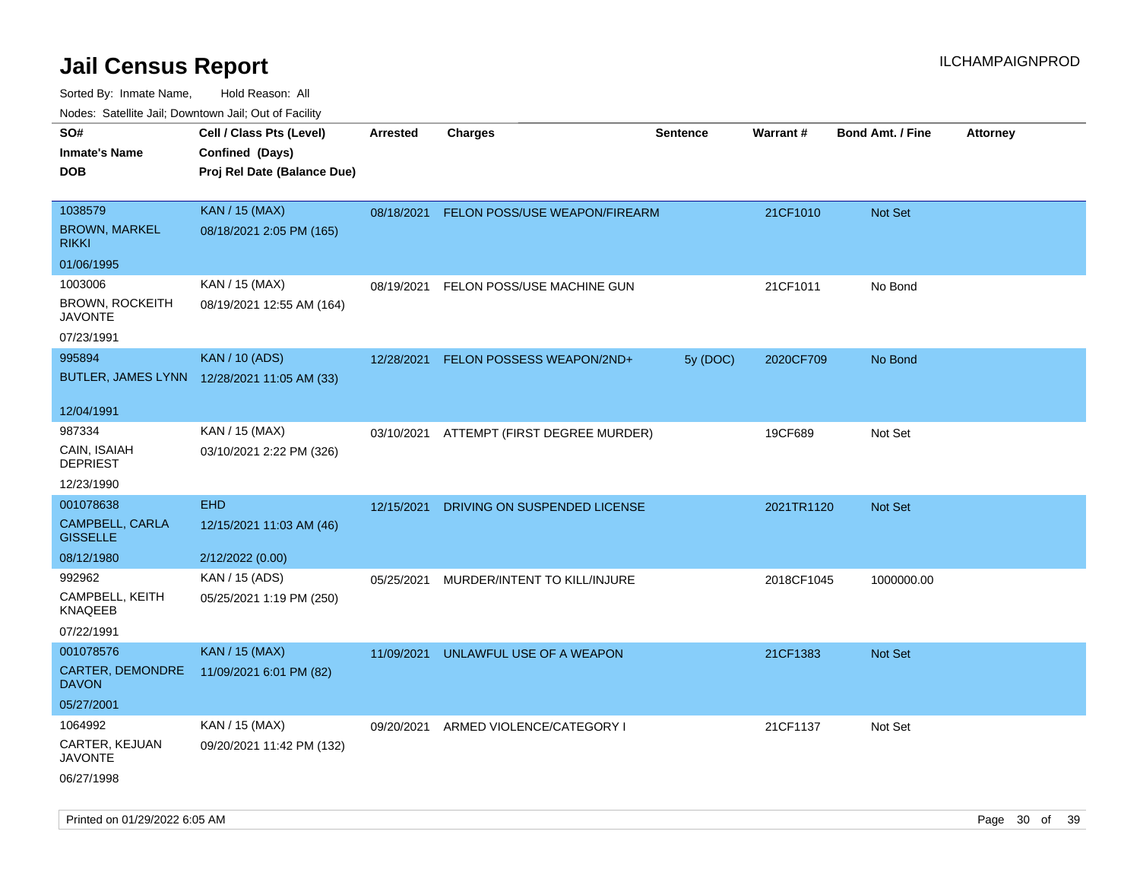| rouco. Calcinic Jan, Downtown Jan, Out of Facility  |                                                                            |                 |                                          |                 |            |                         |                 |
|-----------------------------------------------------|----------------------------------------------------------------------------|-----------------|------------------------------------------|-----------------|------------|-------------------------|-----------------|
| SO#<br>Inmate's Name<br>DOB                         | Cell / Class Pts (Level)<br>Confined (Days)<br>Proj Rel Date (Balance Due) | <b>Arrested</b> | <b>Charges</b>                           | <b>Sentence</b> | Warrant#   | <b>Bond Amt. / Fine</b> | <b>Attorney</b> |
| 1038579<br><b>BROWN, MARKEL</b><br>rikki            | <b>KAN / 15 (MAX)</b><br>08/18/2021 2:05 PM (165)                          |                 | 08/18/2021 FELON POSS/USE WEAPON/FIREARM |                 | 21CF1010   | <b>Not Set</b>          |                 |
| 01/06/1995                                          |                                                                            |                 |                                          |                 |            |                         |                 |
| 1003006<br><b>BROWN, ROCKEITH</b><br><b>JAVONTE</b> | KAN / 15 (MAX)<br>08/19/2021 12:55 AM (164)                                | 08/19/2021      | FELON POSS/USE MACHINE GUN               |                 | 21CF1011   | No Bond                 |                 |
| 07/23/1991                                          |                                                                            |                 |                                          |                 |            |                         |                 |
| 995894                                              | <b>KAN / 10 (ADS)</b><br>BUTLER, JAMES LYNN 12/28/2021 11:05 AM (33)       | 12/28/2021      | FELON POSSESS WEAPON/2ND+                | 5y (DOC)        | 2020CF709  | No Bond                 |                 |
| 12/04/1991                                          |                                                                            |                 |                                          |                 |            |                         |                 |
| 987334<br>CAIN, ISAIAH<br><b>DEPRIEST</b>           | KAN / 15 (MAX)<br>03/10/2021 2:22 PM (326)                                 |                 | 03/10/2021 ATTEMPT (FIRST DEGREE MURDER) |                 | 19CF689    | Not Set                 |                 |
| 12/23/1990                                          |                                                                            |                 |                                          |                 |            |                         |                 |
| 001078638                                           | <b>EHD</b>                                                                 | 12/15/2021      | DRIVING ON SUSPENDED LICENSE             |                 | 2021TR1120 | <b>Not Set</b>          |                 |
| CAMPBELL, CARLA<br><b>GISSELLE</b>                  | 12/15/2021 11:03 AM (46)                                                   |                 |                                          |                 |            |                         |                 |
| 08/12/1980                                          | 2/12/2022 (0.00)                                                           |                 |                                          |                 |            |                         |                 |
| 992962                                              | KAN / 15 (ADS)                                                             | 05/25/2021      | MURDER/INTENT TO KILL/INJURE             |                 | 2018CF1045 | 1000000.00              |                 |
| CAMPBELL, KEITH<br>KNAQEEB                          | 05/25/2021 1:19 PM (250)                                                   |                 |                                          |                 |            |                         |                 |
| 07/22/1991                                          |                                                                            |                 |                                          |                 |            |                         |                 |
| 001078576                                           | <b>KAN / 15 (MAX)</b>                                                      | 11/09/2021      | UNLAWFUL USE OF A WEAPON                 |                 | 21CF1383   | <b>Not Set</b>          |                 |
| CARTER, DEMONDRE<br>DAVON                           | 11/09/2021 6:01 PM (82)                                                    |                 |                                          |                 |            |                         |                 |
| 05/27/2001                                          |                                                                            |                 |                                          |                 |            |                         |                 |
| 1064992                                             | KAN / 15 (MAX)                                                             | 09/20/2021      | ARMED VIOLENCE/CATEGORY I                |                 | 21CF1137   | Not Set                 |                 |
| CARTER, KEJUAN<br>JAVONTE                           | 09/20/2021 11:42 PM (132)                                                  |                 |                                          |                 |            |                         |                 |
| 06/27/1998                                          |                                                                            |                 |                                          |                 |            |                         |                 |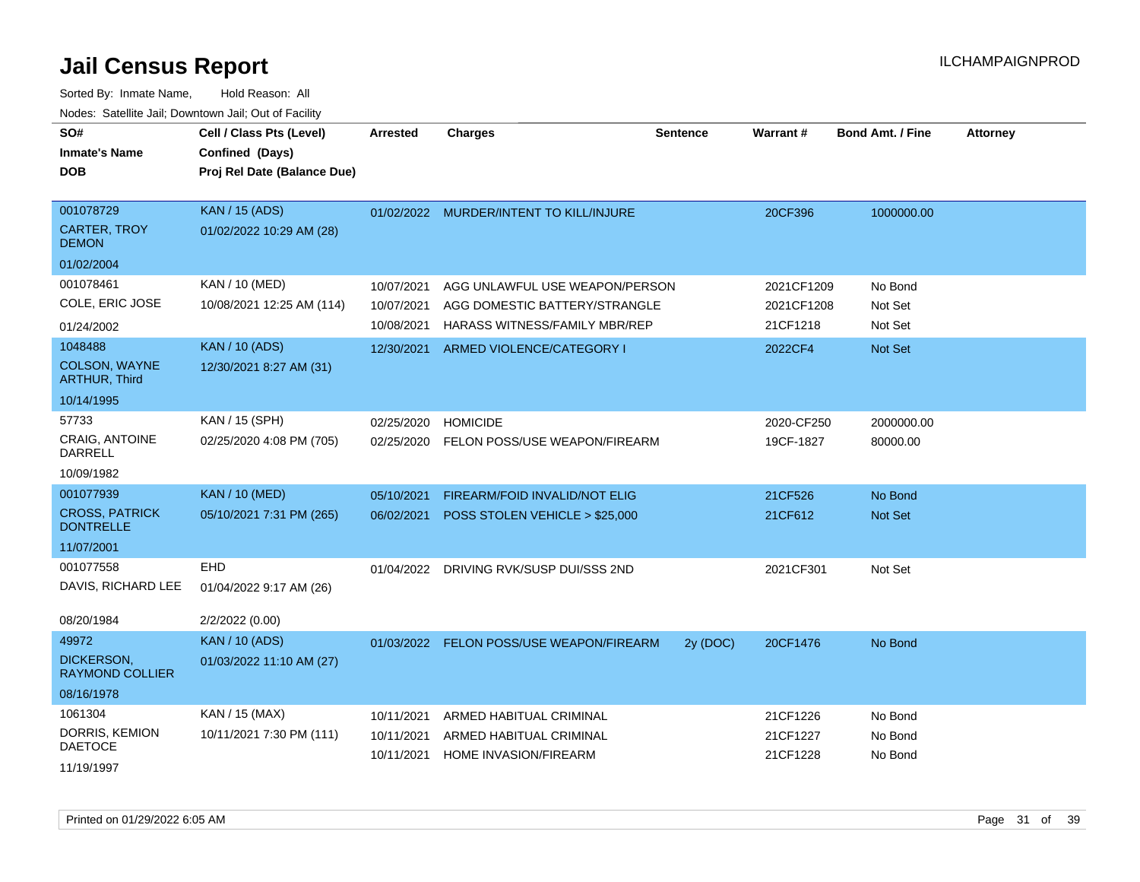| SO#<br><b>Inmate's Name</b><br><b>DOB</b>                                    | Cell / Class Pts (Level)<br>Confined (Days)<br>Proj Rel Date (Balance Due) | Arrested                               | <b>Charges</b>                                                                                          | <b>Sentence</b> | <b>Warrant#</b>                      | <b>Bond Amt. / Fine</b>       | <b>Attorney</b> |
|------------------------------------------------------------------------------|----------------------------------------------------------------------------|----------------------------------------|---------------------------------------------------------------------------------------------------------|-----------------|--------------------------------------|-------------------------------|-----------------|
| 001078729<br><b>CARTER, TROY</b><br><b>DEMON</b>                             | <b>KAN / 15 (ADS)</b><br>01/02/2022 10:29 AM (28)                          |                                        | 01/02/2022 MURDER/INTENT TO KILL/INJURE                                                                 |                 | 20CF396                              | 1000000.00                    |                 |
| 01/02/2004                                                                   |                                                                            |                                        |                                                                                                         |                 |                                      |                               |                 |
| 001078461<br>COLE, ERIC JOSE                                                 | KAN / 10 (MED)<br>10/08/2021 12:25 AM (114)                                | 10/07/2021<br>10/07/2021<br>10/08/2021 | AGG UNLAWFUL USE WEAPON/PERSON<br>AGG DOMESTIC BATTERY/STRANGLE<br><b>HARASS WITNESS/FAMILY MBR/REP</b> |                 | 2021CF1209<br>2021CF1208<br>21CF1218 | No Bond<br>Not Set<br>Not Set |                 |
| 01/24/2002<br>1048488<br>COLSON, WAYNE<br><b>ARTHUR, Third</b><br>10/14/1995 | <b>KAN / 10 (ADS)</b><br>12/30/2021 8:27 AM (31)                           | 12/30/2021                             | ARMED VIOLENCE/CATEGORY I                                                                               |                 | 2022CF4                              | Not Set                       |                 |
| 57733<br><b>CRAIG. ANTOINE</b><br>DARRELL<br>10/09/1982                      | KAN / 15 (SPH)<br>02/25/2020 4:08 PM (705)                                 | 02/25/2020<br>02/25/2020               | <b>HOMICIDE</b><br>FELON POSS/USE WEAPON/FIREARM                                                        |                 | 2020-CF250<br>19CF-1827              | 2000000.00<br>80000.00        |                 |
| 001077939<br><b>CROSS, PATRICK</b><br><b>DONTRELLE</b>                       | <b>KAN / 10 (MED)</b><br>05/10/2021 7:31 PM (265)                          | 05/10/2021<br>06/02/2021               | FIREARM/FOID INVALID/NOT ELIG<br>POSS STOLEN VEHICLE > \$25,000                                         |                 | 21CF526<br>21CF612                   | No Bond<br>Not Set            |                 |
| 11/07/2001                                                                   |                                                                            |                                        |                                                                                                         |                 |                                      |                               |                 |
| 001077558<br>DAVIS, RICHARD LEE<br>08/20/1984                                | EHD<br>01/04/2022 9:17 AM (26)<br>2/2/2022 (0.00)                          |                                        | 01/04/2022 DRIVING RVK/SUSP DUI/SSS 2ND                                                                 |                 | 2021CF301                            | Not Set                       |                 |
| 49972<br><b>DICKERSON.</b><br><b>RAYMOND COLLIER</b><br>08/16/1978           | <b>KAN / 10 (ADS)</b><br>01/03/2022 11:10 AM (27)                          |                                        | 01/03/2022 FELON POSS/USE WEAPON/FIREARM                                                                | 2y (DOC)        | 20CF1476                             | No Bond                       |                 |
| 1061304<br>DORRIS, KEMION<br><b>DAETOCE</b><br>11/19/1997                    | KAN / 15 (MAX)<br>10/11/2021 7:30 PM (111)                                 | 10/11/2021<br>10/11/2021<br>10/11/2021 | ARMED HABITUAL CRIMINAL<br>ARMED HABITUAL CRIMINAL<br><b>HOME INVASION/FIREARM</b>                      |                 | 21CF1226<br>21CF1227<br>21CF1228     | No Bond<br>No Bond<br>No Bond |                 |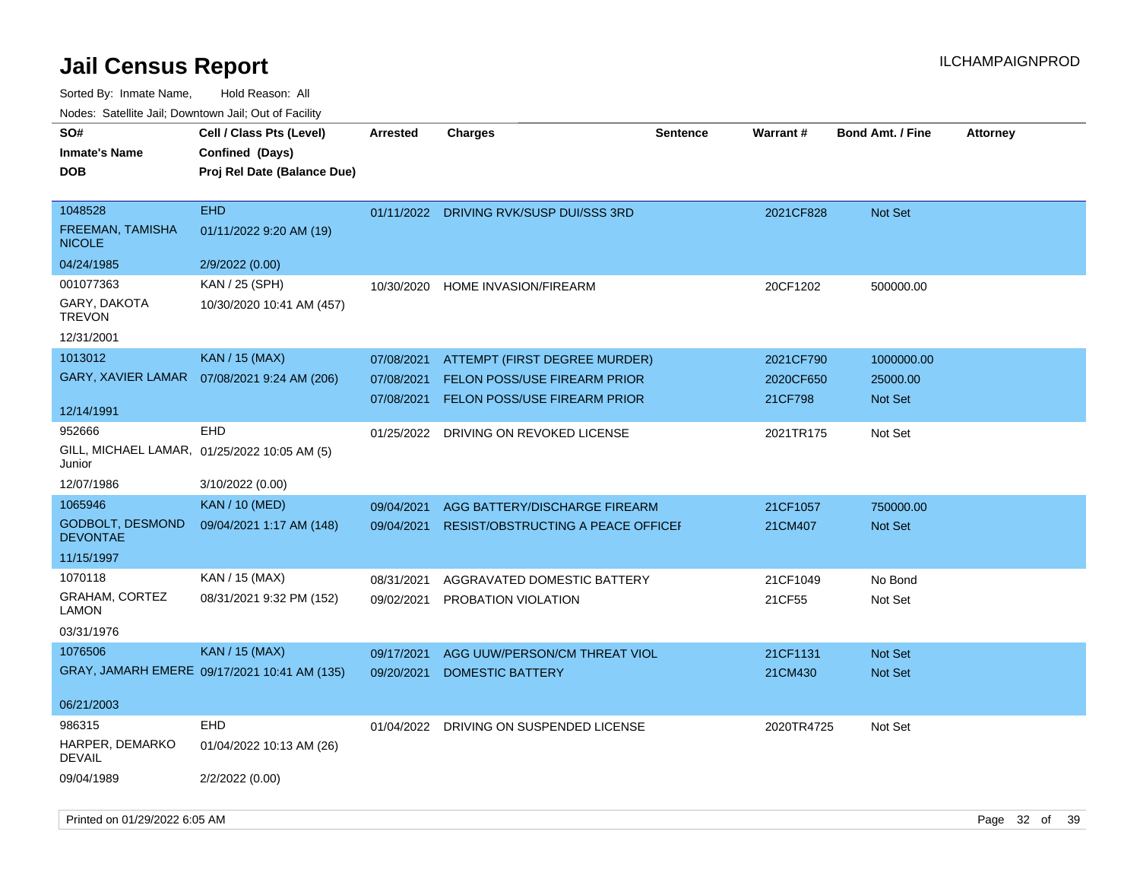Sorted By: Inmate Name, Hold Reason: All Nodes: Satellite Jail; Downtown Jail; Out of Facility

| SO#                                        | Cell / Class Pts (Level)                     | <b>Arrested</b> | <b>Charges</b>                            | <b>Sentence</b> | <b>Warrant#</b> | <b>Bond Amt. / Fine</b> | <b>Attorney</b> |
|--------------------------------------------|----------------------------------------------|-----------------|-------------------------------------------|-----------------|-----------------|-------------------------|-----------------|
| <b>Inmate's Name</b>                       | Confined (Days)                              |                 |                                           |                 |                 |                         |                 |
| <b>DOB</b>                                 | Proj Rel Date (Balance Due)                  |                 |                                           |                 |                 |                         |                 |
|                                            |                                              |                 |                                           |                 |                 |                         |                 |
| 1048528                                    | <b>EHD</b>                                   |                 | 01/11/2022 DRIVING RVK/SUSP DUI/SSS 3RD   |                 | 2021CF828       | Not Set                 |                 |
| FREEMAN, TAMISHA<br><b>NICOLE</b>          | 01/11/2022 9:20 AM (19)                      |                 |                                           |                 |                 |                         |                 |
| 04/24/1985                                 | 2/9/2022 (0.00)                              |                 |                                           |                 |                 |                         |                 |
| 001077363                                  | KAN / 25 (SPH)                               | 10/30/2020      | HOME INVASION/FIREARM                     |                 | 20CF1202        | 500000.00               |                 |
| GARY, DAKOTA<br><b>TREVON</b>              | 10/30/2020 10:41 AM (457)                    |                 |                                           |                 |                 |                         |                 |
| 12/31/2001                                 |                                              |                 |                                           |                 |                 |                         |                 |
| 1013012                                    | <b>KAN / 15 (MAX)</b>                        | 07/08/2021      | ATTEMPT (FIRST DEGREE MURDER)             |                 | 2021CF790       | 1000000.00              |                 |
| <b>GARY, XAVIER LAMAR</b>                  | 07/08/2021 9:24 AM (206)                     | 07/08/2021      | <b>FELON POSS/USE FIREARM PRIOR</b>       |                 | 2020CF650       | 25000.00                |                 |
|                                            |                                              | 07/08/2021      | <b>FELON POSS/USE FIREARM PRIOR</b>       |                 | 21CF798         | Not Set                 |                 |
| 12/14/1991                                 |                                              |                 |                                           |                 |                 |                         |                 |
| 952666                                     | <b>EHD</b>                                   | 01/25/2022      | DRIVING ON REVOKED LICENSE                |                 | 2021TR175       | Not Set                 |                 |
| Junior                                     | GILL, MICHAEL LAMAR, 01/25/2022 10:05 AM (5) |                 |                                           |                 |                 |                         |                 |
| 12/07/1986                                 | 3/10/2022 (0.00)                             |                 |                                           |                 |                 |                         |                 |
| 1065946                                    | <b>KAN / 10 (MED)</b>                        | 09/04/2021      | AGG BATTERY/DISCHARGE FIREARM             |                 | 21CF1057        | 750000.00               |                 |
| <b>GODBOLT, DESMOND</b><br><b>DEVONTAE</b> | 09/04/2021 1:17 AM (148)                     | 09/04/2021      | <b>RESIST/OBSTRUCTING A PEACE OFFICEF</b> |                 | 21CM407         | Not Set                 |                 |
| 11/15/1997                                 |                                              |                 |                                           |                 |                 |                         |                 |
| 1070118                                    | KAN / 15 (MAX)                               | 08/31/2021      | AGGRAVATED DOMESTIC BATTERY               |                 | 21CF1049        | No Bond                 |                 |
| GRAHAM, CORTEZ                             | 08/31/2021 9:32 PM (152)                     | 09/02/2021      | PROBATION VIOLATION                       |                 | 21CF55          | Not Set                 |                 |
| <b>LAMON</b>                               |                                              |                 |                                           |                 |                 |                         |                 |
| 03/31/1976                                 |                                              |                 |                                           |                 |                 |                         |                 |
| 1076506                                    | <b>KAN / 15 (MAX)</b>                        | 09/17/2021      | AGG UUW/PERSON/CM THREAT VIOL             |                 | 21CF1131        | <b>Not Set</b>          |                 |
|                                            | GRAY, JAMARH EMERE 09/17/2021 10:41 AM (135) | 09/20/2021      | <b>DOMESTIC BATTERY</b>                   |                 | 21CM430         | <b>Not Set</b>          |                 |
|                                            |                                              |                 |                                           |                 |                 |                         |                 |
| 06/21/2003                                 |                                              |                 |                                           |                 |                 |                         |                 |
| 986315                                     | <b>EHD</b>                                   | 01/04/2022      | DRIVING ON SUSPENDED LICENSE              |                 | 2020TR4725      | Not Set                 |                 |
| HARPER, DEMARKO<br><b>DEVAIL</b>           | 01/04/2022 10:13 AM (26)                     |                 |                                           |                 |                 |                         |                 |
| 09/04/1989                                 | 2/2/2022 (0.00)                              |                 |                                           |                 |                 |                         |                 |

Printed on 01/29/2022 6:05 AM Page 32 of 39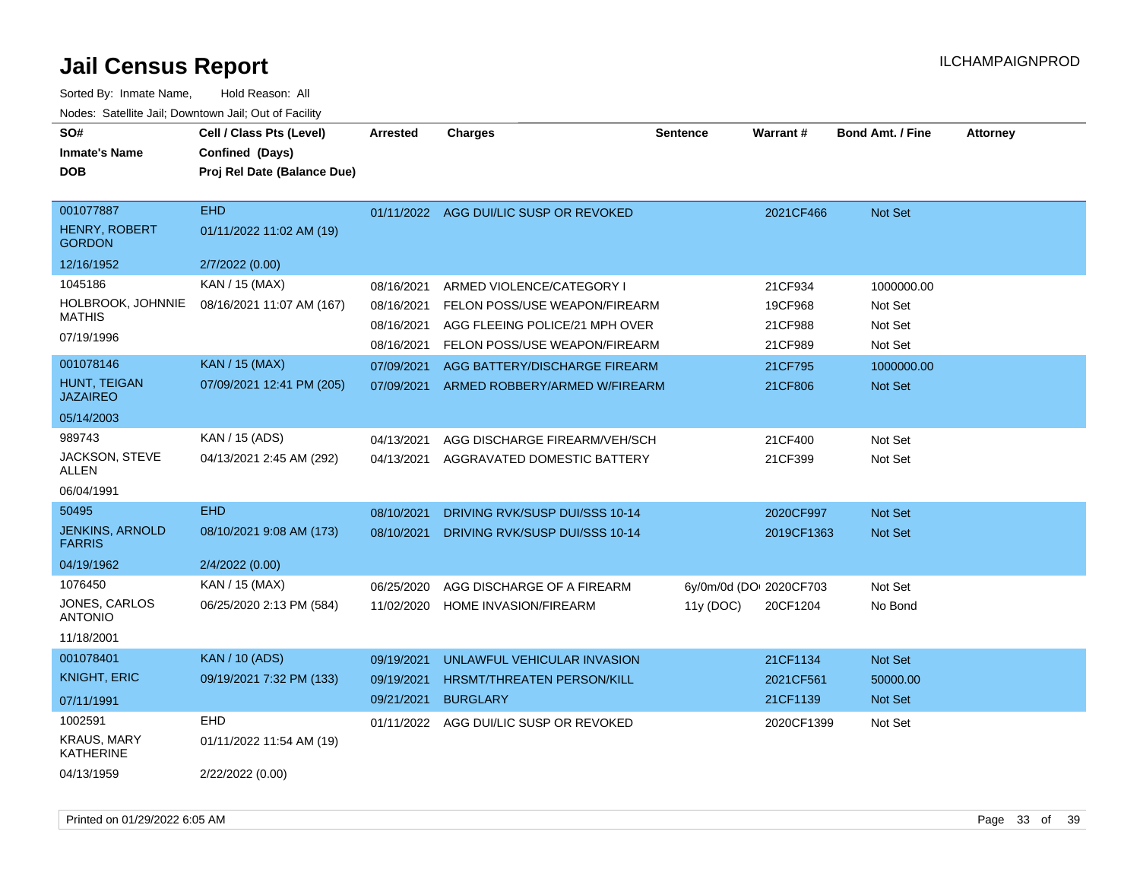| SO#<br><b>Inmate's Name</b><br><b>DOB</b>   | Cell / Class Pts (Level)<br>Confined (Days)<br>Proj Rel Date (Balance Due) | <b>Arrested</b> | <b>Charges</b>                 | <b>Sentence</b>         | <b>Warrant#</b> | <b>Bond Amt. / Fine</b> | <b>Attorney</b> |
|---------------------------------------------|----------------------------------------------------------------------------|-----------------|--------------------------------|-------------------------|-----------------|-------------------------|-----------------|
| 001077887<br>HENRY, ROBERT<br><b>GORDON</b> | <b>EHD</b><br>01/11/2022 11:02 AM (19)                                     | 01/11/2022      | AGG DUI/LIC SUSP OR REVOKED    |                         | 2021CF466       | Not Set                 |                 |
| 12/16/1952                                  | 2/7/2022 (0.00)                                                            |                 |                                |                         |                 |                         |                 |
| 1045186                                     | KAN / 15 (MAX)                                                             | 08/16/2021      | ARMED VIOLENCE/CATEGORY I      |                         | 21CF934         | 1000000.00              |                 |
| HOLBROOK, JOHNNIE<br><b>MATHIS</b>          | 08/16/2021 11:07 AM (167)                                                  | 08/16/2021      | FELON POSS/USE WEAPON/FIREARM  |                         | 19CF968         | Not Set                 |                 |
| 07/19/1996                                  |                                                                            | 08/16/2021      | AGG FLEEING POLICE/21 MPH OVER |                         | 21CF988         | Not Set                 |                 |
|                                             |                                                                            | 08/16/2021      | FELON POSS/USE WEAPON/FIREARM  |                         | 21CF989         | Not Set                 |                 |
| 001078146                                   | <b>KAN / 15 (MAX)</b>                                                      | 07/09/2021      | AGG BATTERY/DISCHARGE FIREARM  |                         | 21CF795         | 1000000.00              |                 |
| HUNT, TEIGAN<br><b>JAZAIREO</b>             | 07/09/2021 12:41 PM (205)                                                  | 07/09/2021      | ARMED ROBBERY/ARMED W/FIREARM  |                         | 21CF806         | <b>Not Set</b>          |                 |
| 05/14/2003                                  |                                                                            |                 |                                |                         |                 |                         |                 |
| 989743                                      | KAN / 15 (ADS)                                                             | 04/13/2021      | AGG DISCHARGE FIREARM/VEH/SCH  |                         | 21CF400         | Not Set                 |                 |
| JACKSON, STEVE<br>ALLEN                     | 04/13/2021 2:45 AM (292)                                                   | 04/13/2021      | AGGRAVATED DOMESTIC BATTERY    |                         | 21CF399         | Not Set                 |                 |
| 06/04/1991                                  |                                                                            |                 |                                |                         |                 |                         |                 |
| 50495                                       | <b>EHD</b>                                                                 | 08/10/2021      | DRIVING RVK/SUSP DUI/SSS 10-14 |                         | 2020CF997       | <b>Not Set</b>          |                 |
| <b>JENKINS, ARNOLD</b><br><b>FARRIS</b>     | 08/10/2021 9:08 AM (173)                                                   | 08/10/2021      | DRIVING RVK/SUSP DUI/SSS 10-14 |                         | 2019CF1363      | <b>Not Set</b>          |                 |
| 04/19/1962                                  | 2/4/2022 (0.00)                                                            |                 |                                |                         |                 |                         |                 |
| 1076450                                     | KAN / 15 (MAX)                                                             | 06/25/2020      | AGG DISCHARGE OF A FIREARM     | 6y/0m/0d (DOI 2020CF703 |                 | Not Set                 |                 |
| <b>JONES, CARLOS</b><br><b>ANTONIO</b>      | 06/25/2020 2:13 PM (584)                                                   | 11/02/2020      | HOME INVASION/FIREARM          | 11y(DOC)                | 20CF1204        | No Bond                 |                 |
| 11/18/2001                                  |                                                                            |                 |                                |                         |                 |                         |                 |
| 001078401                                   | <b>KAN / 10 (ADS)</b>                                                      | 09/19/2021      | UNLAWFUL VEHICULAR INVASION    |                         | 21CF1134        | Not Set                 |                 |
| <b>KNIGHT, ERIC</b>                         | 09/19/2021 7:32 PM (133)                                                   | 09/19/2021      | HRSMT/THREATEN PERSON/KILL     |                         | 2021CF561       | 50000.00                |                 |
| 07/11/1991                                  |                                                                            | 09/21/2021      | <b>BURGLARY</b>                |                         | 21CF1139        | Not Set                 |                 |
| 1002591                                     | <b>EHD</b>                                                                 | 01/11/2022      | AGG DUI/LIC SUSP OR REVOKED    |                         | 2020CF1399      | Not Set                 |                 |
| <b>KRAUS, MARY</b><br>KATHERINE             | 01/11/2022 11:54 AM (19)                                                   |                 |                                |                         |                 |                         |                 |
| 04/13/1959                                  | 2/22/2022 (0.00)                                                           |                 |                                |                         |                 |                         |                 |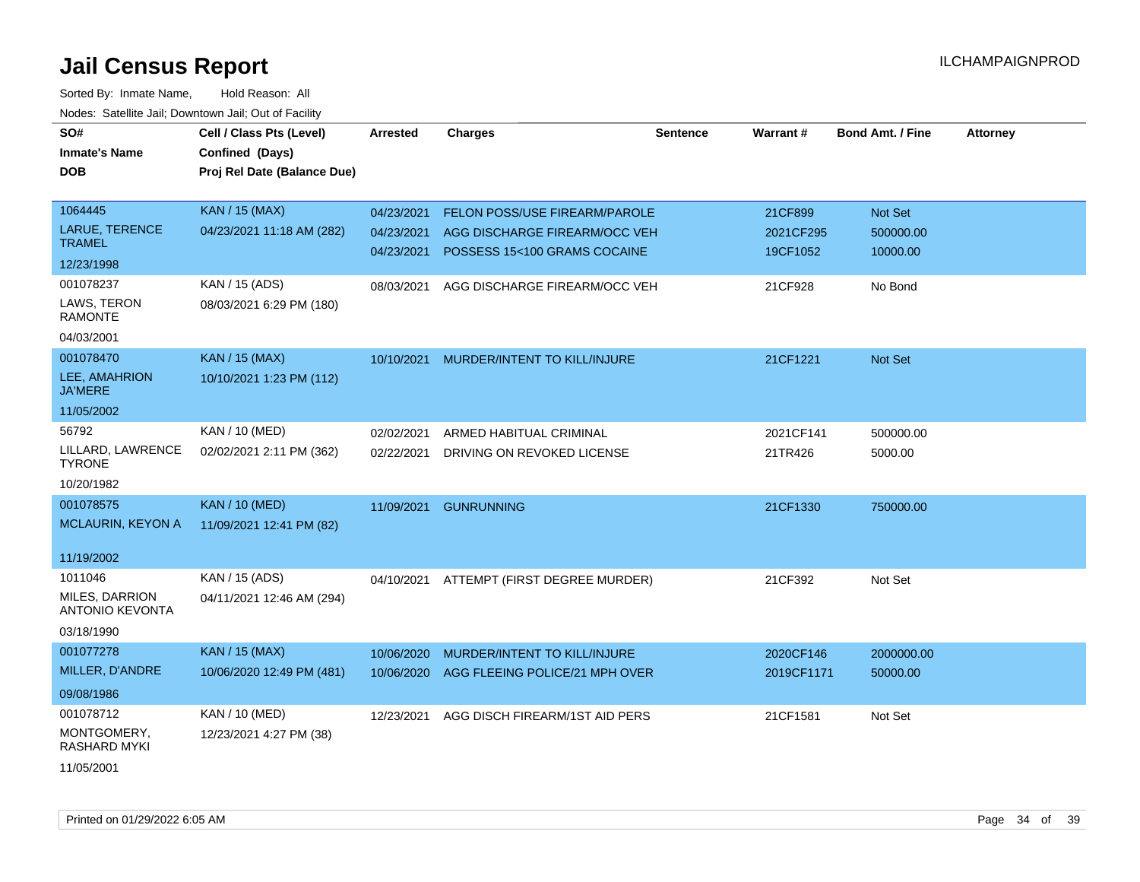| SO#                                      | Cell / Class Pts (Level)    | Arrested   | <b>Charges</b>                 | Sentence | Warrant#   | <b>Bond Amt. / Fine</b> | <b>Attorney</b> |
|------------------------------------------|-----------------------------|------------|--------------------------------|----------|------------|-------------------------|-----------------|
| <b>Inmate's Name</b>                     | Confined (Days)             |            |                                |          |            |                         |                 |
| <b>DOB</b>                               | Proj Rel Date (Balance Due) |            |                                |          |            |                         |                 |
|                                          |                             |            |                                |          |            |                         |                 |
| 1064445                                  | <b>KAN / 15 (MAX)</b>       | 04/23/2021 | FELON POSS/USE FIREARM/PAROLE  |          | 21CF899    | Not Set                 |                 |
| <b>LARUE, TERENCE</b>                    | 04/23/2021 11:18 AM (282)   | 04/23/2021 | AGG DISCHARGE FIREARM/OCC VEH  |          | 2021CF295  | 500000.00               |                 |
| <b>TRAMEL</b>                            |                             | 04/23/2021 | POSSESS 15<100 GRAMS COCAINE   |          | 19CF1052   | 10000.00                |                 |
| 12/23/1998                               |                             |            |                                |          |            |                         |                 |
| 001078237                                | KAN / 15 (ADS)              | 08/03/2021 | AGG DISCHARGE FIREARM/OCC VEH  |          | 21CF928    | No Bond                 |                 |
| LAWS, TERON<br><b>RAMONTE</b>            | 08/03/2021 6:29 PM (180)    |            |                                |          |            |                         |                 |
| 04/03/2001                               |                             |            |                                |          |            |                         |                 |
| 001078470                                | <b>KAN / 15 (MAX)</b>       | 10/10/2021 | MURDER/INTENT TO KILL/INJURE   |          | 21CF1221   | Not Set                 |                 |
| LEE, AMAHRION<br><b>JA'MERE</b>          | 10/10/2021 1:23 PM (112)    |            |                                |          |            |                         |                 |
| 11/05/2002                               |                             |            |                                |          |            |                         |                 |
| 56792                                    | KAN / 10 (MED)              | 02/02/2021 | ARMED HABITUAL CRIMINAL        |          | 2021CF141  | 500000.00               |                 |
| LILLARD, LAWRENCE<br><b>TYRONE</b>       | 02/02/2021 2:11 PM (362)    | 02/22/2021 | DRIVING ON REVOKED LICENSE     |          | 21TR426    | 5000.00                 |                 |
| 10/20/1982                               |                             |            |                                |          |            |                         |                 |
| 001078575                                | <b>KAN / 10 (MED)</b>       | 11/09/2021 | <b>GUNRUNNING</b>              |          | 21CF1330   | 750000.00               |                 |
| MCLAURIN, KEYON A                        | 11/09/2021 12:41 PM (82)    |            |                                |          |            |                         |                 |
|                                          |                             |            |                                |          |            |                         |                 |
| 11/19/2002                               |                             |            |                                |          |            |                         |                 |
| 1011046                                  | KAN / 15 (ADS)              | 04/10/2021 | ATTEMPT (FIRST DEGREE MURDER)  |          | 21CF392    | Not Set                 |                 |
| MILES, DARRION<br><b>ANTONIO KEVONTA</b> | 04/11/2021 12:46 AM (294)   |            |                                |          |            |                         |                 |
| 03/18/1990                               |                             |            |                                |          |            |                         |                 |
| 001077278                                | <b>KAN / 15 (MAX)</b>       | 10/06/2020 | MURDER/INTENT TO KILL/INJURE   |          | 2020CF146  | 2000000.00              |                 |
| MILLER, D'ANDRE                          | 10/06/2020 12:49 PM (481)   | 10/06/2020 | AGG FLEEING POLICE/21 MPH OVER |          | 2019CF1171 | 50000.00                |                 |
| 09/08/1986                               |                             |            |                                |          |            |                         |                 |
| 001078712                                | KAN / 10 (MED)              | 12/23/2021 | AGG DISCH FIREARM/1ST AID PERS |          | 21CF1581   | Not Set                 |                 |
| MONTGOMERY,<br><b>RASHARD MYKI</b>       | 12/23/2021 4:27 PM (38)     |            |                                |          |            |                         |                 |
| 11/05/2001                               |                             |            |                                |          |            |                         |                 |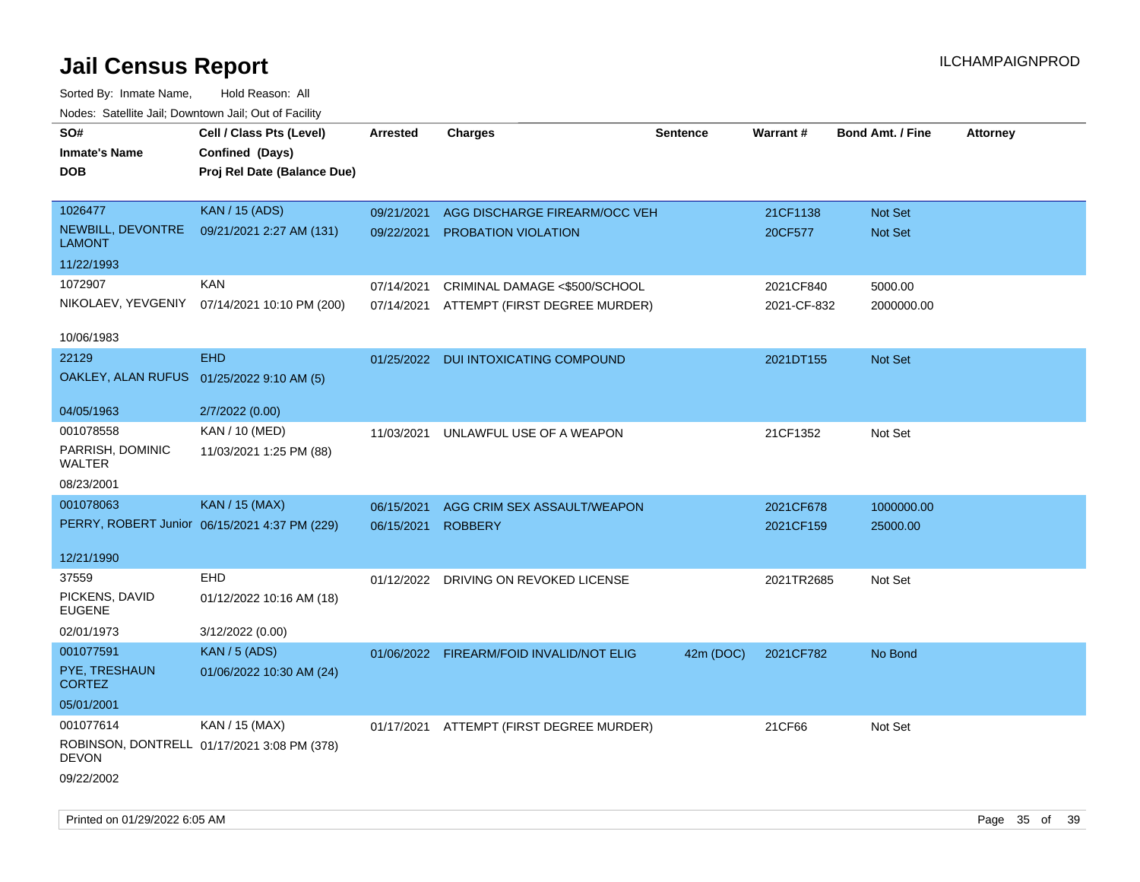| SO#<br><b>Inmate's Name</b><br><b>DOB</b> | Cell / Class Pts (Level)<br>Confined (Days)<br>Proj Rel Date (Balance Due) | Arrested   | <b>Charges</b>                           | <b>Sentence</b> | <b>Warrant#</b> | <b>Bond Amt. / Fine</b> | <b>Attorney</b> |
|-------------------------------------------|----------------------------------------------------------------------------|------------|------------------------------------------|-----------------|-----------------|-------------------------|-----------------|
| 1026477                                   | <b>KAN / 15 (ADS)</b>                                                      | 09/21/2021 | AGG DISCHARGE FIREARM/OCC VEH            |                 | 21CF1138        | Not Set                 |                 |
| NEWBILL, DEVONTRE<br><b>LAMONT</b>        | 09/21/2021 2:27 AM (131)                                                   | 09/22/2021 | <b>PROBATION VIOLATION</b>               |                 | 20CF577         | Not Set                 |                 |
| 11/22/1993                                |                                                                            |            |                                          |                 |                 |                         |                 |
| 1072907                                   | <b>KAN</b>                                                                 | 07/14/2021 | CRIMINAL DAMAGE <\$500/SCHOOL            |                 | 2021CF840       | 5000.00                 |                 |
| NIKOLAEV, YEVGENIY                        | 07/14/2021 10:10 PM (200)                                                  |            | 07/14/2021 ATTEMPT (FIRST DEGREE MURDER) |                 | 2021-CF-832     | 2000000.00              |                 |
| 10/06/1983                                |                                                                            |            |                                          |                 |                 |                         |                 |
| 22129                                     | <b>EHD</b>                                                                 |            | 01/25/2022 DUI INTOXICATING COMPOUND     |                 | 2021DT155       | Not Set                 |                 |
| OAKLEY, ALAN RUFUS 01/25/2022 9:10 AM (5) |                                                                            |            |                                          |                 |                 |                         |                 |
| 04/05/1963                                | 2/7/2022 (0.00)                                                            |            |                                          |                 |                 |                         |                 |
| 001078558                                 | KAN / 10 (MED)                                                             | 11/03/2021 | UNLAWFUL USE OF A WEAPON                 |                 | 21CF1352        | Not Set                 |                 |
| PARRISH, DOMINIC<br>WALTER                | 11/03/2021 1:25 PM (88)                                                    |            |                                          |                 |                 |                         |                 |
| 08/23/2001                                |                                                                            |            |                                          |                 |                 |                         |                 |
| 001078063                                 | <b>KAN / 15 (MAX)</b>                                                      | 06/15/2021 | AGG CRIM SEX ASSAULT/WEAPON              |                 | 2021CF678       | 1000000.00              |                 |
|                                           | PERRY, ROBERT Junior 06/15/2021 4:37 PM (229)                              | 06/15/2021 | <b>ROBBERY</b>                           |                 | 2021CF159       | 25000.00                |                 |
| 12/21/1990                                |                                                                            |            |                                          |                 |                 |                         |                 |
| 37559                                     | <b>EHD</b>                                                                 |            | 01/12/2022 DRIVING ON REVOKED LICENSE    |                 | 2021TR2685      | Not Set                 |                 |
| PICKENS, DAVID<br><b>EUGENE</b>           | 01/12/2022 10:16 AM (18)                                                   |            |                                          |                 |                 |                         |                 |
| 02/01/1973                                | 3/12/2022 (0.00)                                                           |            |                                          |                 |                 |                         |                 |
| 001077591                                 | <b>KAN / 5 (ADS)</b>                                                       |            | 01/06/2022 FIREARM/FOID INVALID/NOT ELIG | 42m (DOC)       | 2021CF782       | No Bond                 |                 |
| PYE, TRESHAUN<br><b>CORTEZ</b>            | 01/06/2022 10:30 AM (24)                                                   |            |                                          |                 |                 |                         |                 |
| 05/01/2001                                |                                                                            |            |                                          |                 |                 |                         |                 |
| 001077614                                 | KAN / 15 (MAX)                                                             |            | 01/17/2021 ATTEMPT (FIRST DEGREE MURDER) |                 | 21CF66          | Not Set                 |                 |
| <b>DEVON</b>                              | ROBINSON, DONTRELL 01/17/2021 3:08 PM (378)                                |            |                                          |                 |                 |                         |                 |
| 09/22/2002                                |                                                                            |            |                                          |                 |                 |                         |                 |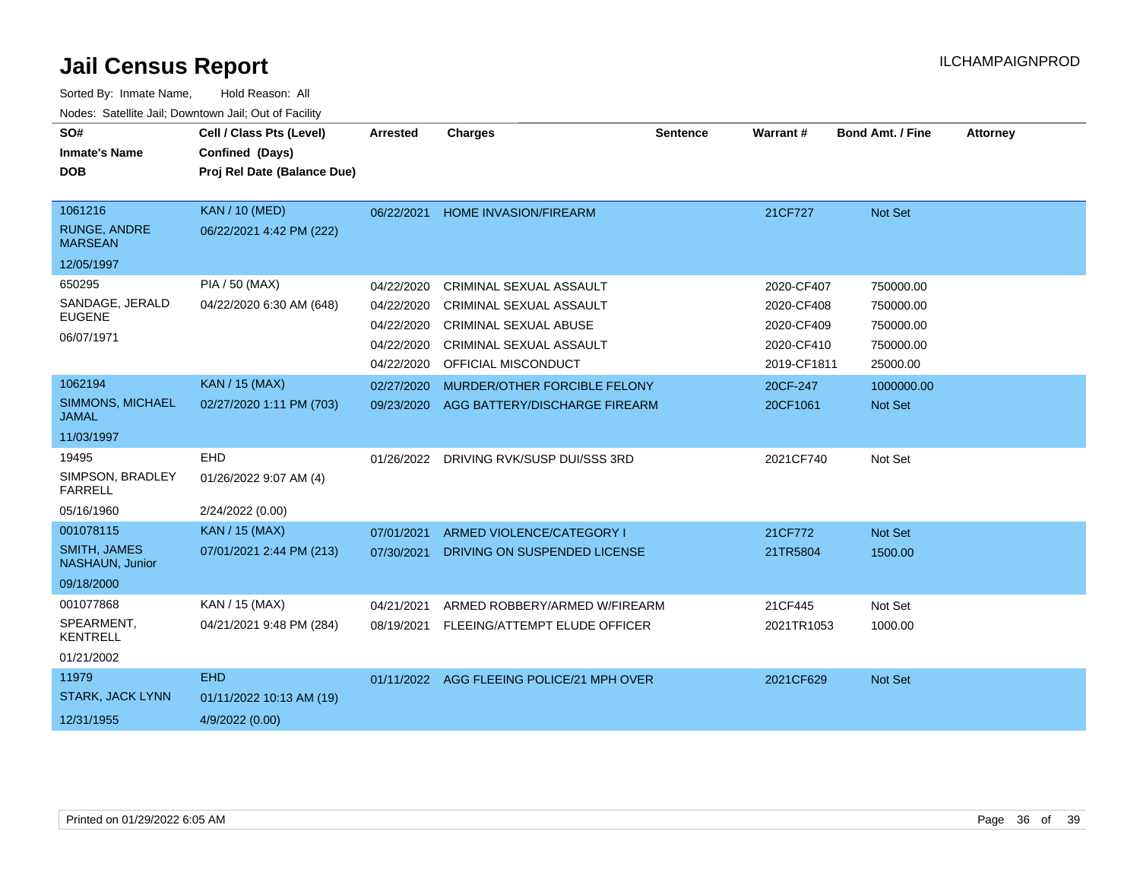| SO#<br><b>Inmate's Name</b><br><b>DOB</b>                         | Cell / Class Pts (Level)<br>Confined (Days)<br>Proj Rel Date (Balance Due) | <b>Arrested</b>                                                    | <b>Charges</b>                                                                                                                                     | <b>Sentence</b> | <b>Warrant#</b>                                                     | <b>Bond Amt. / Fine</b>                                      | <b>Attorney</b> |
|-------------------------------------------------------------------|----------------------------------------------------------------------------|--------------------------------------------------------------------|----------------------------------------------------------------------------------------------------------------------------------------------------|-----------------|---------------------------------------------------------------------|--------------------------------------------------------------|-----------------|
| 1061216                                                           | <b>KAN / 10 (MED)</b>                                                      |                                                                    |                                                                                                                                                    |                 |                                                                     |                                                              |                 |
| RUNGE, ANDRE<br><b>MARSEAN</b>                                    | 06/22/2021 4:42 PM (222)                                                   | 06/22/2021                                                         | <b>HOME INVASION/FIREARM</b>                                                                                                                       |                 | 21CF727                                                             | Not Set                                                      |                 |
| 12/05/1997                                                        |                                                                            |                                                                    |                                                                                                                                                    |                 |                                                                     |                                                              |                 |
| 650295<br>SANDAGE, JERALD<br><b>EUGENE</b><br>06/07/1971          | PIA / 50 (MAX)<br>04/22/2020 6:30 AM (648)                                 | 04/22/2020<br>04/22/2020<br>04/22/2020<br>04/22/2020<br>04/22/2020 | CRIMINAL SEXUAL ASSAULT<br><b>CRIMINAL SEXUAL ASSAULT</b><br><b>CRIMINAL SEXUAL ABUSE</b><br><b>CRIMINAL SEXUAL ASSAULT</b><br>OFFICIAL MISCONDUCT |                 | 2020-CF407<br>2020-CF408<br>2020-CF409<br>2020-CF410<br>2019-CF1811 | 750000.00<br>750000.00<br>750000.00<br>750000.00<br>25000.00 |                 |
| 1062194                                                           | <b>KAN / 15 (MAX)</b>                                                      | 02/27/2020                                                         | MURDER/OTHER FORCIBLE FELONY                                                                                                                       |                 | 20CF-247                                                            | 1000000.00                                                   |                 |
| <b>SIMMONS, MICHAEL</b><br><b>JAMAL</b>                           | 02/27/2020 1:11 PM (703)                                                   | 09/23/2020                                                         | AGG BATTERY/DISCHARGE FIREARM                                                                                                                      |                 | 20CF1061                                                            | Not Set                                                      |                 |
| 11/03/1997                                                        |                                                                            |                                                                    |                                                                                                                                                    |                 |                                                                     |                                                              |                 |
| 19495<br>SIMPSON, BRADLEY<br><b>FARRELL</b>                       | <b>EHD</b><br>01/26/2022 9:07 AM (4)                                       | 01/26/2022                                                         | DRIVING RVK/SUSP DUI/SSS 3RD                                                                                                                       |                 | 2021CF740                                                           | Not Set                                                      |                 |
| 05/16/1960                                                        | 2/24/2022 (0.00)                                                           |                                                                    |                                                                                                                                                    |                 |                                                                     |                                                              |                 |
| 001078115<br><b>SMITH, JAMES</b><br>NASHAUN, Junior<br>09/18/2000 | <b>KAN / 15 (MAX)</b><br>07/01/2021 2:44 PM (213)                          | 07/01/2021<br>07/30/2021                                           | ARMED VIOLENCE/CATEGORY I<br>DRIVING ON SUSPENDED LICENSE                                                                                          |                 | 21CF772<br>21TR5804                                                 | Not Set<br>1500.00                                           |                 |
| 001077868<br>SPEARMENT,<br><b>KENTRELL</b><br>01/21/2002          | KAN / 15 (MAX)<br>04/21/2021 9:48 PM (284)                                 | 04/21/2021<br>08/19/2021                                           | ARMED ROBBERY/ARMED W/FIREARM<br>FLEEING/ATTEMPT ELUDE OFFICER                                                                                     |                 | 21CF445<br>2021TR1053                                               | Not Set<br>1000.00                                           |                 |
| 11979                                                             | <b>EHD</b>                                                                 |                                                                    | 01/11/2022 AGG FLEEING POLICE/21 MPH OVER                                                                                                          |                 | 2021CF629                                                           | Not Set                                                      |                 |
| <b>STARK, JACK LYNN</b>                                           | 01/11/2022 10:13 AM (19)                                                   |                                                                    |                                                                                                                                                    |                 |                                                                     |                                                              |                 |
| 12/31/1955                                                        | 4/9/2022 (0.00)                                                            |                                                                    |                                                                                                                                                    |                 |                                                                     |                                                              |                 |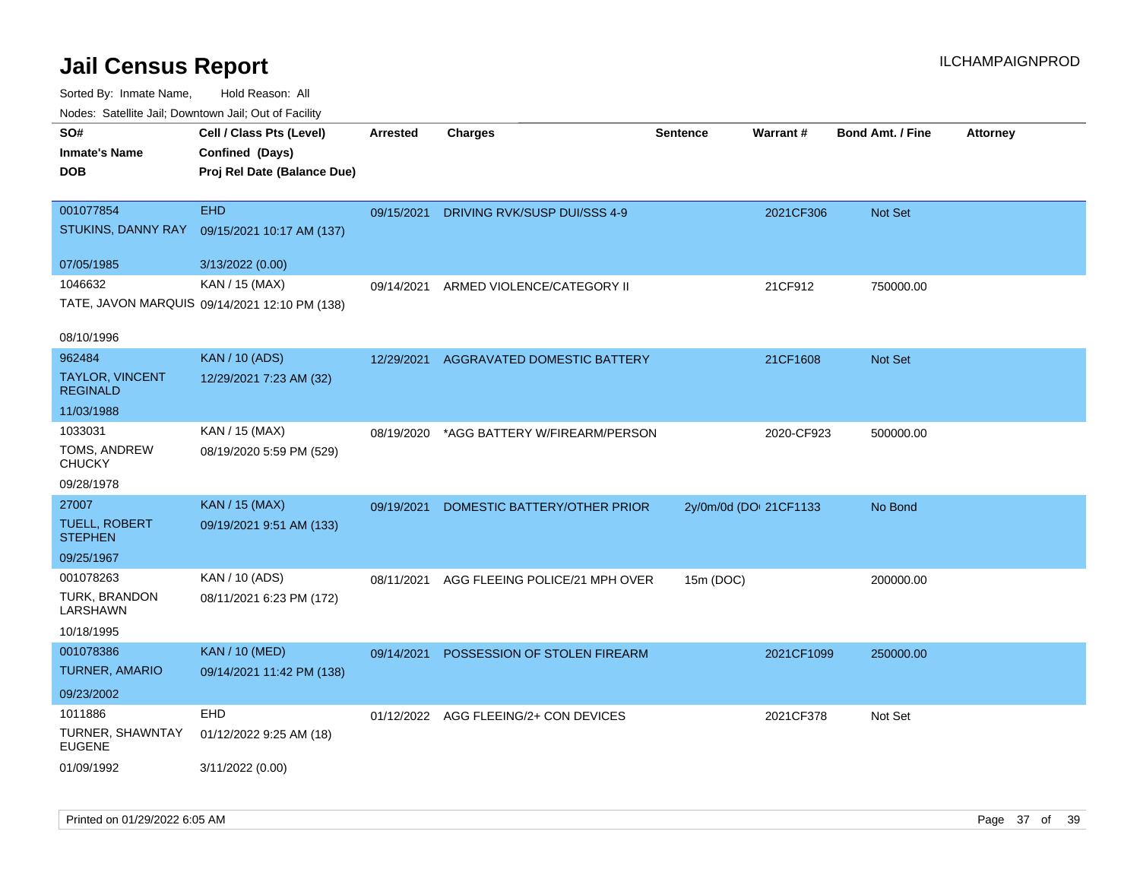| <b>Nouse.</b> Sutcline sail, Downtown sail, Sut of Fability |                                               |            |                                       |                        |            |                         |                 |
|-------------------------------------------------------------|-----------------------------------------------|------------|---------------------------------------|------------------------|------------|-------------------------|-----------------|
| SO#                                                         | Cell / Class Pts (Level)                      | Arrested   | <b>Charges</b>                        | <b>Sentence</b>        | Warrant#   | <b>Bond Amt. / Fine</b> | <b>Attorney</b> |
| <b>Inmate's Name</b>                                        | Confined (Days)                               |            |                                       |                        |            |                         |                 |
| <b>DOB</b>                                                  | Proj Rel Date (Balance Due)                   |            |                                       |                        |            |                         |                 |
|                                                             |                                               |            |                                       |                        |            |                         |                 |
| 001077854                                                   | <b>EHD</b>                                    | 09/15/2021 | DRIVING RVK/SUSP DUI/SSS 4-9          |                        | 2021CF306  | <b>Not Set</b>          |                 |
| STUKINS, DANNY RAY                                          | 09/15/2021 10:17 AM (137)                     |            |                                       |                        |            |                         |                 |
|                                                             |                                               |            |                                       |                        |            |                         |                 |
| 07/05/1985                                                  | 3/13/2022 (0.00)                              |            |                                       |                        |            |                         |                 |
| 1046632                                                     | KAN / 15 (MAX)                                | 09/14/2021 | ARMED VIOLENCE/CATEGORY II            |                        | 21CF912    | 750000.00               |                 |
|                                                             | TATE, JAVON MARQUIS 09/14/2021 12:10 PM (138) |            |                                       |                        |            |                         |                 |
|                                                             |                                               |            |                                       |                        |            |                         |                 |
| 08/10/1996                                                  |                                               |            |                                       |                        |            |                         |                 |
| 962484                                                      | <b>KAN / 10 (ADS)</b>                         | 12/29/2021 | AGGRAVATED DOMESTIC BATTERY           |                        | 21CF1608   | <b>Not Set</b>          |                 |
| <b>TAYLOR, VINCENT</b><br><b>REGINALD</b>                   | 12/29/2021 7:23 AM (32)                       |            |                                       |                        |            |                         |                 |
| 11/03/1988                                                  |                                               |            |                                       |                        |            |                         |                 |
| 1033031                                                     | KAN / 15 (MAX)                                | 08/19/2020 | *AGG BATTERY W/FIREARM/PERSON         |                        | 2020-CF923 | 500000.00               |                 |
| TOMS, ANDREW<br><b>CHUCKY</b>                               | 08/19/2020 5:59 PM (529)                      |            |                                       |                        |            |                         |                 |
| 09/28/1978                                                  |                                               |            |                                       |                        |            |                         |                 |
| 27007                                                       | KAN / 15 (MAX)                                | 09/19/2021 | DOMESTIC BATTERY/OTHER PRIOR          | 2y/0m/0d (DOI 21CF1133 |            | No Bond                 |                 |
| <b>TUELL, ROBERT</b>                                        | 09/19/2021 9:51 AM (133)                      |            |                                       |                        |            |                         |                 |
| <b>STEPHEN</b>                                              |                                               |            |                                       |                        |            |                         |                 |
| 09/25/1967                                                  |                                               |            |                                       |                        |            |                         |                 |
| 001078263                                                   | KAN / 10 (ADS)                                | 08/11/2021 | AGG FLEEING POLICE/21 MPH OVER        | 15m (DOC)              |            | 200000.00               |                 |
| TURK, BRANDON<br>LARSHAWN                                   | 08/11/2021 6:23 PM (172)                      |            |                                       |                        |            |                         |                 |
| 10/18/1995                                                  |                                               |            |                                       |                        |            |                         |                 |
| 001078386                                                   | <b>KAN / 10 (MED)</b>                         | 09/14/2021 | POSSESSION OF STOLEN FIREARM          |                        | 2021CF1099 | 250000.00               |                 |
| TURNER, AMARIO                                              | 09/14/2021 11:42 PM (138)                     |            |                                       |                        |            |                         |                 |
| 09/23/2002                                                  |                                               |            |                                       |                        |            |                         |                 |
| 1011886                                                     | <b>EHD</b>                                    |            | 01/12/2022 AGG FLEEING/2+ CON DEVICES |                        | 2021CF378  | Not Set                 |                 |
| TURNER, SHAWNTAY<br><b>EUGENE</b>                           | 01/12/2022 9:25 AM (18)                       |            |                                       |                        |            |                         |                 |
| 01/09/1992                                                  | 3/11/2022 (0.00)                              |            |                                       |                        |            |                         |                 |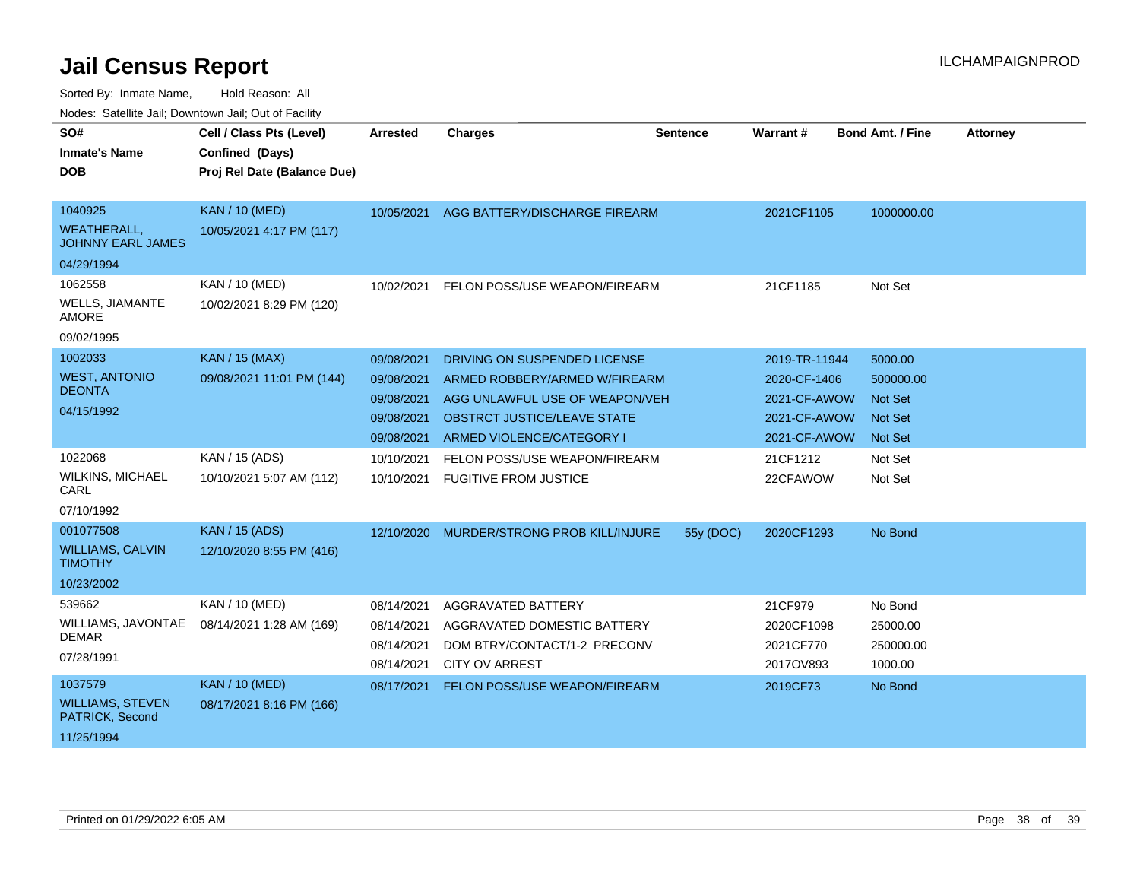| SO#<br><b>Inmate's Name</b><br><b>DOB</b>                               | Cell / Class Pts (Level)<br>Confined (Days)<br>Proj Rel Date (Balance Due) | Arrested                                                           | <b>Charges</b>                                                                                                                                                     | Sentence  | Warrant #                                                                     | <b>Bond Amt. / Fine</b>                                             | <b>Attorney</b> |
|-------------------------------------------------------------------------|----------------------------------------------------------------------------|--------------------------------------------------------------------|--------------------------------------------------------------------------------------------------------------------------------------------------------------------|-----------|-------------------------------------------------------------------------------|---------------------------------------------------------------------|-----------------|
| 1040925<br><b>WEATHERALL,</b><br><b>JOHNNY EARL JAMES</b><br>04/29/1994 | <b>KAN / 10 (MED)</b><br>10/05/2021 4:17 PM (117)                          | 10/05/2021                                                         | AGG BATTERY/DISCHARGE FIREARM                                                                                                                                      |           | 2021CF1105                                                                    | 1000000.00                                                          |                 |
| 1062558<br><b>WELLS, JIAMANTE</b><br><b>AMORE</b><br>09/02/1995         | KAN / 10 (MED)<br>10/02/2021 8:29 PM (120)                                 | 10/02/2021                                                         | FELON POSS/USE WEAPON/FIREARM                                                                                                                                      |           | 21CF1185                                                                      | Not Set                                                             |                 |
| 1002033<br><b>WEST, ANTONIO</b><br><b>DEONTA</b><br>04/15/1992          | <b>KAN / 15 (MAX)</b><br>09/08/2021 11:01 PM (144)                         | 09/08/2021<br>09/08/2021<br>09/08/2021<br>09/08/2021<br>09/08/2021 | DRIVING ON SUSPENDED LICENSE<br>ARMED ROBBERY/ARMED W/FIREARM<br>AGG UNLAWFUL USE OF WEAPON/VEH<br><b>OBSTRCT JUSTICE/LEAVE STATE</b><br>ARMED VIOLENCE/CATEGORY I |           | 2019-TR-11944<br>2020-CF-1406<br>2021-CF-AWOW<br>2021-CF-AWOW<br>2021-CF-AWOW | 5000.00<br>500000.00<br><b>Not Set</b><br><b>Not Set</b><br>Not Set |                 |
| 1022068<br>WILKINS, MICHAEL<br>CARL<br>07/10/1992                       | KAN / 15 (ADS)<br>10/10/2021 5:07 AM (112)                                 | 10/10/2021<br>10/10/2021                                           | FELON POSS/USE WEAPON/FIREARM<br><b>FUGITIVE FROM JUSTICE</b>                                                                                                      |           | 21CF1212<br>22CFAWOW                                                          | Not Set<br>Not Set                                                  |                 |
| 001077508<br><b>WILLIAMS, CALVIN</b><br><b>TIMOTHY</b><br>10/23/2002    | <b>KAN / 15 (ADS)</b><br>12/10/2020 8:55 PM (416)                          |                                                                    | 12/10/2020 MURDER/STRONG PROB KILL/INJURE                                                                                                                          | 55y (DOC) | 2020CF1293                                                                    | No Bond                                                             |                 |
| 539662<br>WILLIAMS, JAVONTAE<br><b>DEMAR</b><br>07/28/1991              | KAN / 10 (MED)<br>08/14/2021 1:28 AM (169)                                 | 08/14/2021<br>08/14/2021<br>08/14/2021<br>08/14/2021               | AGGRAVATED BATTERY<br>AGGRAVATED DOMESTIC BATTERY<br>DOM BTRY/CONTACT/1-2 PRECONV<br><b>CITY OV ARREST</b>                                                         |           | 21CF979<br>2020CF1098<br>2021CF770<br>2017OV893                               | No Bond<br>25000.00<br>250000.00<br>1000.00                         |                 |
| 1037579<br><b>WILLIAMS, STEVEN</b><br>PATRICK, Second<br>11/25/1994     | <b>KAN / 10 (MED)</b><br>08/17/2021 8:16 PM (166)                          | 08/17/2021                                                         | FELON POSS/USE WEAPON/FIREARM                                                                                                                                      |           | 2019CF73                                                                      | No Bond                                                             |                 |